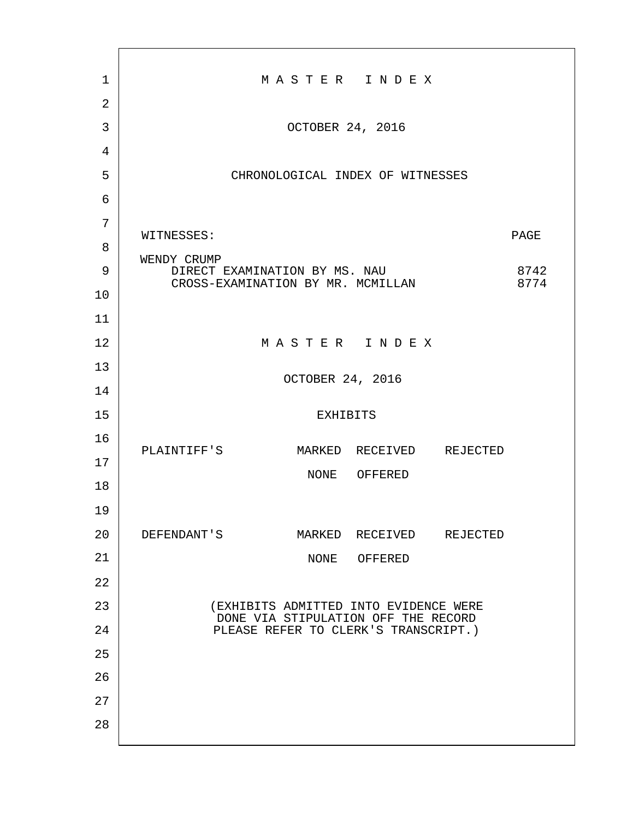| 1              | MASTER INDEX                                                                      |              |  |
|----------------|-----------------------------------------------------------------------------------|--------------|--|
| $\overline{2}$ |                                                                                   |              |  |
| 3              | OCTOBER 24, 2016                                                                  |              |  |
| 4              |                                                                                   |              |  |
| 5              | CHRONOLOGICAL INDEX OF WITNESSES                                                  |              |  |
| 6              |                                                                                   |              |  |
| 7              | WITNESSES:<br>PAGE                                                                |              |  |
| 8              |                                                                                   |              |  |
| 9              | WENDY CRUMP<br>DIRECT EXAMINATION BY MS. NAU<br>CROSS-EXAMINATION BY MR. MCMILLAN | 8742<br>8774 |  |
| 10             |                                                                                   |              |  |
| 11             |                                                                                   |              |  |
| 12             | MASTER INDEX                                                                      |              |  |
| 13             | OCTOBER 24, 2016                                                                  |              |  |
| 14             |                                                                                   |              |  |
| 15             | <b>EXHIBITS</b>                                                                   |              |  |
| 16             | PLAINTIFF'S<br>MARKED RECEIVED REJECTED                                           |              |  |
| 17             | NONE OFFERED                                                                      |              |  |
| 18             |                                                                                   |              |  |
| 19             |                                                                                   |              |  |
| 20             | DEFENDANT'S<br>MARKED RECEIVED REJECTED                                           |              |  |
| 21             | NONE OFFERED                                                                      |              |  |
| 22             |                                                                                   |              |  |
| 23             | (EXHIBITS ADMITTED INTO EVIDENCE WERE<br>DONE VIA STIPULATION OFF THE RECORD      |              |  |
| 24             | PLEASE REFER TO CLERK'S TRANSCRIPT.)                                              |              |  |
| 25             |                                                                                   |              |  |
| 26             |                                                                                   |              |  |
| 27             |                                                                                   |              |  |
| 28             |                                                                                   |              |  |
|                |                                                                                   |              |  |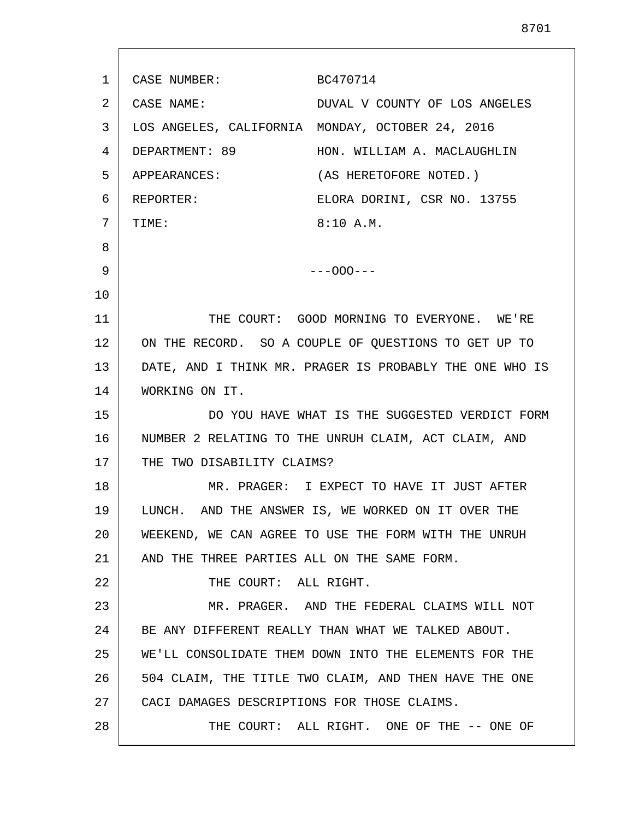| 1  | CASE NUMBER:                                            | BC470714                                              |
|----|---------------------------------------------------------|-------------------------------------------------------|
| 2  | CASE NAME:                                              | DUVAL V COUNTY OF LOS ANGELES                         |
| 3  |                                                         | LOS ANGELES, CALIFORNIA MONDAY, OCTOBER 24, 2016      |
| 4  | DEPARTMENT: 89                                          | HON. WILLIAM A. MACLAUGHLIN                           |
| 5  | APPEARANCES:                                            | (AS HERETOFORE NOTED.)                                |
| 6  | REPORTER:                                               | ELORA DORINI, CSR NO. 13755                           |
| 7  | TIME:                                                   | 8:10 A.M.                                             |
| 8  |                                                         |                                                       |
| 9  |                                                         | $---000---$                                           |
| 10 |                                                         |                                                       |
| 11 |                                                         | THE COURT: GOOD MORNING TO EVERYONE. WE'RE            |
| 12 |                                                         | ON THE RECORD. SO A COUPLE OF QUESTIONS TO GET UP TO  |
| 13 | DATE, AND I THINK MR. PRAGER IS PROBABLY THE ONE WHO IS |                                                       |
| 14 | WORKING ON IT.                                          |                                                       |
| 15 |                                                         | DO YOU HAVE WHAT IS THE SUGGESTED VERDICT FORM        |
| 16 |                                                         | NUMBER 2 RELATING TO THE UNRUH CLAIM, ACT CLAIM, AND  |
| 17 | THE TWO DISABILITY CLAIMS?                              |                                                       |
| 18 |                                                         | MR. PRAGER: I EXPECT TO HAVE IT JUST AFTER            |
| 19 |                                                         | LUNCH. AND THE ANSWER IS, WE WORKED ON IT OVER THE    |
| 20 |                                                         | WEEKEND, WE CAN AGREE TO USE THE FORM WITH THE UNRUH  |
| 21 | AND THE THREE PARTIES ALL ON THE SAME FORM.             |                                                       |
| 22 | THE COURT: ALL RIGHT.                                   |                                                       |
| 23 |                                                         | MR. PRAGER. AND THE FEDERAL CLAIMS WILL NOT           |
| 24 |                                                         | BE ANY DIFFERENT REALLY THAN WHAT WE TALKED ABOUT.    |
| 25 |                                                         | WE'LL CONSOLIDATE THEM DOWN INTO THE ELEMENTS FOR THE |
| 26 |                                                         | 504 CLAIM, THE TITLE TWO CLAIM, AND THEN HAVE THE ONE |
| 27 | CACI DAMAGES DESCRIPTIONS FOR THOSE CLAIMS.             |                                                       |
| 28 |                                                         | THE COURT: ALL RIGHT. ONE OF THE -- ONE OF            |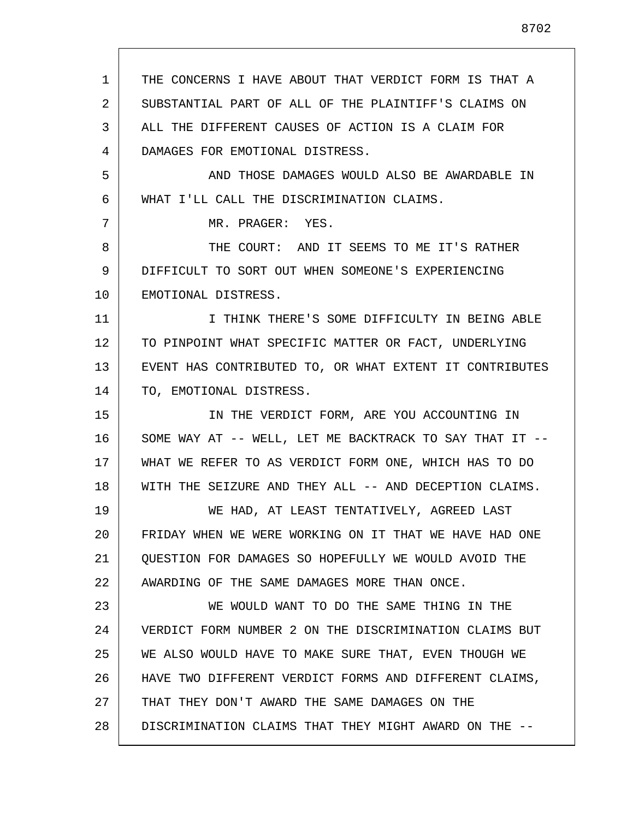| 1  | THE CONCERNS I HAVE ABOUT THAT VERDICT FORM IS THAT A   |
|----|---------------------------------------------------------|
| 2  | SUBSTANTIAL PART OF ALL OF THE PLAINTIFF'S CLAIMS ON    |
| 3  | ALL THE DIFFERENT CAUSES OF ACTION IS A CLAIM FOR       |
| 4  | DAMAGES FOR EMOTIONAL DISTRESS.                         |
| 5  | AND THOSE DAMAGES WOULD ALSO BE AWARDABLE IN            |
| 6  | WHAT I'LL CALL THE DISCRIMINATION CLAIMS.               |
| 7  | MR. PRAGER: YES.                                        |
| 8  | THE COURT: AND IT SEEMS TO ME IT'S RATHER               |
| 9  | DIFFICULT TO SORT OUT WHEN SOMEONE'S EXPERIENCING       |
| 10 | EMOTIONAL DISTRESS.                                     |
| 11 | I THINK THERE'S SOME DIFFICULTY IN BEING ABLE           |
| 12 | TO PINPOINT WHAT SPECIFIC MATTER OR FACT, UNDERLYING    |
| 13 | EVENT HAS CONTRIBUTED TO, OR WHAT EXTENT IT CONTRIBUTES |
| 14 | TO, EMOTIONAL DISTRESS.                                 |
| 15 | IN THE VERDICT FORM, ARE YOU ACCOUNTING IN              |
| 16 | SOME WAY AT -- WELL, LET ME BACKTRACK TO SAY THAT IT -- |
| 17 | WHAT WE REFER TO AS VERDICT FORM ONE, WHICH HAS TO DO   |
| 18 | WITH THE SEIZURE AND THEY ALL -- AND DECEPTION CLAIMS.  |
| 19 | WE HAD, AT LEAST TENTATIVELY, AGREED LAST               |
| 20 | FRIDAY WHEN WE WERE WORKING ON IT THAT WE HAVE HAD ONE  |
| 21 | OUESTION FOR DAMAGES SO HOPEFULLY WE WOULD AVOID THE    |
| 22 | AWARDING OF THE SAME DAMAGES MORE THAN ONCE.            |
| 23 | WE WOULD WANT TO DO THE SAME THING IN THE               |
| 24 | VERDICT FORM NUMBER 2 ON THE DISCRIMINATION CLAIMS BUT  |
| 25 | WE ALSO WOULD HAVE TO MAKE SURE THAT, EVEN THOUGH WE    |
| 26 | HAVE TWO DIFFERENT VERDICT FORMS AND DIFFERENT CLAIMS,  |
| 27 | THAT THEY DON'T AWARD THE SAME DAMAGES ON THE           |
| 28 | DISCRIMINATION CLAIMS THAT THEY MIGHT AWARD ON THE --   |
|    |                                                         |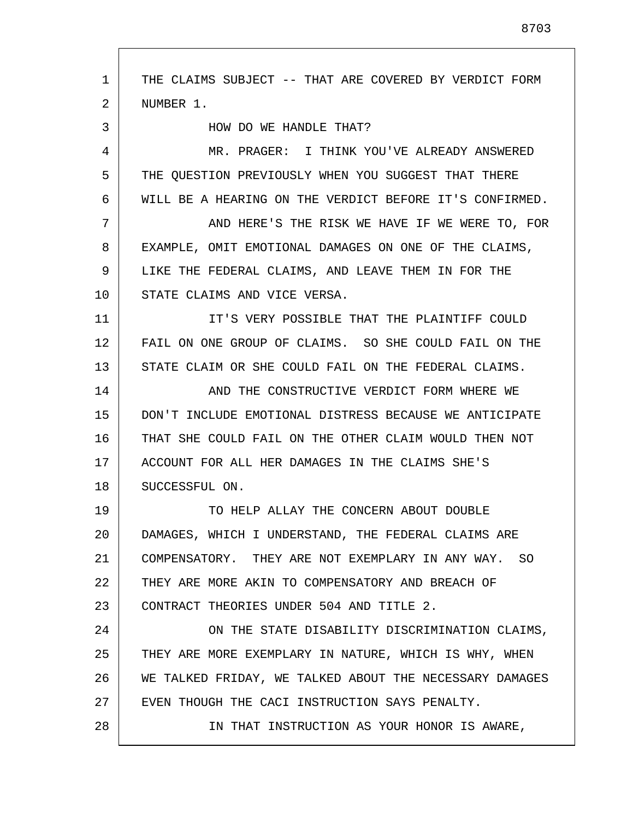1 2 3 4 5 6 7 8 9 10 11 12 13 14 15 16 17 18 19 20 21 22 23 24 25 26 27 28 THE CLAIMS SUBJECT -- THAT ARE COVERED BY VERDICT FORM NUMBER 1. HOW DO WE HANDLE THAT? MR. PRAGER: I THINK YOU'VE ALREADY ANSWERED THE QUESTION PREVIOUSLY WHEN YOU SUGGEST THAT THERE WILL BE A HEARING ON THE VERDICT BEFORE IT'S CONFIRMED. AND HERE'S THE RISK WE HAVE IF WE WERE TO, FOR EXAMPLE, OMIT EMOTIONAL DAMAGES ON ONE OF THE CLAIMS, LIKE THE FEDERAL CLAIMS, AND LEAVE THEM IN FOR THE STATE CLAIMS AND VICE VERSA. IT'S VERY POSSIBLE THAT THE PLAINTIFF COULD FAIL ON ONE GROUP OF CLAIMS. SO SHE COULD FAIL ON THE STATE CLAIM OR SHE COULD FAIL ON THE FEDERAL CLAIMS. AND THE CONSTRUCTIVE VERDICT FORM WHERE WE DON'T INCLUDE EMOTIONAL DISTRESS BECAUSE WE ANTICIPATE THAT SHE COULD FAIL ON THE OTHER CLAIM WOULD THEN NOT ACCOUNT FOR ALL HER DAMAGES IN THE CLAIMS SHE'S SUCCESSFUL ON. TO HELP ALLAY THE CONCERN ABOUT DOUBLE DAMAGES, WHICH I UNDERSTAND, THE FEDERAL CLAIMS ARE COMPENSATORY. THEY ARE NOT EXEMPLARY IN ANY WAY. SO THEY ARE MORE AKIN TO COMPENSATORY AND BREACH OF CONTRACT THEORIES UNDER 504 AND TITLE 2. ON THE STATE DISABILITY DISCRIMINATION CLAIMS, THEY ARE MORE EXEMPLARY IN NATURE, WHICH IS WHY, WHEN WE TALKED FRIDAY, WE TALKED ABOUT THE NECESSARY DAMAGES EVEN THOUGH THE CACI INSTRUCTION SAYS PENALTY. IN THAT INSTRUCTION AS YOUR HONOR IS AWARE,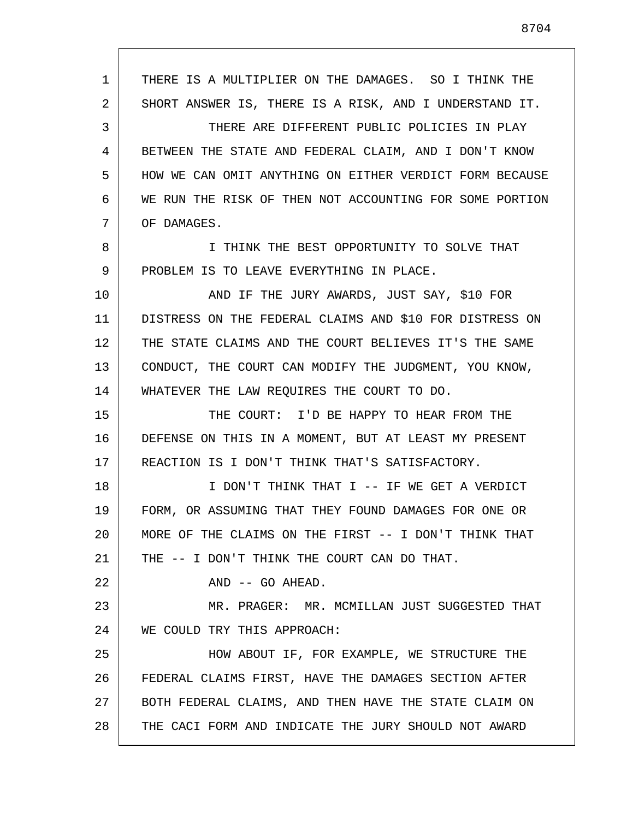1 2 3 4 5 6 7 8 9 10 11 12 13 14 15 16 17 18 19 20 21 22 23 24 25 26 27 28 THERE IS A MULTIPLIER ON THE DAMAGES. SO I THINK THE SHORT ANSWER IS, THERE IS A RISK, AND I UNDERSTAND IT. THERE ARE DIFFERENT PUBLIC POLICIES IN PLAY BETWEEN THE STATE AND FEDERAL CLAIM, AND I DON'T KNOW HOW WE CAN OMIT ANYTHING ON EITHER VERDICT FORM BECAUSE WE RUN THE RISK OF THEN NOT ACCOUNTING FOR SOME PORTION OF DAMAGES. I THINK THE BEST OPPORTUNITY TO SOLVE THAT PROBLEM IS TO LEAVE EVERYTHING IN PLACE. AND IF THE JURY AWARDS, JUST SAY, \$10 FOR DISTRESS ON THE FEDERAL CLAIMS AND \$10 FOR DISTRESS ON THE STATE CLAIMS AND THE COURT BELIEVES IT'S THE SAME CONDUCT, THE COURT CAN MODIFY THE JUDGMENT, YOU KNOW, WHATEVER THE LAW REQUIRES THE COURT TO DO. THE COURT: I'D BE HAPPY TO HEAR FROM THE DEFENSE ON THIS IN A MOMENT, BUT AT LEAST MY PRESENT REACTION IS I DON'T THINK THAT'S SATISFACTORY. I DON'T THINK THAT I -- IF WE GET A VERDICT FORM, OR ASSUMING THAT THEY FOUND DAMAGES FOR ONE OR MORE OF THE CLAIMS ON THE FIRST -- I DON'T THINK THAT THE -- I DON'T THINK THE COURT CAN DO THAT. AND -- GO AHEAD. MR. PRAGER: MR. MCMILLAN JUST SUGGESTED THAT WE COULD TRY THIS APPROACH: HOW ABOUT IF, FOR EXAMPLE, WE STRUCTURE THE FEDERAL CLAIMS FIRST, HAVE THE DAMAGES SECTION AFTER BOTH FEDERAL CLAIMS, AND THEN HAVE THE STATE CLAIM ON THE CACI FORM AND INDICATE THE JURY SHOULD NOT AWARD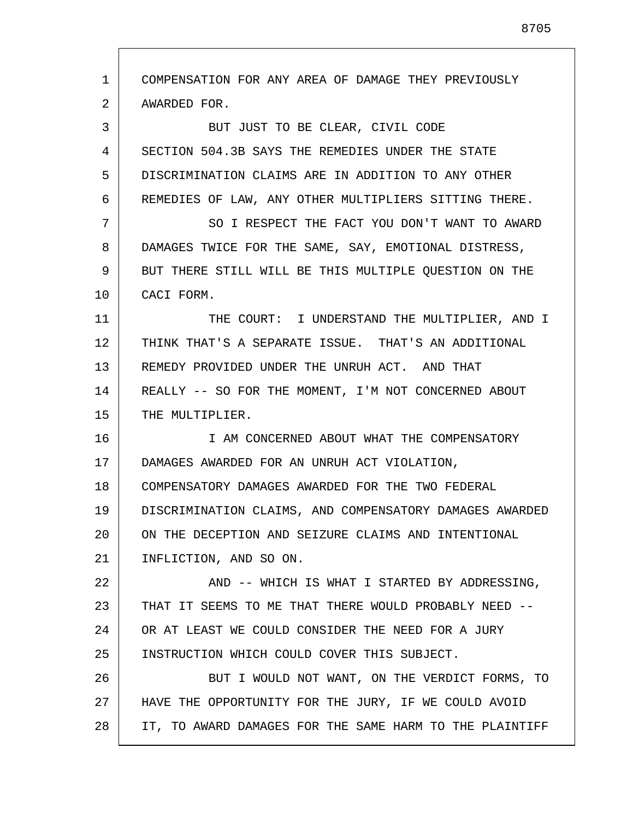1 2 3 4 5 6 7 8 9 10 11 12 13 14 15 16 17 18 19 20 21 22 23 24 25 26 27 28 COMPENSATION FOR ANY AREA OF DAMAGE THEY PREVIOUSLY AWARDED FOR. BUT JUST TO BE CLEAR, CIVIL CODE SECTION 504.3B SAYS THE REMEDIES UNDER THE STATE DISCRIMINATION CLAIMS ARE IN ADDITION TO ANY OTHER REMEDIES OF LAW, ANY OTHER MULTIPLIERS SITTING THERE. SO I RESPECT THE FACT YOU DON'T WANT TO AWARD DAMAGES TWICE FOR THE SAME, SAY, EMOTIONAL DISTRESS, BUT THERE STILL WILL BE THIS MULTIPLE QUESTION ON THE CACI FORM. THE COURT: I UNDERSTAND THE MULTIPLIER, AND I THINK THAT'S A SEPARATE ISSUE. THAT'S AN ADDITIONAL REMEDY PROVIDED UNDER THE UNRUH ACT. AND THAT REALLY -- SO FOR THE MOMENT, I'M NOT CONCERNED ABOUT THE MULTIPLIER. I AM CONCERNED ABOUT WHAT THE COMPENSATORY DAMAGES AWARDED FOR AN UNRUH ACT VIOLATION, COMPENSATORY DAMAGES AWARDED FOR THE TWO FEDERAL DISCRIMINATION CLAIMS, AND COMPENSATORY DAMAGES AWARDED ON THE DECEPTION AND SEIZURE CLAIMS AND INTENTIONAL INFLICTION, AND SO ON. AND -- WHICH IS WHAT I STARTED BY ADDRESSING, THAT IT SEEMS TO ME THAT THERE WOULD PROBABLY NEED -- OR AT LEAST WE COULD CONSIDER THE NEED FOR A JURY INSTRUCTION WHICH COULD COVER THIS SUBJECT. BUT I WOULD NOT WANT, ON THE VERDICT FORMS, TO HAVE THE OPPORTUNITY FOR THE JURY, IF WE COULD AVOID IT, TO AWARD DAMAGES FOR THE SAME HARM TO THE PLAINTIFF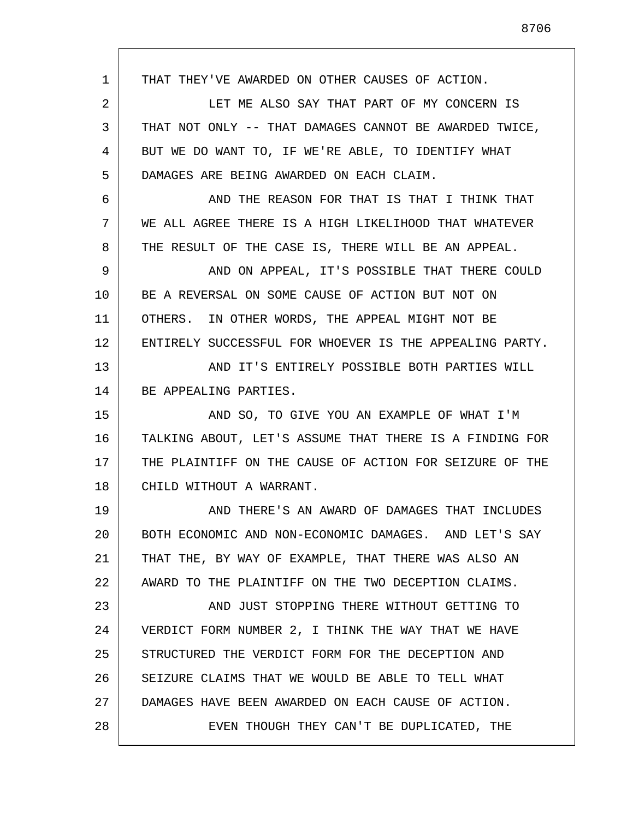1 2 3 4 5 6 7 8 9 10 11 12 13 14 15 16 17 18 19 20 21 22 23 24 25 26 27 28 THAT THEY'VE AWARDED ON OTHER CAUSES OF ACTION. LET ME ALSO SAY THAT PART OF MY CONCERN IS THAT NOT ONLY -- THAT DAMAGES CANNOT BE AWARDED TWICE, BUT WE DO WANT TO, IF WE'RE ABLE, TO IDENTIFY WHAT DAMAGES ARE BEING AWARDED ON EACH CLAIM. AND THE REASON FOR THAT IS THAT I THINK THAT WE ALL AGREE THERE IS A HIGH LIKELIHOOD THAT WHATEVER THE RESULT OF THE CASE IS, THERE WILL BE AN APPEAL. AND ON APPEAL, IT'S POSSIBLE THAT THERE COULD BE A REVERSAL ON SOME CAUSE OF ACTION BUT NOT ON OTHERS. IN OTHER WORDS, THE APPEAL MIGHT NOT BE ENTIRELY SUCCESSFUL FOR WHOEVER IS THE APPEALING PARTY. AND IT'S ENTIRELY POSSIBLE BOTH PARTIES WILL BE APPEALING PARTIES. AND SO, TO GIVE YOU AN EXAMPLE OF WHAT I'M TALKING ABOUT, LET'S ASSUME THAT THERE IS A FINDING FOR THE PLAINTIFF ON THE CAUSE OF ACTION FOR SEIZURE OF THE CHILD WITHOUT A WARRANT. AND THERE'S AN AWARD OF DAMAGES THAT INCLUDES BOTH ECONOMIC AND NON-ECONOMIC DAMAGES. AND LET'S SAY THAT THE, BY WAY OF EXAMPLE, THAT THERE WAS ALSO AN AWARD TO THE PLAINTIFF ON THE TWO DECEPTION CLAIMS. AND JUST STOPPING THERE WITHOUT GETTING TO VERDICT FORM NUMBER 2, I THINK THE WAY THAT WE HAVE STRUCTURED THE VERDICT FORM FOR THE DECEPTION AND SEIZURE CLAIMS THAT WE WOULD BE ABLE TO TELL WHAT DAMAGES HAVE BEEN AWARDED ON EACH CAUSE OF ACTION. EVEN THOUGH THEY CAN'T BE DUPLICATED, THE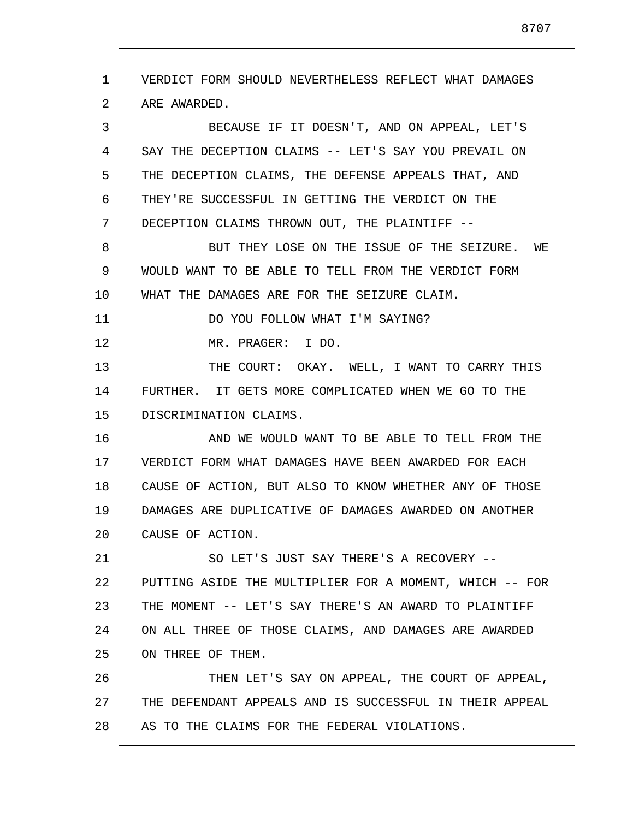1 2 3 4 5 6 7 8 9 10 11 12 13 14 15 16 17 18 19 20 21 22 23 24 25 26 27 28 VERDICT FORM SHOULD NEVERTHELESS REFLECT WHAT DAMAGES ARE AWARDED. BECAUSE IF IT DOESN'T, AND ON APPEAL, LET'S SAY THE DECEPTION CLAIMS -- LET'S SAY YOU PREVAIL ON THE DECEPTION CLAIMS, THE DEFENSE APPEALS THAT, AND THEY'RE SUCCESSFUL IN GETTING THE VERDICT ON THE DECEPTION CLAIMS THROWN OUT, THE PLAINTIFF -- BUT THEY LOSE ON THE ISSUE OF THE SEIZURE. WE WOULD WANT TO BE ABLE TO TELL FROM THE VERDICT FORM WHAT THE DAMAGES ARE FOR THE SEIZURE CLAIM. DO YOU FOLLOW WHAT I'M SAYING? MR. PRAGER: I DO. THE COURT: OKAY. WELL, I WANT TO CARRY THIS FURTHER. IT GETS MORE COMPLICATED WHEN WE GO TO THE DISCRIMINATION CLAIMS. AND WE WOULD WANT TO BE ABLE TO TELL FROM THE VERDICT FORM WHAT DAMAGES HAVE BEEN AWARDED FOR EACH CAUSE OF ACTION, BUT ALSO TO KNOW WHETHER ANY OF THOSE DAMAGES ARE DUPLICATIVE OF DAMAGES AWARDED ON ANOTHER CAUSE OF ACTION. SO LET'S JUST SAY THERE'S A RECOVERY -- PUTTING ASIDE THE MULTIPLIER FOR A MOMENT, WHICH -- FOR THE MOMENT -- LET'S SAY THERE'S AN AWARD TO PLAINTIFF ON ALL THREE OF THOSE CLAIMS, AND DAMAGES ARE AWARDED ON THREE OF THEM. THEN LET'S SAY ON APPEAL, THE COURT OF APPEAL, THE DEFENDANT APPEALS AND IS SUCCESSFUL IN THEIR APPEAL AS TO THE CLAIMS FOR THE FEDERAL VIOLATIONS.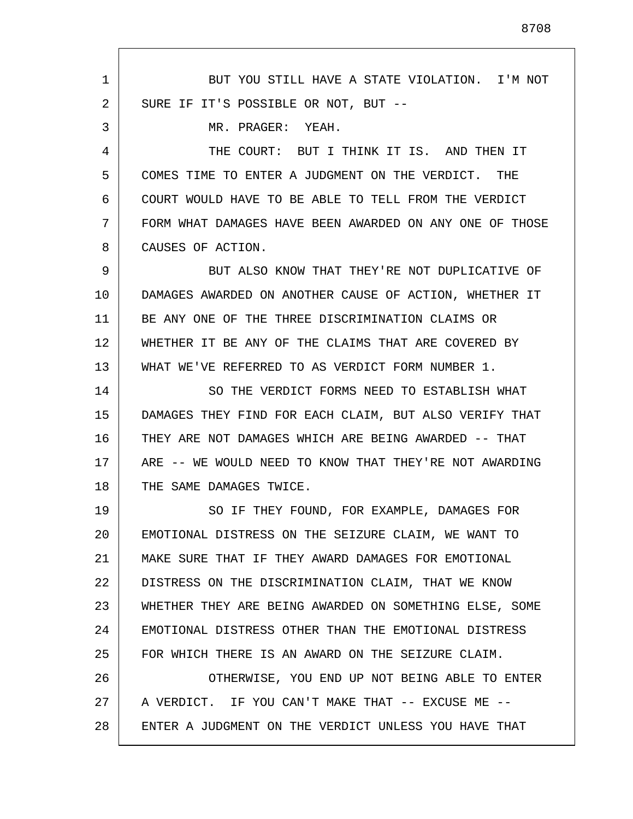1 2 3 4 5 6 7 8 9 10 11 12 13 14 15 16 17 18 19 20 21 22 23 24 25 26 27 28 BUT YOU STILL HAVE A STATE VIOLATION. I'M NOT SURE IF IT'S POSSIBLE OR NOT, BUT -- MR. PRAGER: YEAH. THE COURT: BUT I THINK IT IS. AND THEN IT COMES TIME TO ENTER A JUDGMENT ON THE VERDICT. THE COURT WOULD HAVE TO BE ABLE TO TELL FROM THE VERDICT FORM WHAT DAMAGES HAVE BEEN AWARDED ON ANY ONE OF THOSE CAUSES OF ACTION. BUT ALSO KNOW THAT THEY'RE NOT DUPLICATIVE OF DAMAGES AWARDED ON ANOTHER CAUSE OF ACTION, WHETHER IT BE ANY ONE OF THE THREE DISCRIMINATION CLAIMS OR WHETHER IT BE ANY OF THE CLAIMS THAT ARE COVERED BY WHAT WE'VE REFERRED TO AS VERDICT FORM NUMBER 1. SO THE VERDICT FORMS NEED TO ESTABLISH WHAT DAMAGES THEY FIND FOR EACH CLAIM, BUT ALSO VERIFY THAT THEY ARE NOT DAMAGES WHICH ARE BEING AWARDED -- THAT ARE -- WE WOULD NEED TO KNOW THAT THEY'RE NOT AWARDING THE SAME DAMAGES TWICE. SO IF THEY FOUND, FOR EXAMPLE, DAMAGES FOR EMOTIONAL DISTRESS ON THE SEIZURE CLAIM, WE WANT TO MAKE SURE THAT IF THEY AWARD DAMAGES FOR EMOTIONAL DISTRESS ON THE DISCRIMINATION CLAIM, THAT WE KNOW WHETHER THEY ARE BEING AWARDED ON SOMETHING ELSE, SOME EMOTIONAL DISTRESS OTHER THAN THE EMOTIONAL DISTRESS FOR WHICH THERE IS AN AWARD ON THE SEIZURE CLAIM. OTHERWISE, YOU END UP NOT BEING ABLE TO ENTER A VERDICT. IF YOU CAN'T MAKE THAT -- EXCUSE ME --ENTER A JUDGMENT ON THE VERDICT UNLESS YOU HAVE THAT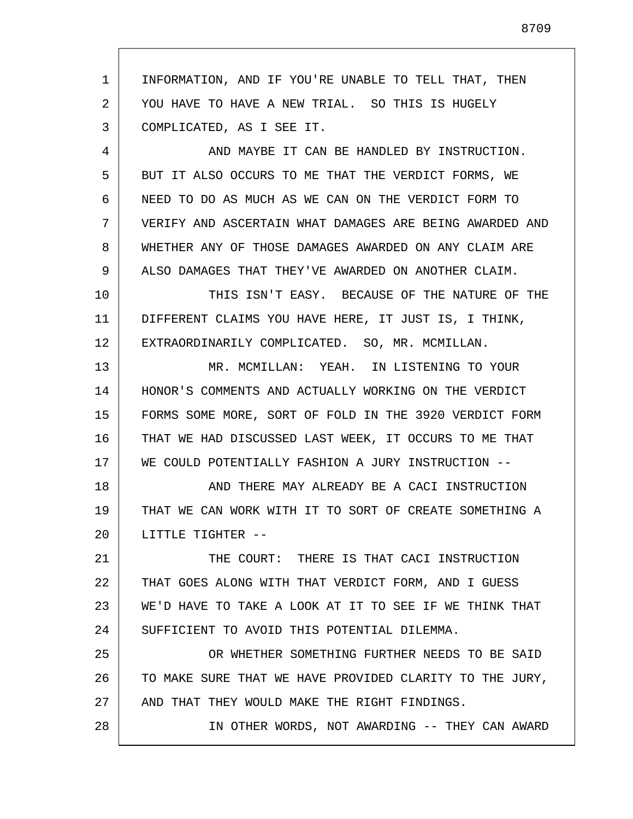1 2 3 4 5 6 7 8 9 10 11 12 13 14 15 16 17 18 19 20 21 22 23 24 25 26 27 28 INFORMATION, AND IF YOU'RE UNABLE TO TELL THAT, THEN YOU HAVE TO HAVE A NEW TRIAL. SO THIS IS HUGELY COMPLICATED, AS I SEE IT. AND MAYBE IT CAN BE HANDLED BY INSTRUCTION. BUT IT ALSO OCCURS TO ME THAT THE VERDICT FORMS, WE NEED TO DO AS MUCH AS WE CAN ON THE VERDICT FORM TO VERIFY AND ASCERTAIN WHAT DAMAGES ARE BEING AWARDED AND WHETHER ANY OF THOSE DAMAGES AWARDED ON ANY CLAIM ARE ALSO DAMAGES THAT THEY'VE AWARDED ON ANOTHER CLAIM. THIS ISN'T EASY. BECAUSE OF THE NATURE OF THE DIFFERENT CLAIMS YOU HAVE HERE, IT JUST IS, I THINK, EXTRAORDINARILY COMPLICATED. SO, MR. MCMILLAN. MR. MCMILLAN: YEAH. IN LISTENING TO YOUR HONOR'S COMMENTS AND ACTUALLY WORKING ON THE VERDICT FORMS SOME MORE, SORT OF FOLD IN THE 3920 VERDICT FORM THAT WE HAD DISCUSSED LAST WEEK, IT OCCURS TO ME THAT WE COULD POTENTIALLY FASHION A JURY INSTRUCTION -- AND THERE MAY ALREADY BE A CACI INSTRUCTION THAT WE CAN WORK WITH IT TO SORT OF CREATE SOMETHING A LITTLE TIGHTER -- THE COURT: THERE IS THAT CACI INSTRUCTION THAT GOES ALONG WITH THAT VERDICT FORM, AND I GUESS WE'D HAVE TO TAKE A LOOK AT IT TO SEE IF WE THINK THAT SUFFICIENT TO AVOID THIS POTENTIAL DILEMMA. OR WHETHER SOMETHING FURTHER NEEDS TO BE SAID TO MAKE SURE THAT WE HAVE PROVIDED CLARITY TO THE JURY, AND THAT THEY WOULD MAKE THE RIGHT FINDINGS. IN OTHER WORDS, NOT AWARDING -- THEY CAN AWARD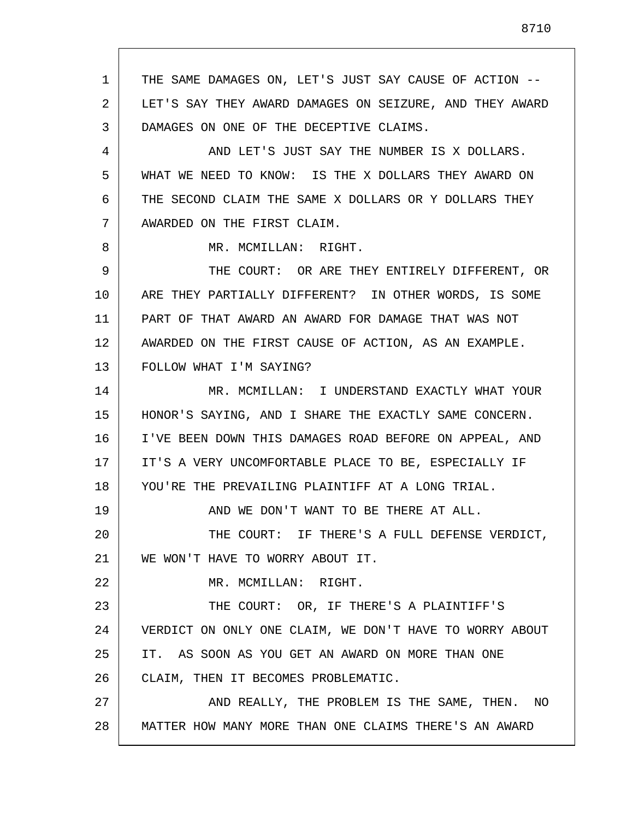1 2 3 4 5 6 7 8 9 10 11 12 13 14 15 16 17 18 19 20 21 22 23 24 25 26 27 28 THE SAME DAMAGES ON, LET'S JUST SAY CAUSE OF ACTION -- LET'S SAY THEY AWARD DAMAGES ON SEIZURE, AND THEY AWARD DAMAGES ON ONE OF THE DECEPTIVE CLAIMS. AND LET'S JUST SAY THE NUMBER IS X DOLLARS. WHAT WE NEED TO KNOW: IS THE X DOLLARS THEY AWARD ON THE SECOND CLAIM THE SAME X DOLLARS OR Y DOLLARS THEY AWARDED ON THE FIRST CLAIM. MR. MCMILLAN: RIGHT. THE COURT: OR ARE THEY ENTIRELY DIFFERENT, OR ARE THEY PARTIALLY DIFFERENT? IN OTHER WORDS, IS SOME PART OF THAT AWARD AN AWARD FOR DAMAGE THAT WAS NOT AWARDED ON THE FIRST CAUSE OF ACTION, AS AN EXAMPLE. FOLLOW WHAT I'M SAYING? MR. MCMILLAN: I UNDERSTAND EXACTLY WHAT YOUR HONOR'S SAYING, AND I SHARE THE EXACTLY SAME CONCERN. I'VE BEEN DOWN THIS DAMAGES ROAD BEFORE ON APPEAL, AND IT'S A VERY UNCOMFORTABLE PLACE TO BE, ESPECIALLY IF YOU'RE THE PREVAILING PLAINTIFF AT A LONG TRIAL. AND WE DON'T WANT TO BE THERE AT ALL. THE COURT: IF THERE'S A FULL DEFENSE VERDICT, WE WON'T HAVE TO WORRY ABOUT IT. MR. MCMILLAN: RIGHT. THE COURT: OR, IF THERE'S A PLAINTIFF'S VERDICT ON ONLY ONE CLAIM, WE DON'T HAVE TO WORRY ABOUT IT. AS SOON AS YOU GET AN AWARD ON MORE THAN ONE CLAIM, THEN IT BECOMES PROBLEMATIC. AND REALLY, THE PROBLEM IS THE SAME, THEN. NO MATTER HOW MANY MORE THAN ONE CLAIMS THERE'S AN AWARD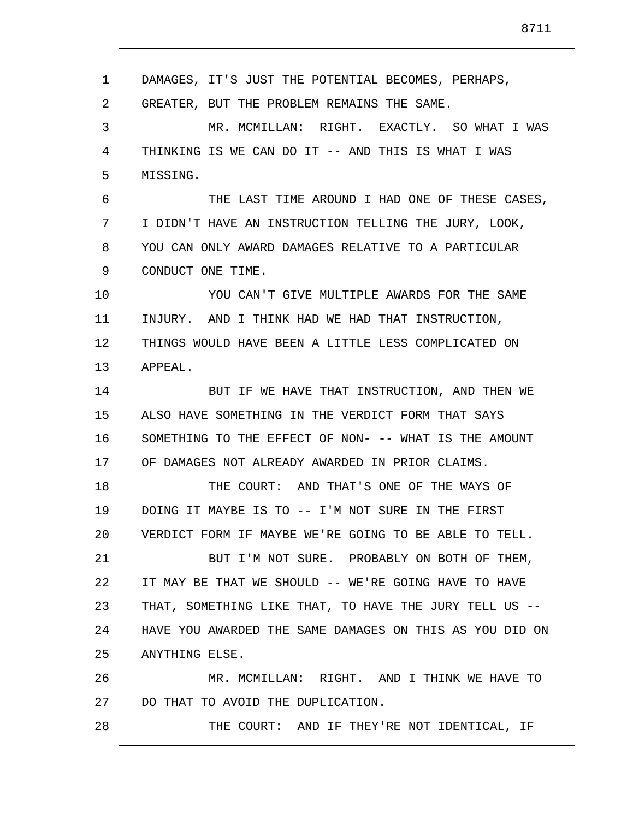| 1  | DAMAGES, IT'S JUST THE POTENTIAL BECOMES, PERHAPS,      |
|----|---------------------------------------------------------|
| 2  | GREATER, BUT THE PROBLEM REMAINS THE SAME.              |
| 3  | MR. MCMILLAN: RIGHT. EXACTLY. SO WHAT I WAS             |
| 4  | THINKING IS WE CAN DO IT -- AND THIS IS WHAT I WAS      |
| 5  | MISSING.                                                |
| 6  | THE LAST TIME AROUND I HAD ONE OF THESE CASES,          |
| 7  | I DIDN'T HAVE AN INSTRUCTION TELLING THE JURY, LOOK,    |
| 8  | YOU CAN ONLY AWARD DAMAGES RELATIVE TO A PARTICULAR     |
| 9  | CONDUCT ONE TIME.                                       |
| 10 | YOU CAN'T GIVE MULTIPLE AWARDS FOR THE SAME             |
| 11 | INJURY. AND I THINK HAD WE HAD THAT INSTRUCTION,        |
| 12 | THINGS WOULD HAVE BEEN A LITTLE LESS COMPLICATED ON     |
| 13 | APPEAL.                                                 |
| 14 | BUT IF WE HAVE THAT INSTRUCTION, AND THEN WE            |
| 15 | ALSO HAVE SOMETHING IN THE VERDICT FORM THAT SAYS       |
| 16 | SOMETHING TO THE EFFECT OF NON- -- WHAT IS THE AMOUNT   |
| 17 | OF DAMAGES NOT ALREADY AWARDED IN PRIOR CLAIMS.         |
| 18 | THE COURT: AND THAT'S ONE OF THE WAYS OF                |
| 19 | DOING IT MAYBE IS TO -- I'M NOT SURE IN THE FIRST       |
| 20 | VERDICT FORM IF MAYBE WE'RE GOING TO BE ABLE TO TELL.   |
| 21 | BUT I'M NOT SURE. PROBABLY ON BOTH OF THEM,             |
| 22 | IT MAY BE THAT WE SHOULD -- WE'RE GOING HAVE TO HAVE    |
| 23 | THAT, SOMETHING LIKE THAT, TO HAVE THE JURY TELL US --  |
| 24 | HAVE YOU AWARDED THE SAME DAMAGES ON THIS AS YOU DID ON |
| 25 | ANYTHING ELSE.                                          |
| 26 | MR. MCMILLAN: RIGHT. AND I THINK WE HAVE TO             |
| 27 | DO THAT TO AVOID THE DUPLICATION.                       |
| 28 | THE COURT: AND IF THEY'RE NOT IDENTICAL, IF             |

Г

I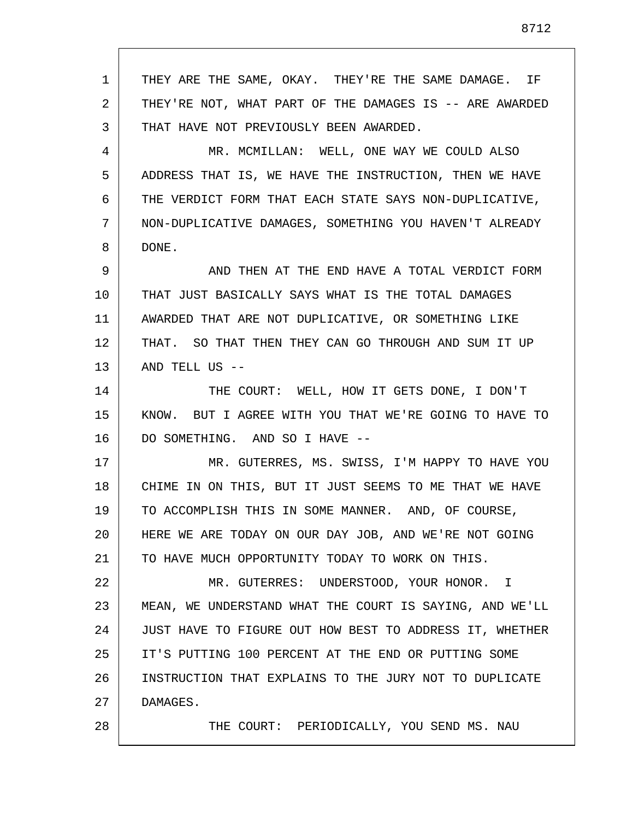1 2 3 4 5 6 7 8 9 10 11 12 13 14 15 16 17 18 19 20 21 22 23 24 25 26 27 28 THEY ARE THE SAME, OKAY. THEY'RE THE SAME DAMAGE. IF THEY'RE NOT, WHAT PART OF THE DAMAGES IS -- ARE AWARDED THAT HAVE NOT PREVIOUSLY BEEN AWARDED. MR. MCMILLAN: WELL, ONE WAY WE COULD ALSO ADDRESS THAT IS, WE HAVE THE INSTRUCTION, THEN WE HAVE THE VERDICT FORM THAT EACH STATE SAYS NON-DUPLICATIVE, NON-DUPLICATIVE DAMAGES, SOMETHING YOU HAVEN'T ALREADY DONE. AND THEN AT THE END HAVE A TOTAL VERDICT FORM THAT JUST BASICALLY SAYS WHAT IS THE TOTAL DAMAGES AWARDED THAT ARE NOT DUPLICATIVE, OR SOMETHING LIKE THAT. SO THAT THEN THEY CAN GO THROUGH AND SUM IT UP AND TELL US -- THE COURT: WELL, HOW IT GETS DONE, I DON'T KNOW. BUT I AGREE WITH YOU THAT WE'RE GOING TO HAVE TO DO SOMETHING. AND SO I HAVE -- MR. GUTERRES, MS. SWISS, I'M HAPPY TO HAVE YOU CHIME IN ON THIS, BUT IT JUST SEEMS TO ME THAT WE HAVE TO ACCOMPLISH THIS IN SOME MANNER. AND, OF COURSE, HERE WE ARE TODAY ON OUR DAY JOB, AND WE'RE NOT GOING TO HAVE MUCH OPPORTUNITY TODAY TO WORK ON THIS. MR. GUTERRES: UNDERSTOOD, YOUR HONOR. I MEAN, WE UNDERSTAND WHAT THE COURT IS SAYING, AND WE'LL JUST HAVE TO FIGURE OUT HOW BEST TO ADDRESS IT, WHETHER IT'S PUTTING 100 PERCENT AT THE END OR PUTTING SOME INSTRUCTION THAT EXPLAINS TO THE JURY NOT TO DUPLICATE DAMAGES. THE COURT: PERIODICALLY, YOU SEND MS. NAU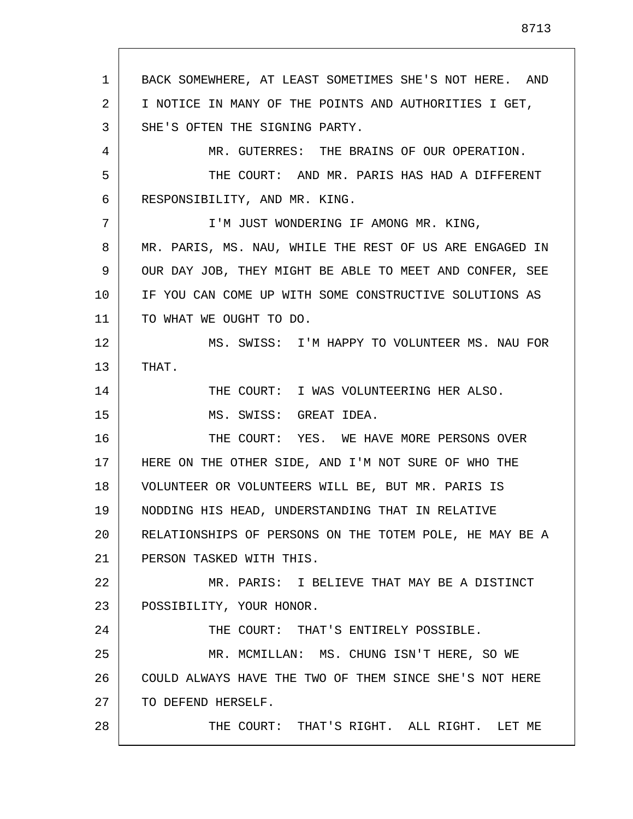1 2 3 4 5 6 7 8 9 10 11 12 13 14 15 16 17 18 19 20 21 22 23 24 25 26 27 28 BACK SOMEWHERE, AT LEAST SOMETIMES SHE'S NOT HERE. AND I NOTICE IN MANY OF THE POINTS AND AUTHORITIES I GET, SHE'S OFTEN THE SIGNING PARTY. MR. GUTERRES: THE BRAINS OF OUR OPERATION. THE COURT: AND MR. PARIS HAS HAD A DIFFERENT RESPONSIBILITY, AND MR. KING. I'M JUST WONDERING IF AMONG MR. KING, MR. PARIS, MS. NAU, WHILE THE REST OF US ARE ENGAGED IN OUR DAY JOB, THEY MIGHT BE ABLE TO MEET AND CONFER, SEE IF YOU CAN COME UP WITH SOME CONSTRUCTIVE SOLUTIONS AS TO WHAT WE OUGHT TO DO. MS. SWISS: I'M HAPPY TO VOLUNTEER MS. NAU FOR THAT. THE COURT: I WAS VOLUNTEERING HER ALSO. MS. SWISS: GREAT IDEA. THE COURT: YES. WE HAVE MORE PERSONS OVER HERE ON THE OTHER SIDE, AND I'M NOT SURE OF WHO THE VOLUNTEER OR VOLUNTEERS WILL BE, BUT MR. PARIS IS NODDING HIS HEAD, UNDERSTANDING THAT IN RELATIVE RELATIONSHIPS OF PERSONS ON THE TOTEM POLE, HE MAY BE A PERSON TASKED WITH THIS. MR. PARIS: I BELIEVE THAT MAY BE A DISTINCT POSSIBILITY, YOUR HONOR. THE COURT: THAT'S ENTIRELY POSSIBLE. MR. MCMILLAN: MS. CHUNG ISN'T HERE, SO WE COULD ALWAYS HAVE THE TWO OF THEM SINCE SHE'S NOT HERE TO DEFEND HERSELF. THE COURT: THAT'S RIGHT. ALL RIGHT. LET ME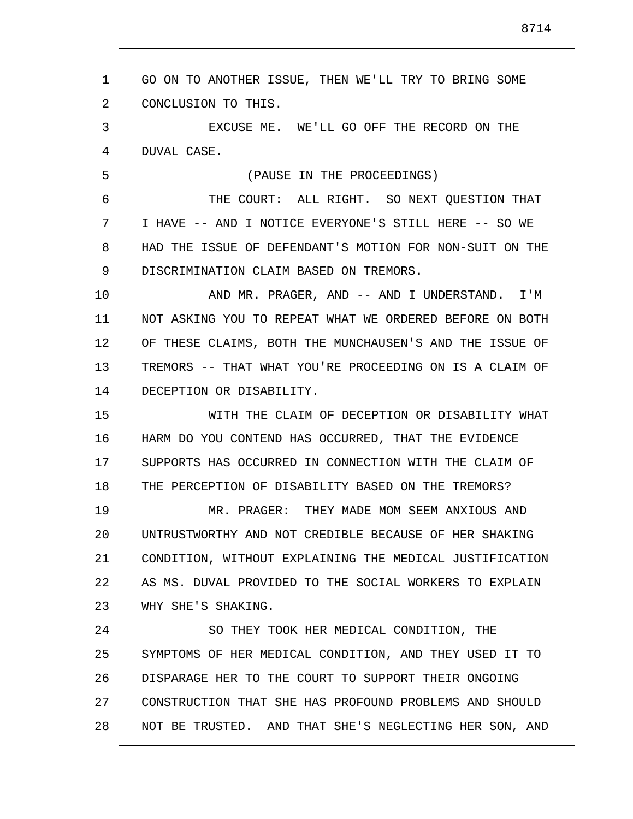1 2 3 4 5 6 7 8 9 10 11 12 13 14 15 16 17 18 19 20 21 22 23 24 25 26 27 28 GO ON TO ANOTHER ISSUE, THEN WE'LL TRY TO BRING SOME CONCLUSION TO THIS. EXCUSE ME. WE'LL GO OFF THE RECORD ON THE DUVAL CASE. (PAUSE IN THE PROCEEDINGS) THE COURT: ALL RIGHT. SO NEXT QUESTION THAT I HAVE -- AND I NOTICE EVERYONE'S STILL HERE -- SO WE HAD THE ISSUE OF DEFENDANT'S MOTION FOR NON-SUIT ON THE DISCRIMINATION CLAIM BASED ON TREMORS. AND MR. PRAGER, AND -- AND I UNDERSTAND. I'M NOT ASKING YOU TO REPEAT WHAT WE ORDERED BEFORE ON BOTH OF THESE CLAIMS, BOTH THE MUNCHAUSEN'S AND THE ISSUE OF TREMORS -- THAT WHAT YOU'RE PROCEEDING ON IS A CLAIM OF DECEPTION OR DISABILITY. WITH THE CLAIM OF DECEPTION OR DISABILITY WHAT HARM DO YOU CONTEND HAS OCCURRED, THAT THE EVIDENCE SUPPORTS HAS OCCURRED IN CONNECTION WITH THE CLAIM OF THE PERCEPTION OF DISABILITY BASED ON THE TREMORS? MR. PRAGER: THEY MADE MOM SEEM ANXIOUS AND UNTRUSTWORTHY AND NOT CREDIBLE BECAUSE OF HER SHAKING CONDITION, WITHOUT EXPLAINING THE MEDICAL JUSTIFICATION AS MS. DUVAL PROVIDED TO THE SOCIAL WORKERS TO EXPLAIN WHY SHE'S SHAKING. SO THEY TOOK HER MEDICAL CONDITION, THE SYMPTOMS OF HER MEDICAL CONDITION, AND THEY USED IT TO DISPARAGE HER TO THE COURT TO SUPPORT THEIR ONGOING CONSTRUCTION THAT SHE HAS PROFOUND PROBLEMS AND SHOULD NOT BE TRUSTED. AND THAT SHE'S NEGLECTING HER SON, AND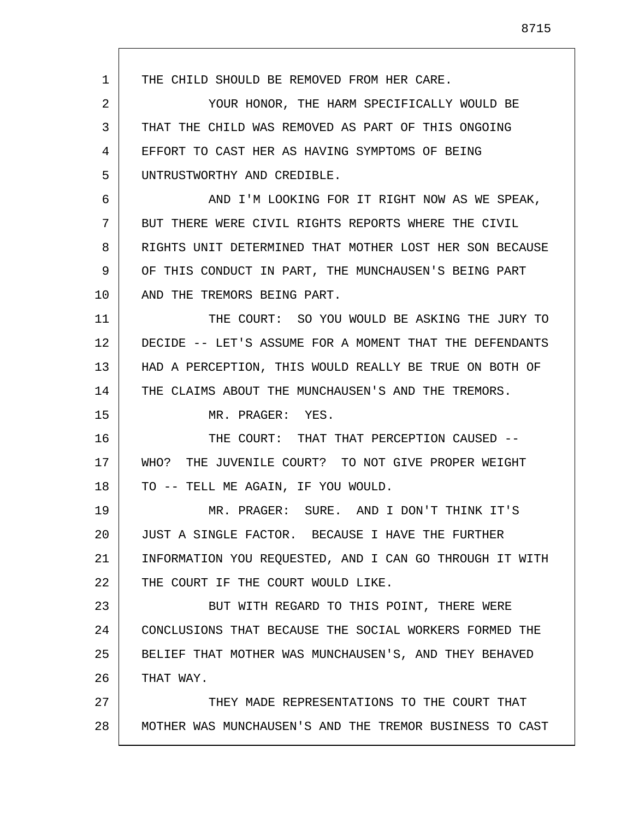1 2 3 4 5 6 7 8 9 10 11 12 13 14 15 16 17 18 19 20 21 22 23 24 25 26 27 28 THE CHILD SHOULD BE REMOVED FROM HER CARE. YOUR HONOR, THE HARM SPECIFICALLY WOULD BE THAT THE CHILD WAS REMOVED AS PART OF THIS ONGOING EFFORT TO CAST HER AS HAVING SYMPTOMS OF BEING UNTRUSTWORTHY AND CREDIBLE. AND I'M LOOKING FOR IT RIGHT NOW AS WE SPEAK, BUT THERE WERE CIVIL RIGHTS REPORTS WHERE THE CIVIL RIGHTS UNIT DETERMINED THAT MOTHER LOST HER SON BECAUSE OF THIS CONDUCT IN PART, THE MUNCHAUSEN'S BEING PART AND THE TREMORS BEING PART. THE COURT: SO YOU WOULD BE ASKING THE JURY TO DECIDE -- LET'S ASSUME FOR A MOMENT THAT THE DEFENDANTS HAD A PERCEPTION, THIS WOULD REALLY BE TRUE ON BOTH OF THE CLAIMS ABOUT THE MUNCHAUSEN'S AND THE TREMORS. MR. PRAGER: YES. THE COURT: THAT THAT PERCEPTION CAUSED -- WHO? THE JUVENILE COURT? TO NOT GIVE PROPER WEIGHT TO -- TELL ME AGAIN, IF YOU WOULD. MR. PRAGER: SURE. AND I DON'T THINK IT'S JUST A SINGLE FACTOR. BECAUSE I HAVE THE FURTHER INFORMATION YOU REQUESTED, AND I CAN GO THROUGH IT WITH THE COURT IF THE COURT WOULD LIKE. BUT WITH REGARD TO THIS POINT, THERE WERE CONCLUSIONS THAT BECAUSE THE SOCIAL WORKERS FORMED THE BELIEF THAT MOTHER WAS MUNCHAUSEN'S, AND THEY BEHAVED THAT WAY. THEY MADE REPRESENTATIONS TO THE COURT THAT MOTHER WAS MUNCHAUSEN'S AND THE TREMOR BUSINESS TO CAST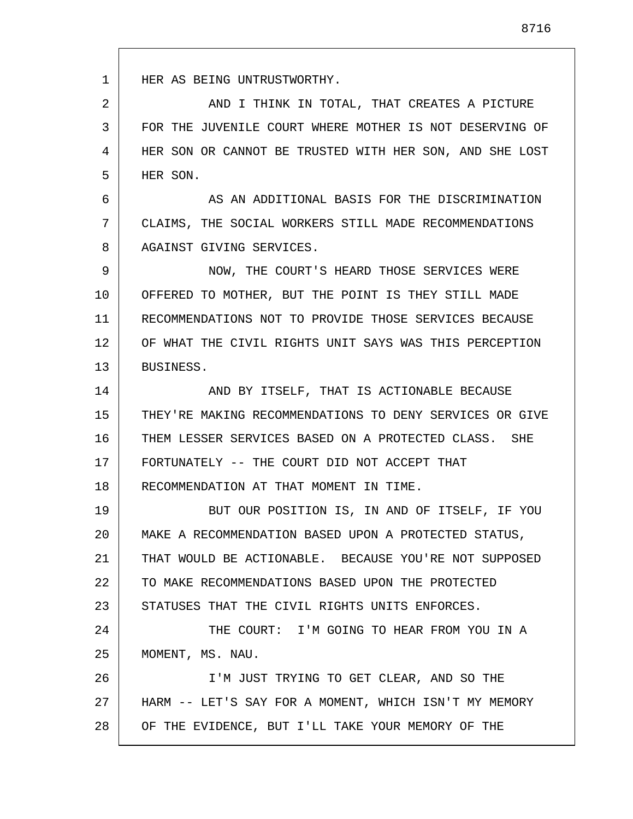1 2 3 4 5 6 7 8 9 10 11 12 13 14 15 16 17 18 19 20 21 22 23 24 25 26 27 28 HER AS BEING UNTRUSTWORTHY. AND I THINK IN TOTAL, THAT CREATES A PICTURE FOR THE JUVENILE COURT WHERE MOTHER IS NOT DESERVING OF HER SON OR CANNOT BE TRUSTED WITH HER SON, AND SHE LOST HER SON. AS AN ADDITIONAL BASIS FOR THE DISCRIMINATION CLAIMS, THE SOCIAL WORKERS STILL MADE RECOMMENDATIONS AGAINST GIVING SERVICES. NOW, THE COURT'S HEARD THOSE SERVICES WERE OFFERED TO MOTHER, BUT THE POINT IS THEY STILL MADE RECOMMENDATIONS NOT TO PROVIDE THOSE SERVICES BECAUSE OF WHAT THE CIVIL RIGHTS UNIT SAYS WAS THIS PERCEPTION BUSINESS. AND BY ITSELF, THAT IS ACTIONABLE BECAUSE THEY'RE MAKING RECOMMENDATIONS TO DENY SERVICES OR GIVE THEM LESSER SERVICES BASED ON A PROTECTED CLASS. SHE FORTUNATELY -- THE COURT DID NOT ACCEPT THAT RECOMMENDATION AT THAT MOMENT IN TIME. BUT OUR POSITION IS, IN AND OF ITSELF, IF YOU MAKE A RECOMMENDATION BASED UPON A PROTECTED STATUS, THAT WOULD BE ACTIONABLE. BECAUSE YOU'RE NOT SUPPOSED TO MAKE RECOMMENDATIONS BASED UPON THE PROTECTED STATUSES THAT THE CIVIL RIGHTS UNITS ENFORCES. THE COURT: I'M GOING TO HEAR FROM YOU IN A MOMENT, MS. NAU. I'M JUST TRYING TO GET CLEAR, AND SO THE HARM -- LET'S SAY FOR A MOMENT, WHICH ISN'T MY MEMORY OF THE EVIDENCE, BUT I'LL TAKE YOUR MEMORY OF THE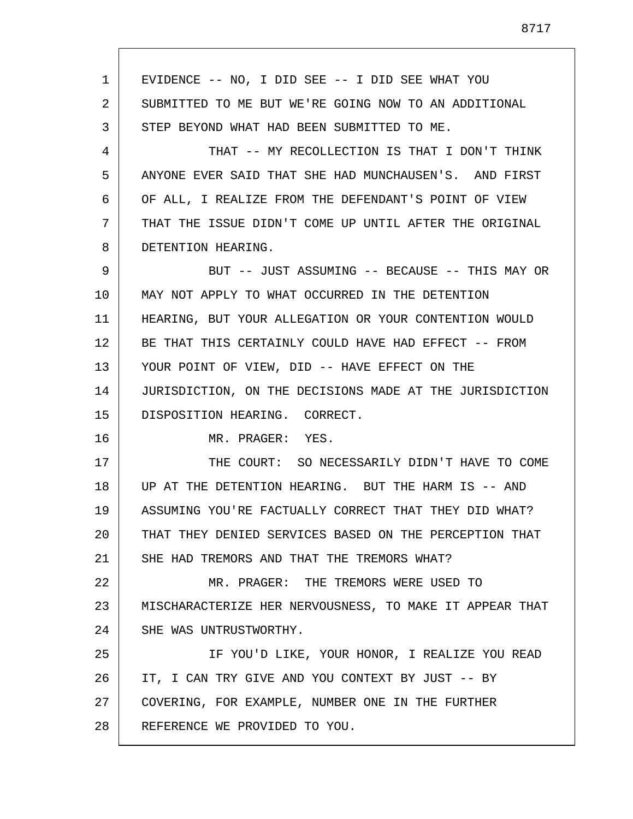1 2 3 4 5 6 7 8 9 10 11 12 13 14 15 16 17 18 19 20 21 22 23 24 25 26 27 28 EVIDENCE -- NO, I DID SEE -- I DID SEE WHAT YOU SUBMITTED TO ME BUT WE'RE GOING NOW TO AN ADDITIONAL STEP BEYOND WHAT HAD BEEN SUBMITTED TO ME. THAT -- MY RECOLLECTION IS THAT I DON'T THINK ANYONE EVER SAID THAT SHE HAD MUNCHAUSEN'S. AND FIRST OF ALL, I REALIZE FROM THE DEFENDANT'S POINT OF VIEW THAT THE ISSUE DIDN'T COME UP UNTIL AFTER THE ORIGINAL DETENTION HEARING. BUT -- JUST ASSUMING -- BECAUSE -- THIS MAY OR MAY NOT APPLY TO WHAT OCCURRED IN THE DETENTION HEARING, BUT YOUR ALLEGATION OR YOUR CONTENTION WOULD BE THAT THIS CERTAINLY COULD HAVE HAD EFFECT -- FROM YOUR POINT OF VIEW, DID -- HAVE EFFECT ON THE JURISDICTION, ON THE DECISIONS MADE AT THE JURISDICTION DISPOSITION HEARING. CORRECT. MR. PRAGER: YES. THE COURT: SO NECESSARILY DIDN'T HAVE TO COME UP AT THE DETENTION HEARING. BUT THE HARM IS -- AND ASSUMING YOU'RE FACTUALLY CORRECT THAT THEY DID WHAT? THAT THEY DENIED SERVICES BASED ON THE PERCEPTION THAT SHE HAD TREMORS AND THAT THE TREMORS WHAT? MR. PRAGER: THE TREMORS WERE USED TO MISCHARACTERIZE HER NERVOUSNESS, TO MAKE IT APPEAR THAT SHE WAS UNTRUSTWORTHY. IF YOU'D LIKE, YOUR HONOR, I REALIZE YOU READ IT, I CAN TRY GIVE AND YOU CONTEXT BY JUST -- BY COVERING, FOR EXAMPLE, NUMBER ONE IN THE FURTHER REFERENCE WE PROVIDED TO YOU.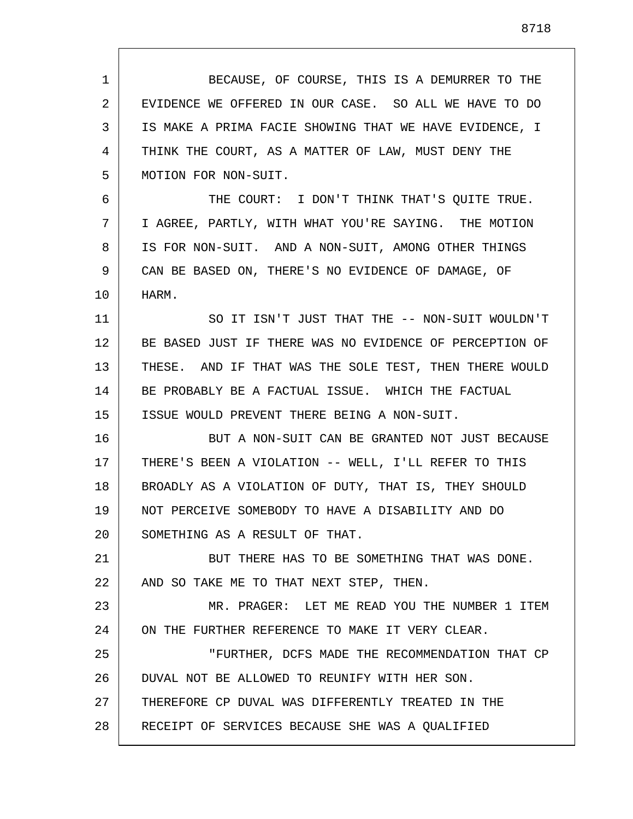1 2 3 4 5 6 7 8 9 10 11 12 13 14 15 16 17 18 19 20 21 22 23 24 25 26 27 28 BECAUSE, OF COURSE, THIS IS A DEMURRER TO THE EVIDENCE WE OFFERED IN OUR CASE. SO ALL WE HAVE TO DO IS MAKE A PRIMA FACIE SHOWING THAT WE HAVE EVIDENCE, I THINK THE COURT, AS A MATTER OF LAW, MUST DENY THE MOTION FOR NON-SUIT. THE COURT: I DON'T THINK THAT'S OUITE TRUE. I AGREE, PARTLY, WITH WHAT YOU'RE SAYING. THE MOTION IS FOR NON-SUIT. AND A NON-SUIT, AMONG OTHER THINGS CAN BE BASED ON, THERE'S NO EVIDENCE OF DAMAGE, OF HARM. SO IT ISN'T JUST THAT THE -- NON-SUIT WOULDN'T BE BASED JUST IF THERE WAS NO EVIDENCE OF PERCEPTION OF THESE. AND IF THAT WAS THE SOLE TEST, THEN THERE WOULD BE PROBABLY BE A FACTUAL ISSUE. WHICH THE FACTUAL ISSUE WOULD PREVENT THERE BEING A NON-SUIT. BUT A NON-SUIT CAN BE GRANTED NOT JUST BECAUSE THERE'S BEEN A VIOLATION -- WELL, I'LL REFER TO THIS BROADLY AS A VIOLATION OF DUTY, THAT IS, THEY SHOULD NOT PERCEIVE SOMEBODY TO HAVE A DISABILITY AND DO SOMETHING AS A RESULT OF THAT. BUT THERE HAS TO BE SOMETHING THAT WAS DONE. AND SO TAKE ME TO THAT NEXT STEP, THEN. MR. PRAGER: LET ME READ YOU THE NUMBER 1 ITEM ON THE FURTHER REFERENCE TO MAKE IT VERY CLEAR. "FURTHER, DCFS MADE THE RECOMMENDATION THAT CP DUVAL NOT BE ALLOWED TO REUNIFY WITH HER SON. THEREFORE CP DUVAL WAS DIFFERENTLY TREATED IN THE RECEIPT OF SERVICES BECAUSE SHE WAS A QUALIFIED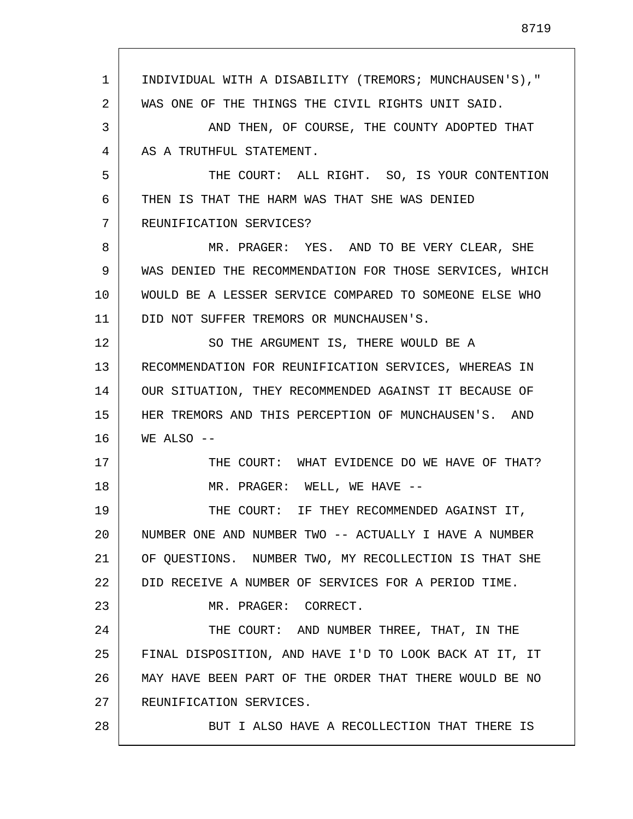1 2 3 4 5 6 7 8 9 10 11 12 13 14 15 16 17 18 19 20 21 22 23 24 25 26 27 28 INDIVIDUAL WITH A DISABILITY (TREMORS; MUNCHAUSEN'S)," WAS ONE OF THE THINGS THE CIVIL RIGHTS UNIT SAID. AND THEN, OF COURSE, THE COUNTY ADOPTED THAT AS A TRUTHFUL STATEMENT. THE COURT: ALL RIGHT. SO, IS YOUR CONTENTION THEN IS THAT THE HARM WAS THAT SHE WAS DENIED REUNIFICATION SERVICES? MR. PRAGER: YES. AND TO BE VERY CLEAR, SHE WAS DENIED THE RECOMMENDATION FOR THOSE SERVICES, WHICH WOULD BE A LESSER SERVICE COMPARED TO SOMEONE ELSE WHO DID NOT SUFFER TREMORS OR MUNCHAUSEN'S. SO THE ARGUMENT IS, THERE WOULD BE A RECOMMENDATION FOR REUNIFICATION SERVICES, WHEREAS IN OUR SITUATION, THEY RECOMMENDED AGAINST IT BECAUSE OF HER TREMORS AND THIS PERCEPTION OF MUNCHAUSEN'S. AND WE ALSO --THE COURT: WHAT EVIDENCE DO WE HAVE OF THAT? MR. PRAGER: WELL, WE HAVE -- THE COURT: IF THEY RECOMMENDED AGAINST IT, NUMBER ONE AND NUMBER TWO -- ACTUALLY I HAVE A NUMBER OF QUESTIONS. NUMBER TWO, MY RECOLLECTION IS THAT SHE DID RECEIVE A NUMBER OF SERVICES FOR A PERIOD TIME. MR. PRAGER: CORRECT. THE COURT: AND NUMBER THREE, THAT, IN THE FINAL DISPOSITION, AND HAVE I'D TO LOOK BACK AT IT, IT MAY HAVE BEEN PART OF THE ORDER THAT THERE WOULD BE NO REUNIFICATION SERVICES. BUT I ALSO HAVE A RECOLLECTION THAT THERE IS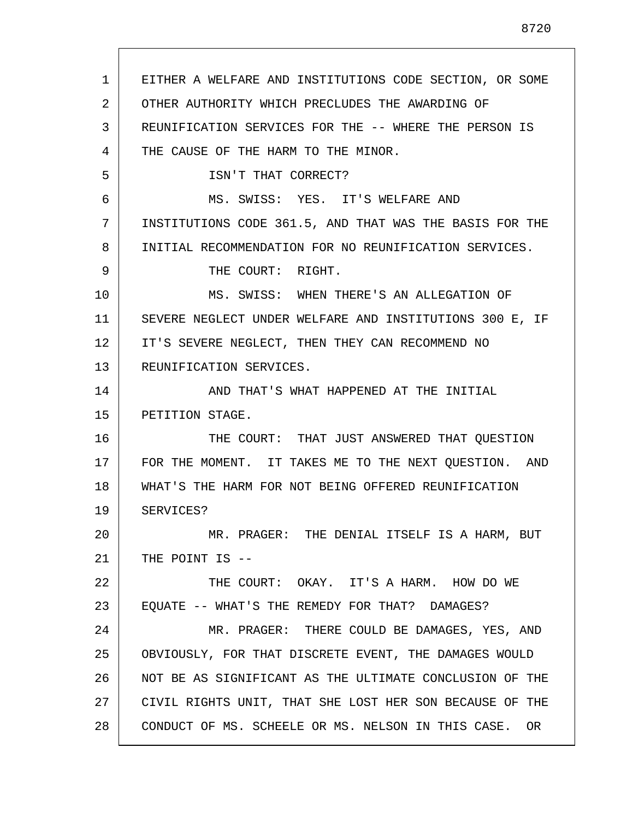1 2 3 4 5 6 7 8 9 10 11 12 13 14 15 16 17 18 19 20 21 22 23 24 25 26 27 28 EITHER A WELFARE AND INSTITUTIONS CODE SECTION, OR SOME OTHER AUTHORITY WHICH PRECLUDES THE AWARDING OF REUNIFICATION SERVICES FOR THE -- WHERE THE PERSON IS THE CAUSE OF THE HARM TO THE MINOR. ISN'T THAT CORRECT? MS. SWISS: YES. IT'S WELFARE AND INSTITUTIONS CODE 361.5, AND THAT WAS THE BASIS FOR THE INITIAL RECOMMENDATION FOR NO REUNIFICATION SERVICES. THE COURT: RIGHT. MS. SWISS: WHEN THERE'S AN ALLEGATION OF SEVERE NEGLECT UNDER WELFARE AND INSTITUTIONS 300 E, IF IT'S SEVERE NEGLECT, THEN THEY CAN RECOMMEND NO REUNIFICATION SERVICES. AND THAT'S WHAT HAPPENED AT THE INITIAL PETITION STAGE. THE COURT: THAT JUST ANSWERED THAT QUESTION FOR THE MOMENT. IT TAKES ME TO THE NEXT QUESTION. AND WHAT'S THE HARM FOR NOT BEING OFFERED REUNIFICATION SERVICES? MR. PRAGER: THE DENIAL ITSELF IS A HARM, BUT THE POINT IS -- THE COURT: OKAY. IT'S A HARM. HOW DO WE EQUATE -- WHAT'S THE REMEDY FOR THAT? DAMAGES? MR. PRAGER: THERE COULD BE DAMAGES, YES, AND OBVIOUSLY, FOR THAT DISCRETE EVENT, THE DAMAGES WOULD NOT BE AS SIGNIFICANT AS THE ULTIMATE CONCLUSION OF THE CIVIL RIGHTS UNIT, THAT SHE LOST HER SON BECAUSE OF THE CONDUCT OF MS. SCHEELE OR MS. NELSON IN THIS CASE. OR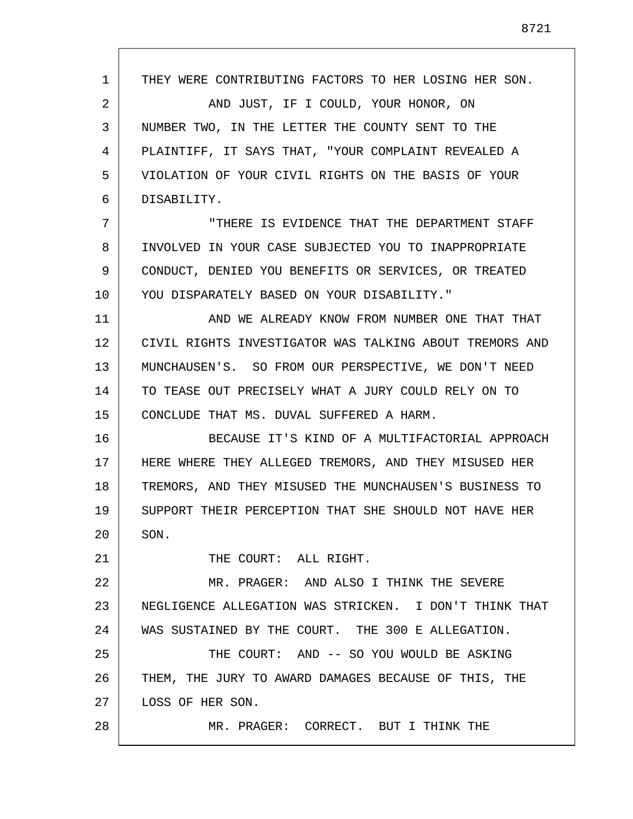1 2 3 4 5 6 7 8 9 10 11 12 13 14 15 16 17 18 19 20 21 22 23 24 25 26 27 28 THEY WERE CONTRIBUTING FACTORS TO HER LOSING HER SON. AND JUST, IF I COULD, YOUR HONOR, ON NUMBER TWO, IN THE LETTER THE COUNTY SENT TO THE PLAINTIFF, IT SAYS THAT, "YOUR COMPLAINT REVEALED A VIOLATION OF YOUR CIVIL RIGHTS ON THE BASIS OF YOUR DISABILITY. "THERE IS EVIDENCE THAT THE DEPARTMENT STAFF INVOLVED IN YOUR CASE SUBJECTED YOU TO INAPPROPRIATE CONDUCT, DENIED YOU BENEFITS OR SERVICES, OR TREATED YOU DISPARATELY BASED ON YOUR DISABILITY." AND WE ALREADY KNOW FROM NUMBER ONE THAT THAT CIVIL RIGHTS INVESTIGATOR WAS TALKING ABOUT TREMORS AND MUNCHAUSEN'S. SO FROM OUR PERSPECTIVE, WE DON'T NEED TO TEASE OUT PRECISELY WHAT A JURY COULD RELY ON TO CONCLUDE THAT MS. DUVAL SUFFERED A HARM. BECAUSE IT'S KIND OF A MULTIFACTORIAL APPROACH HERE WHERE THEY ALLEGED TREMORS, AND THEY MISUSED HER TREMORS, AND THEY MISUSED THE MUNCHAUSEN'S BUSINESS TO SUPPORT THEIR PERCEPTION THAT SHE SHOULD NOT HAVE HER SON. THE COURT: ALL RIGHT. MR. PRAGER: AND ALSO I THINK THE SEVERE NEGLIGENCE ALLEGATION WAS STRICKEN. I DON'T THINK THAT WAS SUSTAINED BY THE COURT. THE 300 E ALLEGATION. THE COURT: AND -- SO YOU WOULD BE ASKING THEM, THE JURY TO AWARD DAMAGES BECAUSE OF THIS, THE LOSS OF HER SON. MR. PRAGER: CORRECT. BUT I THINK THE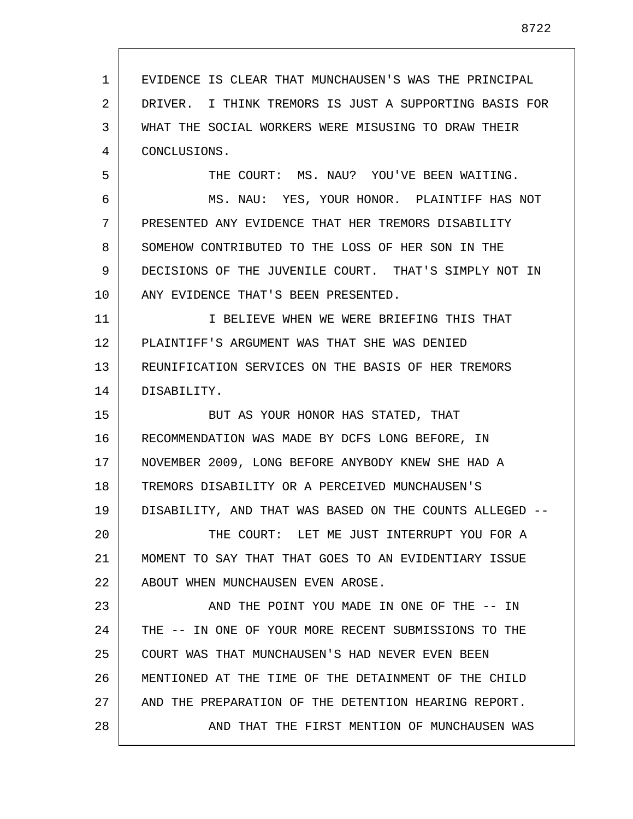1 2 3 4 5 6 7 8 9 10 11 12 13 14 15 16 17 18 19 20 21 22 23 24 25 26 27 28 EVIDENCE IS CLEAR THAT MUNCHAUSEN'S WAS THE PRINCIPAL DRIVER. I THINK TREMORS IS JUST A SUPPORTING BASIS FOR WHAT THE SOCIAL WORKERS WERE MISUSING TO DRAW THEIR CONCLUSIONS. THE COURT: MS. NAU? YOU'VE BEEN WAITING. MS. NAU: YES, YOUR HONOR. PLAINTIFF HAS NOT PRESENTED ANY EVIDENCE THAT HER TREMORS DISABILITY SOMEHOW CONTRIBUTED TO THE LOSS OF HER SON IN THE DECISIONS OF THE JUVENILE COURT. THAT'S SIMPLY NOT IN ANY EVIDENCE THAT'S BEEN PRESENTED. I BELIEVE WHEN WE WERE BRIEFING THIS THAT PLAINTIFF'S ARGUMENT WAS THAT SHE WAS DENIED REUNIFICATION SERVICES ON THE BASIS OF HER TREMORS DISABILITY. BUT AS YOUR HONOR HAS STATED, THAT RECOMMENDATION WAS MADE BY DCFS LONG BEFORE, IN NOVEMBER 2009, LONG BEFORE ANYBODY KNEW SHE HAD A TREMORS DISABILITY OR A PERCEIVED MUNCHAUSEN'S DISABILITY, AND THAT WAS BASED ON THE COUNTS ALLEGED -- THE COURT: LET ME JUST INTERRUPT YOU FOR A MOMENT TO SAY THAT THAT GOES TO AN EVIDENTIARY ISSUE ABOUT WHEN MUNCHAUSEN EVEN AROSE. AND THE POINT YOU MADE IN ONE OF THE -- IN THE -- IN ONE OF YOUR MORE RECENT SUBMISSIONS TO THE COURT WAS THAT MUNCHAUSEN'S HAD NEVER EVEN BEEN MENTIONED AT THE TIME OF THE DETAINMENT OF THE CHILD AND THE PREPARATION OF THE DETENTION HEARING REPORT. AND THAT THE FIRST MENTION OF MUNCHAUSEN WAS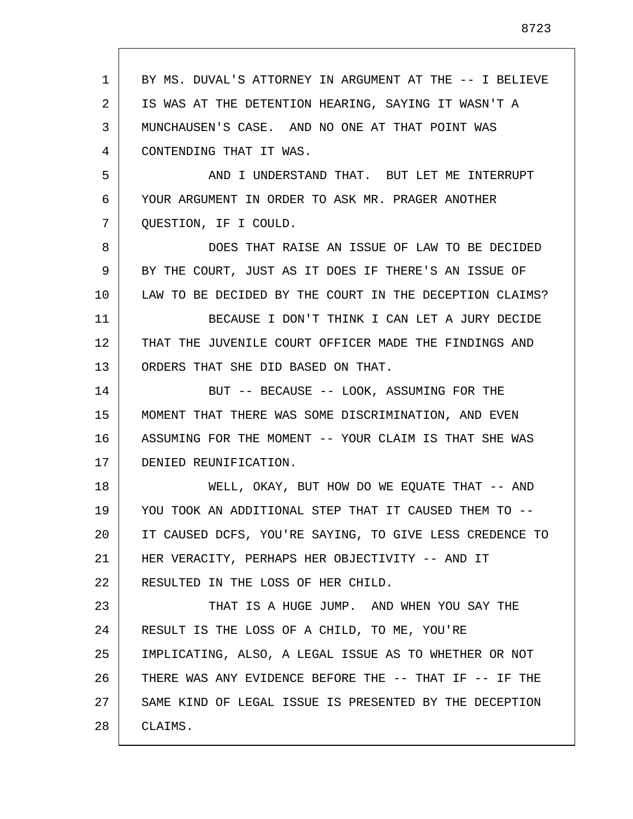| 1  | BY MS. DUVAL'S ATTORNEY IN ARGUMENT AT THE -- I BELIEVE |
|----|---------------------------------------------------------|
| 2  | IS WAS AT THE DETENTION HEARING, SAYING IT WASN'T A     |
| 3  | MUNCHAUSEN'S CASE. AND NO ONE AT THAT POINT WAS         |
| 4  | CONTENDING THAT IT WAS.                                 |
| 5  | AND I UNDERSTAND THAT. BUT LET ME INTERRUPT             |
| 6  | YOUR ARGUMENT IN ORDER TO ASK MR. PRAGER ANOTHER        |
| 7  | QUESTION, IF I COULD.                                   |
| 8  | DOES THAT RAISE AN ISSUE OF LAW TO BE DECIDED           |
| 9  | BY THE COURT, JUST AS IT DOES IF THERE'S AN ISSUE OF    |
| 10 | LAW TO BE DECIDED BY THE COURT IN THE DECEPTION CLAIMS? |
| 11 | BECAUSE I DON'T THINK I CAN LET A JURY DECIDE           |
| 12 | THAT THE JUVENILE COURT OFFICER MADE THE FINDINGS AND   |
| 13 | ORDERS THAT SHE DID BASED ON THAT.                      |
| 14 | BUT -- BECAUSE -- LOOK, ASSUMING FOR THE                |
| 15 | MOMENT THAT THERE WAS SOME DISCRIMINATION, AND EVEN     |
| 16 | ASSUMING FOR THE MOMENT -- YOUR CLAIM IS THAT SHE WAS   |
| 17 | DENIED REUNIFICATION.                                   |
| 18 | WELL, OKAY, BUT HOW DO WE EQUATE THAT -- AND            |
| 19 | YOU TOOK AN ADDITIONAL STEP THAT IT CAUSED THEM TO --   |
| 20 | IT CAUSED DCFS, YOU'RE SAYING, TO GIVE LESS CREDENCE TO |
| 21 | HER VERACITY, PERHAPS HER OBJECTIVITY -- AND IT         |
| 22 | RESULTED IN THE LOSS OF HER CHILD.                      |
| 23 | THAT IS A HUGE JUMP. AND WHEN YOU SAY THE               |
| 24 | RESULT IS THE LOSS OF A CHILD, TO ME, YOU'RE            |
| 25 | IMPLICATING, ALSO, A LEGAL ISSUE AS TO WHETHER OR NOT   |
| 26 | THERE WAS ANY EVIDENCE BEFORE THE -- THAT IF -- IF THE  |
| 27 | SAME KIND OF LEGAL ISSUE IS PRESENTED BY THE DECEPTION  |
| 28 | CLAIMS.                                                 |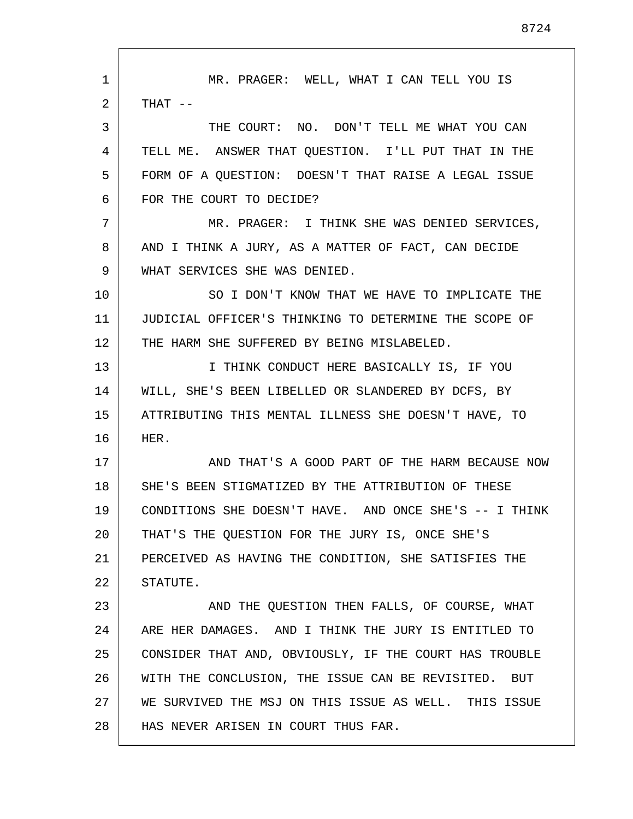1 2 3 4 5 6 7 8 9 10 11 12 13 14 15 16 17 18 19 20 21 22 23 24 25 26 27 28 MR. PRAGER: WELL, WHAT I CAN TELL YOU IS THAT -- THE COURT: NO. DON'T TELL ME WHAT YOU CAN TELL ME. ANSWER THAT QUESTION. I'LL PUT THAT IN THE FORM OF A QUESTION: DOESN'T THAT RAISE A LEGAL ISSUE FOR THE COURT TO DECIDE? MR. PRAGER: I THINK SHE WAS DENIED SERVICES, AND I THINK A JURY, AS A MATTER OF FACT, CAN DECIDE WHAT SERVICES SHE WAS DENIED. SO I DON'T KNOW THAT WE HAVE TO IMPLICATE THE JUDICIAL OFFICER'S THINKING TO DETERMINE THE SCOPE OF THE HARM SHE SUFFERED BY BEING MISLABELED. I THINK CONDUCT HERE BASICALLY IS, IF YOU WILL, SHE'S BEEN LIBELLED OR SLANDERED BY DCFS, BY ATTRIBUTING THIS MENTAL ILLNESS SHE DOESN'T HAVE, TO HER. AND THAT'S A GOOD PART OF THE HARM BECAUSE NOW SHE'S BEEN STIGMATIZED BY THE ATTRIBUTION OF THESE CONDITIONS SHE DOESN'T HAVE. AND ONCE SHE'S -- I THINK THAT'S THE QUESTION FOR THE JURY IS, ONCE SHE'S PERCEIVED AS HAVING THE CONDITION, SHE SATISFIES THE STATUTE. AND THE QUESTION THEN FALLS, OF COURSE, WHAT ARE HER DAMAGES. AND I THINK THE JURY IS ENTITLED TO CONSIDER THAT AND, OBVIOUSLY, IF THE COURT HAS TROUBLE WITH THE CONCLUSION, THE ISSUE CAN BE REVISITED. BUT WE SURVIVED THE MSJ ON THIS ISSUE AS WELL. THIS ISSUE HAS NEVER ARISEN IN COURT THUS FAR.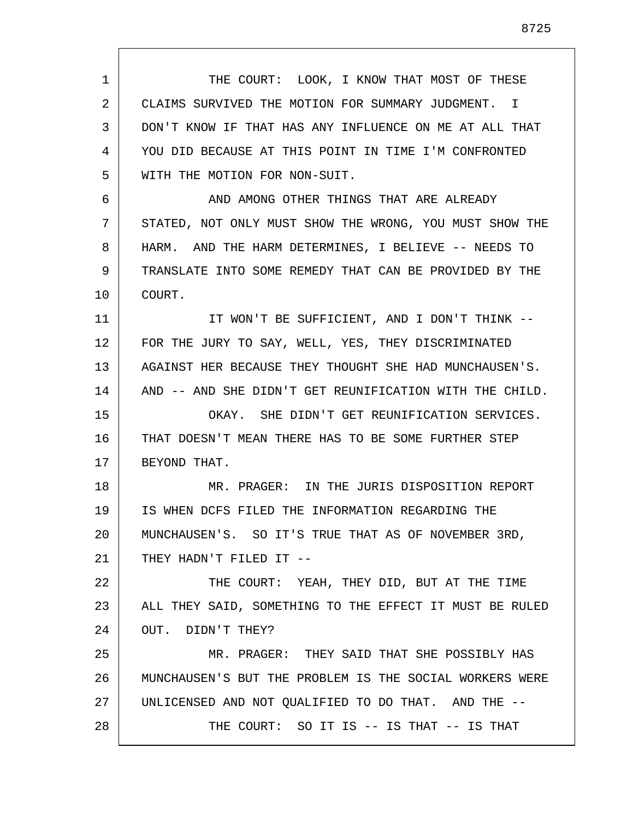1 2 3 4 5 6 7 8 9 10 11 12 13 14 15 16 17 18 19 20 21 22 23 24 25 26 27 28 THE COURT: LOOK, I KNOW THAT MOST OF THESE CLAIMS SURVIVED THE MOTION FOR SUMMARY JUDGMENT. I DON'T KNOW IF THAT HAS ANY INFLUENCE ON ME AT ALL THAT YOU DID BECAUSE AT THIS POINT IN TIME I'M CONFRONTED WITH THE MOTION FOR NON-SUIT. AND AMONG OTHER THINGS THAT ARE ALREADY STATED, NOT ONLY MUST SHOW THE WRONG, YOU MUST SHOW THE HARM. AND THE HARM DETERMINES, I BELIEVE -- NEEDS TO TRANSLATE INTO SOME REMEDY THAT CAN BE PROVIDED BY THE COURT. IT WON'T BE SUFFICIENT, AND I DON'T THINK -- FOR THE JURY TO SAY, WELL, YES, THEY DISCRIMINATED AGAINST HER BECAUSE THEY THOUGHT SHE HAD MUNCHAUSEN'S. AND -- AND SHE DIDN'T GET REUNIFICATION WITH THE CHILD. OKAY. SHE DIDN'T GET REUNIFICATION SERVICES. THAT DOESN'T MEAN THERE HAS TO BE SOME FURTHER STEP BEYOND THAT. MR. PRAGER: IN THE JURIS DISPOSITION REPORT IS WHEN DCFS FILED THE INFORMATION REGARDING THE MUNCHAUSEN'S. SO IT'S TRUE THAT AS OF NOVEMBER 3RD, THEY HADN'T FILED IT -- THE COURT: YEAH, THEY DID, BUT AT THE TIME ALL THEY SAID, SOMETHING TO THE EFFECT IT MUST BE RULED OUT. DIDN'T THEY? MR. PRAGER: THEY SAID THAT SHE POSSIBLY HAS MUNCHAUSEN'S BUT THE PROBLEM IS THE SOCIAL WORKERS WERE UNLICENSED AND NOT QUALIFIED TO DO THAT. AND THE -- THE COURT: SO IT IS -- IS THAT -- IS THAT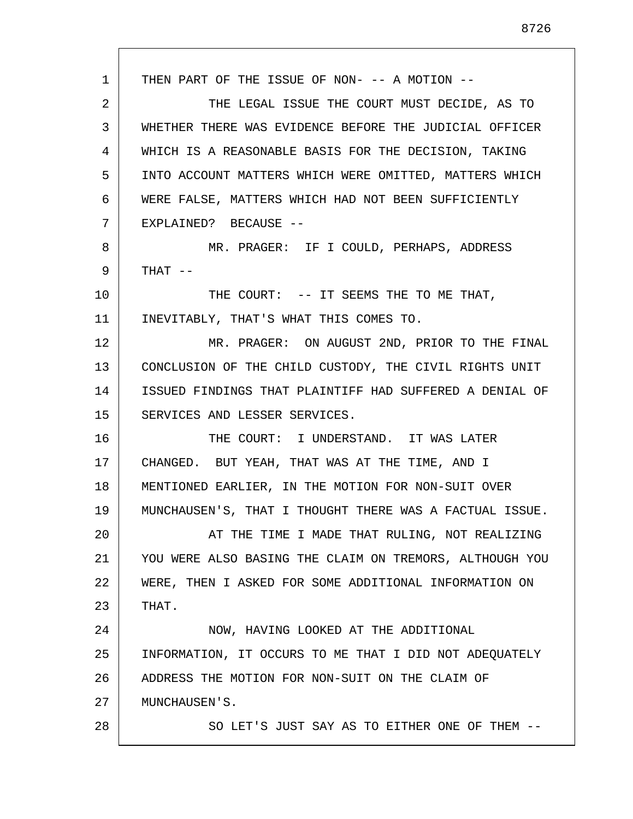1 2 3 4 5 6 7 8 9 10 11 12 13 14 15 16 17 18 19 20 21 22 23 24 25 26 27 28 THEN PART OF THE ISSUE OF NON- -- A MOTION -- THE LEGAL ISSUE THE COURT MUST DECIDE, AS TO WHETHER THERE WAS EVIDENCE BEFORE THE JUDICIAL OFFICER WHICH IS A REASONABLE BASIS FOR THE DECISION, TAKING INTO ACCOUNT MATTERS WHICH WERE OMITTED, MATTERS WHICH WERE FALSE, MATTERS WHICH HAD NOT BEEN SUFFICIENTLY EXPLAINED? BECAUSE -- MR. PRAGER: IF I COULD, PERHAPS, ADDRESS THAT -- THE COURT: -- IT SEEMS THE TO ME THAT, INEVITABLY, THAT'S WHAT THIS COMES TO. MR. PRAGER: ON AUGUST 2ND, PRIOR TO THE FINAL CONCLUSION OF THE CHILD CUSTODY, THE CIVIL RIGHTS UNIT ISSUED FINDINGS THAT PLAINTIFF HAD SUFFERED A DENIAL OF SERVICES AND LESSER SERVICES. THE COURT: I UNDERSTAND. IT WAS LATER CHANGED. BUT YEAH, THAT WAS AT THE TIME, AND I MENTIONED EARLIER, IN THE MOTION FOR NON-SUIT OVER MUNCHAUSEN'S, THAT I THOUGHT THERE WAS A FACTUAL ISSUE. AT THE TIME I MADE THAT RULING, NOT REALIZING YOU WERE ALSO BASING THE CLAIM ON TREMORS, ALTHOUGH YOU WERE, THEN I ASKED FOR SOME ADDITIONAL INFORMATION ON THAT. NOW, HAVING LOOKED AT THE ADDITIONAL INFORMATION, IT OCCURS TO ME THAT I DID NOT ADEQUATELY ADDRESS THE MOTION FOR NON-SUIT ON THE CLAIM OF MUNCHAUSEN'S. SO LET'S JUST SAY AS TO EITHER ONE OF THEM --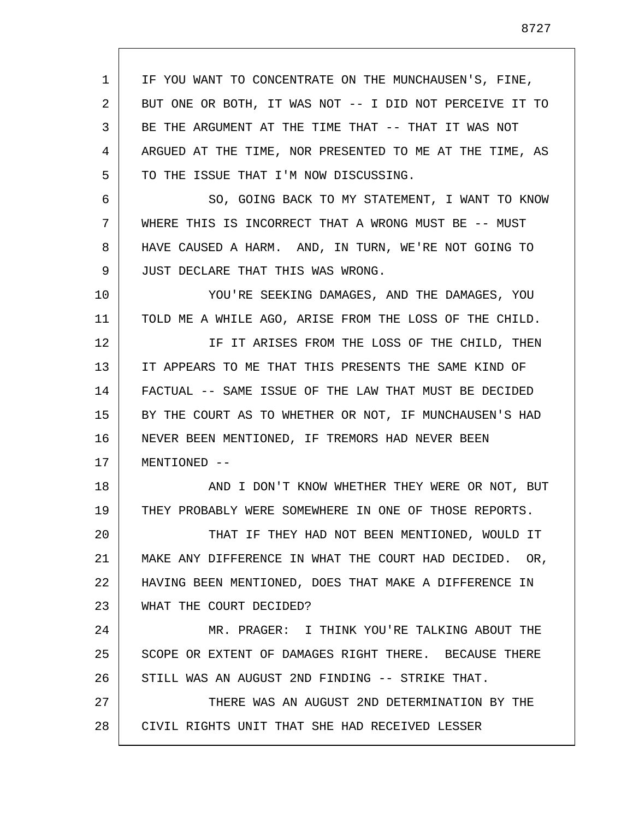1 2 3 4 5 6 7 8 9 10 11 12 13 14 15 16 17 18 19 20 21 22 23 24 25 26 27 28 IF YOU WANT TO CONCENTRATE ON THE MUNCHAUSEN'S, FINE, BUT ONE OR BOTH, IT WAS NOT -- I DID NOT PERCEIVE IT TO BE THE ARGUMENT AT THE TIME THAT -- THAT IT WAS NOT ARGUED AT THE TIME, NOR PRESENTED TO ME AT THE TIME, AS TO THE ISSUE THAT I'M NOW DISCUSSING. SO, GOING BACK TO MY STATEMENT, I WANT TO KNOW WHERE THIS IS INCORRECT THAT A WRONG MUST BE -- MUST HAVE CAUSED A HARM. AND, IN TURN, WE'RE NOT GOING TO JUST DECLARE THAT THIS WAS WRONG. YOU'RE SEEKING DAMAGES, AND THE DAMAGES, YOU TOLD ME A WHILE AGO, ARISE FROM THE LOSS OF THE CHILD. IF IT ARISES FROM THE LOSS OF THE CHILD, THEN IT APPEARS TO ME THAT THIS PRESENTS THE SAME KIND OF FACTUAL -- SAME ISSUE OF THE LAW THAT MUST BE DECIDED BY THE COURT AS TO WHETHER OR NOT, IF MUNCHAUSEN'S HAD NEVER BEEN MENTIONED, IF TREMORS HAD NEVER BEEN MENTIONED -- AND I DON'T KNOW WHETHER THEY WERE OR NOT, BUT THEY PROBABLY WERE SOMEWHERE IN ONE OF THOSE REPORTS. THAT IF THEY HAD NOT BEEN MENTIONED, WOULD IT MAKE ANY DIFFERENCE IN WHAT THE COURT HAD DECIDED. OR, HAVING BEEN MENTIONED, DOES THAT MAKE A DIFFERENCE IN WHAT THE COURT DECIDED? MR. PRAGER: I THINK YOU'RE TALKING ABOUT THE SCOPE OR EXTENT OF DAMAGES RIGHT THERE. BECAUSE THERE STILL WAS AN AUGUST 2ND FINDING -- STRIKE THAT. THERE WAS AN AUGUST 2ND DETERMINATION BY THE CIVIL RIGHTS UNIT THAT SHE HAD RECEIVED LESSER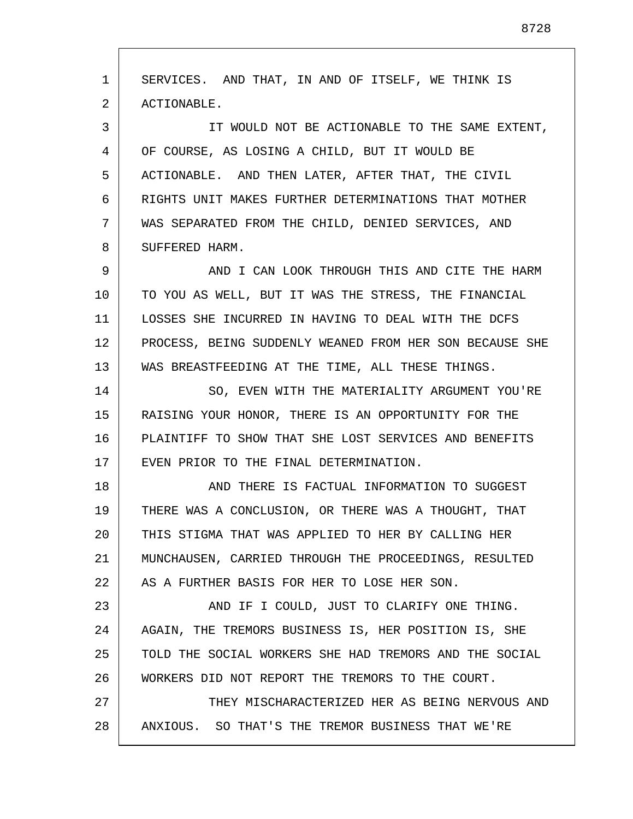1 2 3 4 5 6 7 8 9 10 11 12 13 14 15 16 17 18 19 20 21 22 23 24 25 26 27 28 SERVICES. AND THAT, IN AND OF ITSELF, WE THINK IS ACTIONABLE. IT WOULD NOT BE ACTIONABLE TO THE SAME EXTENT, OF COURSE, AS LOSING A CHILD, BUT IT WOULD BE ACTIONABLE. AND THEN LATER, AFTER THAT, THE CIVIL RIGHTS UNIT MAKES FURTHER DETERMINATIONS THAT MOTHER WAS SEPARATED FROM THE CHILD, DENIED SERVICES, AND SUFFERED HARM. AND I CAN LOOK THROUGH THIS AND CITE THE HARM TO YOU AS WELL, BUT IT WAS THE STRESS, THE FINANCIAL LOSSES SHE INCURRED IN HAVING TO DEAL WITH THE DCFS PROCESS, BEING SUDDENLY WEANED FROM HER SON BECAUSE SHE WAS BREASTFEEDING AT THE TIME, ALL THESE THINGS. SO, EVEN WITH THE MATERIALITY ARGUMENT YOU'RE RAISING YOUR HONOR, THERE IS AN OPPORTUNITY FOR THE PLAINTIFF TO SHOW THAT SHE LOST SERVICES AND BENEFITS EVEN PRIOR TO THE FINAL DETERMINATION. AND THERE IS FACTUAL INFORMATION TO SUGGEST THERE WAS A CONCLUSION, OR THERE WAS A THOUGHT, THAT THIS STIGMA THAT WAS APPLIED TO HER BY CALLING HER MUNCHAUSEN, CARRIED THROUGH THE PROCEEDINGS, RESULTED AS A FURTHER BASIS FOR HER TO LOSE HER SON. AND IF I COULD, JUST TO CLARIFY ONE THING. AGAIN, THE TREMORS BUSINESS IS, HER POSITION IS, SHE TOLD THE SOCIAL WORKERS SHE HAD TREMORS AND THE SOCIAL WORKERS DID NOT REPORT THE TREMORS TO THE COURT. THEY MISCHARACTERIZED HER AS BEING NERVOUS AND ANXIOUS. SO THAT'S THE TREMOR BUSINESS THAT WE'RE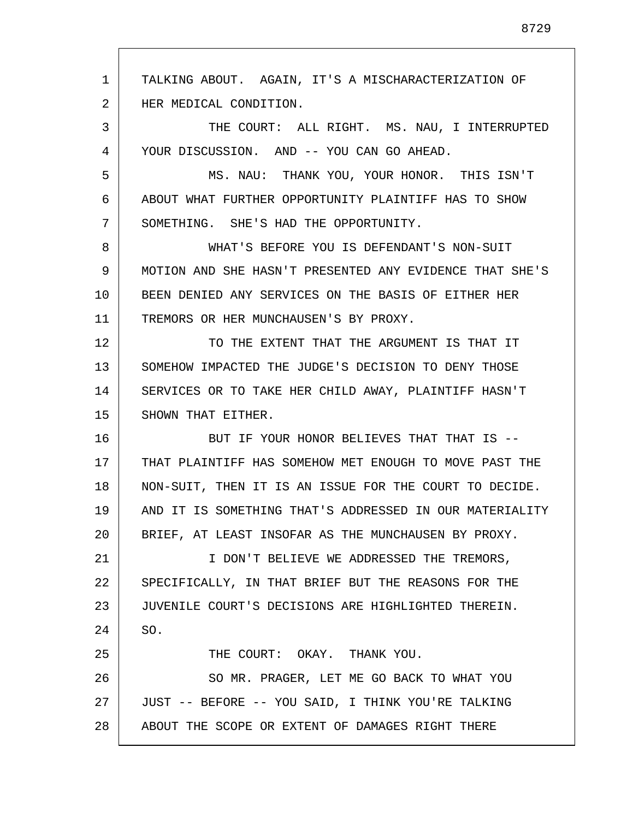1 2 3 4 5 6 7 8 9 10 11 12 13 14 15 16 17 18 19 20 21 22 23 24 25 26 27 28 TALKING ABOUT. AGAIN, IT'S A MISCHARACTERIZATION OF HER MEDICAL CONDITION. THE COURT: ALL RIGHT. MS. NAU, I INTERRUPTED YOUR DISCUSSION. AND -- YOU CAN GO AHEAD. MS. NAU: THANK YOU, YOUR HONOR. THIS ISN'T ABOUT WHAT FURTHER OPPORTUNITY PLAINTIFF HAS TO SHOW SOMETHING. SHE'S HAD THE OPPORTUNITY. WHAT'S BEFORE YOU IS DEFENDANT'S NON-SUIT MOTION AND SHE HASN'T PRESENTED ANY EVIDENCE THAT SHE'S BEEN DENIED ANY SERVICES ON THE BASIS OF EITHER HER TREMORS OR HER MUNCHAUSEN'S BY PROXY. TO THE EXTENT THAT THE ARGUMENT IS THAT IT SOMEHOW IMPACTED THE JUDGE'S DECISION TO DENY THOSE SERVICES OR TO TAKE HER CHILD AWAY, PLAINTIFF HASN'T SHOWN THAT EITHER. BUT IF YOUR HONOR BELIEVES THAT THAT IS -- THAT PLAINTIFF HAS SOMEHOW MET ENOUGH TO MOVE PAST THE NON-SUIT, THEN IT IS AN ISSUE FOR THE COURT TO DECIDE. AND IT IS SOMETHING THAT'S ADDRESSED IN OUR MATERIALITY BRIEF, AT LEAST INSOFAR AS THE MUNCHAUSEN BY PROXY. I DON'T BELIEVE WE ADDRESSED THE TREMORS, SPECIFICALLY, IN THAT BRIEF BUT THE REASONS FOR THE JUVENILE COURT'S DECISIONS ARE HIGHLIGHTED THEREIN. SO. THE COURT: OKAY. THANK YOU. SO MR. PRAGER, LET ME GO BACK TO WHAT YOU JUST -- BEFORE -- YOU SAID, I THINK YOU'RE TALKING ABOUT THE SCOPE OR EXTENT OF DAMAGES RIGHT THERE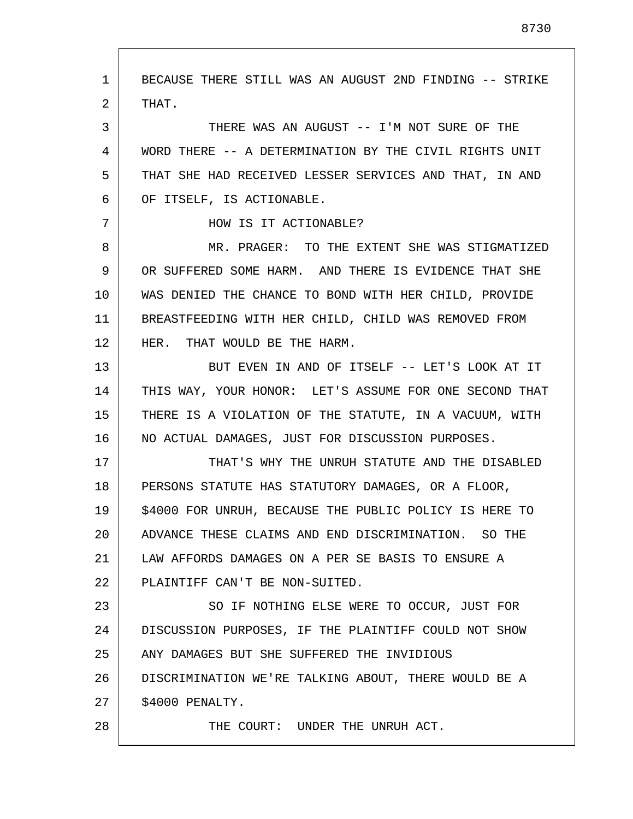1 2 3 4 5 6 7 8 9 10 11 12 13 14 15 16 17 18 19 20 21 22 23 24 25 26 27 28 BECAUSE THERE STILL WAS AN AUGUST 2ND FINDING -- STRIKE THAT. THERE WAS AN AUGUST -- I'M NOT SURE OF THE WORD THERE -- A DETERMINATION BY THE CIVIL RIGHTS UNIT THAT SHE HAD RECEIVED LESSER SERVICES AND THAT, IN AND OF ITSELF, IS ACTIONABLE. HOW IS IT ACTIONABLE? MR. PRAGER: TO THE EXTENT SHE WAS STIGMATIZED OR SUFFERED SOME HARM. AND THERE IS EVIDENCE THAT SHE WAS DENIED THE CHANCE TO BOND WITH HER CHILD, PROVIDE BREASTFEEDING WITH HER CHILD, CHILD WAS REMOVED FROM HER. THAT WOULD BE THE HARM. BUT EVEN IN AND OF ITSELF -- LET'S LOOK AT IT THIS WAY, YOUR HONOR: LET'S ASSUME FOR ONE SECOND THAT THERE IS A VIOLATION OF THE STATUTE, IN A VACUUM, WITH NO ACTUAL DAMAGES, JUST FOR DISCUSSION PURPOSES. THAT'S WHY THE UNRUH STATUTE AND THE DISABLED PERSONS STATUTE HAS STATUTORY DAMAGES, OR A FLOOR, \$4000 FOR UNRUH, BECAUSE THE PUBLIC POLICY IS HERE TO ADVANCE THESE CLAIMS AND END DISCRIMINATION. SO THE LAW AFFORDS DAMAGES ON A PER SE BASIS TO ENSURE A PLAINTIFF CAN'T BE NON-SUITED. SO IF NOTHING ELSE WERE TO OCCUR, JUST FOR DISCUSSION PURPOSES, IF THE PLAINTIFF COULD NOT SHOW ANY DAMAGES BUT SHE SUFFERED THE INVIDIOUS DISCRIMINATION WE'RE TALKING ABOUT, THERE WOULD BE A \$4000 PENALTY. THE COURT: UNDER THE UNRUH ACT.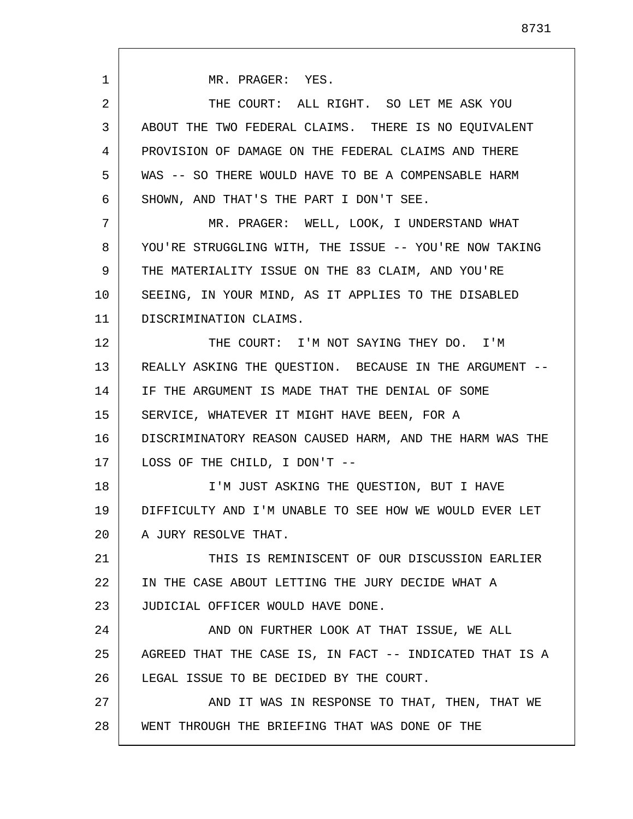1 2 3 4 5 6 7 8 9 10 11 12 13 14 15 16 17 18 19 20 21 22 23 24 25 26 27 28 MR. PRAGER: YES. THE COURT: ALL RIGHT. SO LET ME ASK YOU ABOUT THE TWO FEDERAL CLAIMS. THERE IS NO EQUIVALENT PROVISION OF DAMAGE ON THE FEDERAL CLAIMS AND THERE WAS -- SO THERE WOULD HAVE TO BE A COMPENSABLE HARM SHOWN, AND THAT'S THE PART I DON'T SEE. MR. PRAGER: WELL, LOOK, I UNDERSTAND WHAT YOU'RE STRUGGLING WITH, THE ISSUE -- YOU'RE NOW TAKING THE MATERIALITY ISSUE ON THE 83 CLAIM, AND YOU'RE SEEING, IN YOUR MIND, AS IT APPLIES TO THE DISABLED DISCRIMINATION CLAIMS. THE COURT: I'M NOT SAYING THEY DO. I'M REALLY ASKING THE QUESTION. BECAUSE IN THE ARGUMENT -- IF THE ARGUMENT IS MADE THAT THE DENIAL OF SOME SERVICE, WHATEVER IT MIGHT HAVE BEEN, FOR A DISCRIMINATORY REASON CAUSED HARM, AND THE HARM WAS THE LOSS OF THE CHILD, I DON'T -- I'M JUST ASKING THE QUESTION, BUT I HAVE DIFFICULTY AND I'M UNABLE TO SEE HOW WE WOULD EVER LET A JURY RESOLVE THAT. THIS IS REMINISCENT OF OUR DISCUSSION EARLIER IN THE CASE ABOUT LETTING THE JURY DECIDE WHAT A JUDICIAL OFFICER WOULD HAVE DONE. AND ON FURTHER LOOK AT THAT ISSUE, WE ALL AGREED THAT THE CASE IS, IN FACT -- INDICATED THAT IS A LEGAL ISSUE TO BE DECIDED BY THE COURT. AND IT WAS IN RESPONSE TO THAT, THEN, THAT WE WENT THROUGH THE BRIEFING THAT WAS DONE OF THE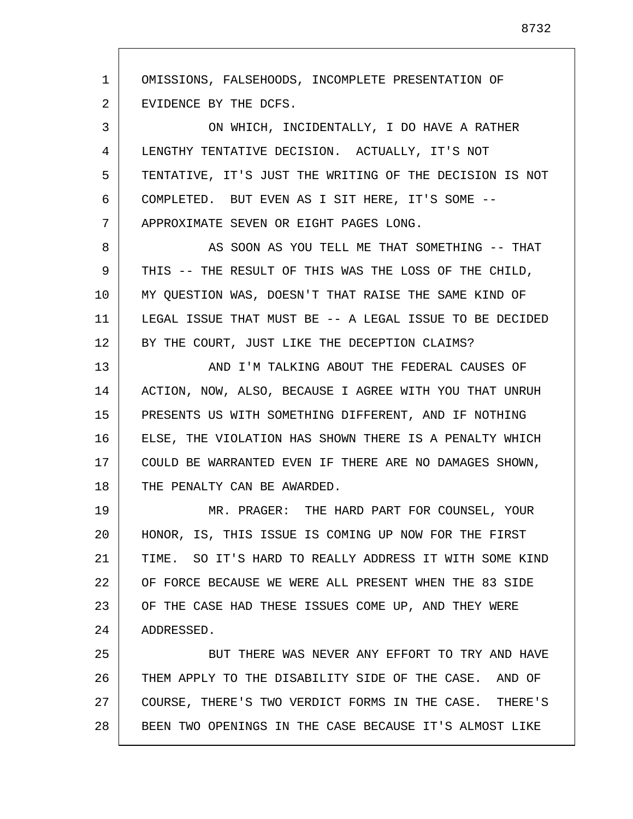1 2 OMISSIONS, FALSEHOODS, INCOMPLETE PRESENTATION OF EVIDENCE BY THE DCFS.

3 4 5 6 7 ON WHICH, INCIDENTALLY, I DO HAVE A RATHER LENGTHY TENTATIVE DECISION. ACTUALLY, IT'S NOT TENTATIVE, IT'S JUST THE WRITING OF THE DECISION IS NOT COMPLETED. BUT EVEN AS I SIT HERE, IT'S SOME -- APPROXIMATE SEVEN OR EIGHT PAGES LONG.

8 9 10 11 12 AS SOON AS YOU TELL ME THAT SOMETHING -- THAT THIS -- THE RESULT OF THIS WAS THE LOSS OF THE CHILD, MY QUESTION WAS, DOESN'T THAT RAISE THE SAME KIND OF LEGAL ISSUE THAT MUST BE -- A LEGAL ISSUE TO BE DECIDED BY THE COURT, JUST LIKE THE DECEPTION CLAIMS?

13 14 15 16 17 18 AND I'M TALKING ABOUT THE FEDERAL CAUSES OF ACTION, NOW, ALSO, BECAUSE I AGREE WITH YOU THAT UNRUH PRESENTS US WITH SOMETHING DIFFERENT, AND IF NOTHING ELSE, THE VIOLATION HAS SHOWN THERE IS A PENALTY WHICH COULD BE WARRANTED EVEN IF THERE ARE NO DAMAGES SHOWN, THE PENALTY CAN BE AWARDED.

19 20 21 22 23 24 MR. PRAGER: THE HARD PART FOR COUNSEL, YOUR HONOR, IS, THIS ISSUE IS COMING UP NOW FOR THE FIRST TIME. SO IT'S HARD TO REALLY ADDRESS IT WITH SOME KIND OF FORCE BECAUSE WE WERE ALL PRESENT WHEN THE 83 SIDE OF THE CASE HAD THESE ISSUES COME UP, AND THEY WERE ADDRESSED.

25 26 27 28 BUT THERE WAS NEVER ANY EFFORT TO TRY AND HAVE THEM APPLY TO THE DISABILITY SIDE OF THE CASE. AND OF COURSE, THERE'S TWO VERDICT FORMS IN THE CASE. THERE'S BEEN TWO OPENINGS IN THE CASE BECAUSE IT'S ALMOST LIKE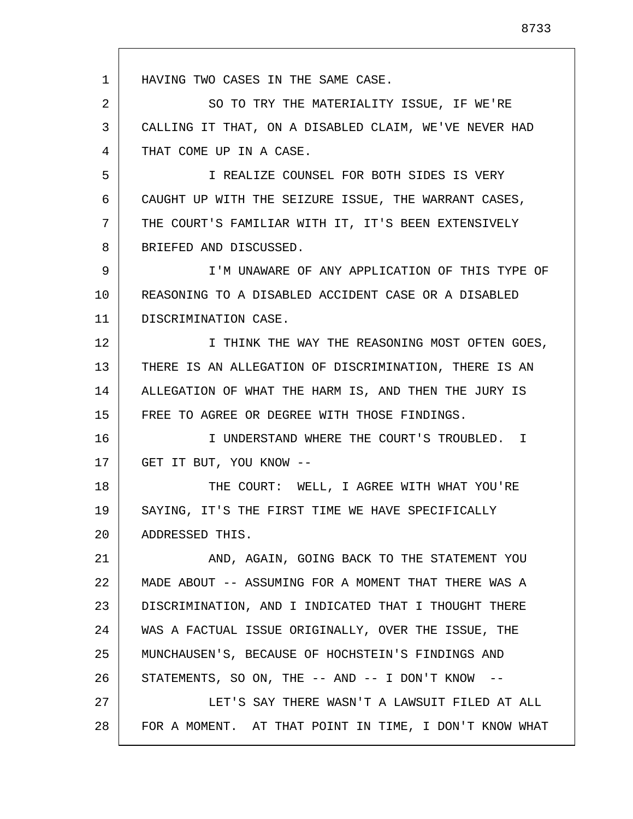1 2 3 4 5 6 7 8 9 10 11 12 13 14 15 16 17 18 19 20 21 22 23 24 25 26 27 28 HAVING TWO CASES IN THE SAME CASE. SO TO TRY THE MATERIALITY ISSUE, IF WE'RE CALLING IT THAT, ON A DISABLED CLAIM, WE'VE NEVER HAD THAT COME UP IN A CASE. I REALIZE COUNSEL FOR BOTH SIDES IS VERY CAUGHT UP WITH THE SEIZURE ISSUE, THE WARRANT CASES, THE COURT'S FAMILIAR WITH IT, IT'S BEEN EXTENSIVELY BRIEFED AND DISCUSSED. I'M UNAWARE OF ANY APPLICATION OF THIS TYPE OF REASONING TO A DISABLED ACCIDENT CASE OR A DISABLED DISCRIMINATION CASE. I THINK THE WAY THE REASONING MOST OFTEN GOES, THERE IS AN ALLEGATION OF DISCRIMINATION, THERE IS AN ALLEGATION OF WHAT THE HARM IS, AND THEN THE JURY IS FREE TO AGREE OR DEGREE WITH THOSE FINDINGS. I UNDERSTAND WHERE THE COURT'S TROUBLED. I GET IT BUT, YOU KNOW -- THE COURT: WELL, I AGREE WITH WHAT YOU'RE SAYING, IT'S THE FIRST TIME WE HAVE SPECIFICALLY ADDRESSED THIS. AND, AGAIN, GOING BACK TO THE STATEMENT YOU MADE ABOUT -- ASSUMING FOR A MOMENT THAT THERE WAS A DISCRIMINATION, AND I INDICATED THAT I THOUGHT THERE WAS A FACTUAL ISSUE ORIGINALLY, OVER THE ISSUE, THE MUNCHAUSEN'S, BECAUSE OF HOCHSTEIN'S FINDINGS AND STATEMENTS, SO ON, THE  $--$  AND  $--$  I DON'T KNOW  $--$ LET'S SAY THERE WASN'T A LAWSUIT FILED AT ALL FOR A MOMENT. AT THAT POINT IN TIME, I DON'T KNOW WHAT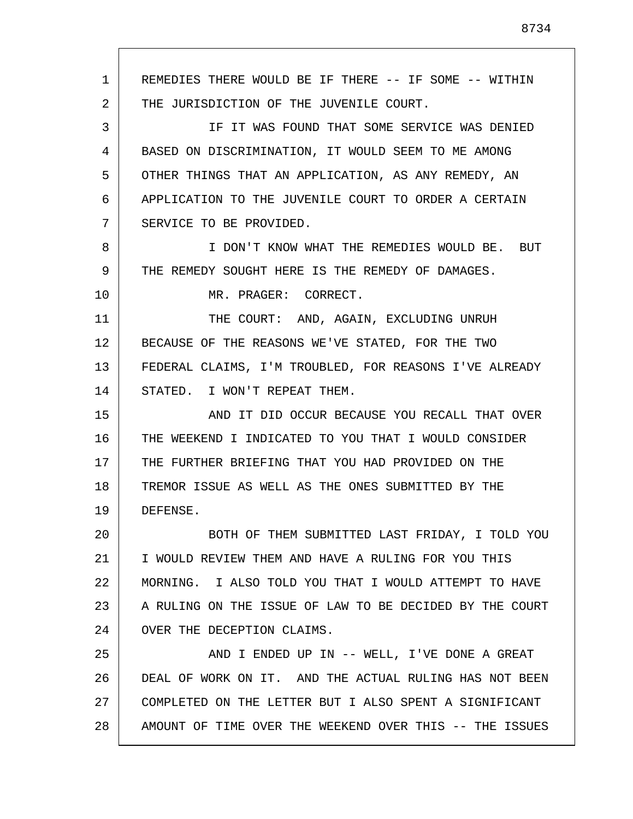1 2 3 4 5 6 7 8 9 10 11 12 13 14 15 16 17 18 19 20 21 22 23 24 25 26 27 28 REMEDIES THERE WOULD BE IF THERE -- IF SOME -- WITHIN THE JURISDICTION OF THE JUVENILE COURT. IF IT WAS FOUND THAT SOME SERVICE WAS DENIED BASED ON DISCRIMINATION, IT WOULD SEEM TO ME AMONG OTHER THINGS THAT AN APPLICATION, AS ANY REMEDY, AN APPLICATION TO THE JUVENILE COURT TO ORDER A CERTAIN SERVICE TO BE PROVIDED. I DON'T KNOW WHAT THE REMEDIES WOULD BE. BUT THE REMEDY SOUGHT HERE IS THE REMEDY OF DAMAGES. MR. PRAGER: CORRECT. THE COURT: AND, AGAIN, EXCLUDING UNRUH BECAUSE OF THE REASONS WE'VE STATED, FOR THE TWO FEDERAL CLAIMS, I'M TROUBLED, FOR REASONS I'VE ALREADY STATED. I WON'T REPEAT THEM. AND IT DID OCCUR BECAUSE YOU RECALL THAT OVER THE WEEKEND I INDICATED TO YOU THAT I WOULD CONSIDER THE FURTHER BRIEFING THAT YOU HAD PROVIDED ON THE TREMOR ISSUE AS WELL AS THE ONES SUBMITTED BY THE DEFENSE. BOTH OF THEM SUBMITTED LAST FRIDAY, I TOLD YOU I WOULD REVIEW THEM AND HAVE A RULING FOR YOU THIS MORNING. I ALSO TOLD YOU THAT I WOULD ATTEMPT TO HAVE A RULING ON THE ISSUE OF LAW TO BE DECIDED BY THE COURT OVER THE DECEPTION CLAIMS. AND I ENDED UP IN -- WELL, I'VE DONE A GREAT DEAL OF WORK ON IT. AND THE ACTUAL RULING HAS NOT BEEN COMPLETED ON THE LETTER BUT I ALSO SPENT A SIGNIFICANT AMOUNT OF TIME OVER THE WEEKEND OVER THIS -- THE ISSUES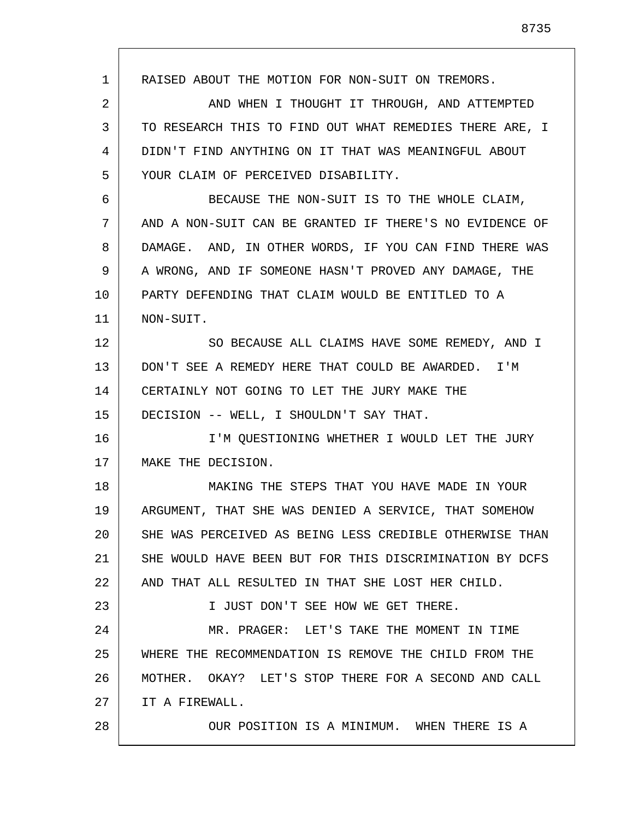1 2 3 4 5 6 7 8 9 10 11 12 13 14 15 16 17 18 19 20 21 22 23 24 25 26 27 28 RAISED ABOUT THE MOTION FOR NON-SUIT ON TREMORS. AND WHEN I THOUGHT IT THROUGH, AND ATTEMPTED TO RESEARCH THIS TO FIND OUT WHAT REMEDIES THERE ARE, I DIDN'T FIND ANYTHING ON IT THAT WAS MEANINGFUL ABOUT YOUR CLAIM OF PERCEIVED DISABILITY. BECAUSE THE NON-SUIT IS TO THE WHOLE CLAIM, AND A NON-SUIT CAN BE GRANTED IF THERE'S NO EVIDENCE OF DAMAGE. AND, IN OTHER WORDS, IF YOU CAN FIND THERE WAS A WRONG, AND IF SOMEONE HASN'T PROVED ANY DAMAGE, THE PARTY DEFENDING THAT CLAIM WOULD BE ENTITLED TO A NON-SUIT. SO BECAUSE ALL CLAIMS HAVE SOME REMEDY, AND I DON'T SEE A REMEDY HERE THAT COULD BE AWARDED. I'M CERTAINLY NOT GOING TO LET THE JURY MAKE THE DECISION -- WELL, I SHOULDN'T SAY THAT. I'M QUESTIONING WHETHER I WOULD LET THE JURY MAKE THE DECISION. MAKING THE STEPS THAT YOU HAVE MADE IN YOUR ARGUMENT, THAT SHE WAS DENIED A SERVICE, THAT SOMEHOW SHE WAS PERCEIVED AS BEING LESS CREDIBLE OTHERWISE THAN SHE WOULD HAVE BEEN BUT FOR THIS DISCRIMINATION BY DCFS AND THAT ALL RESULTED IN THAT SHE LOST HER CHILD. I JUST DON'T SEE HOW WE GET THERE. MR. PRAGER: LET'S TAKE THE MOMENT IN TIME WHERE THE RECOMMENDATION IS REMOVE THE CHILD FROM THE MOTHER. OKAY? LET'S STOP THERE FOR A SECOND AND CALL IT A FIREWALL. OUR POSITION IS A MINIMUM. WHEN THERE IS A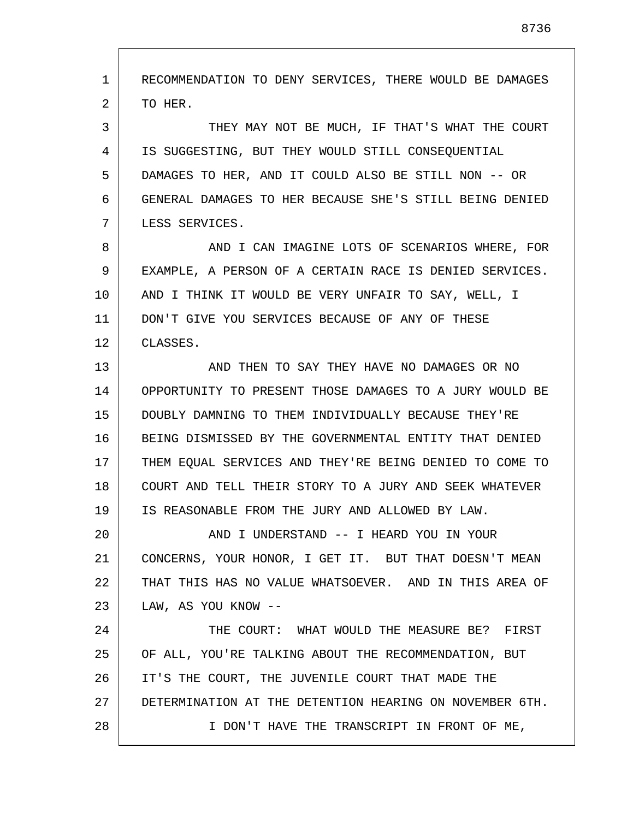1 2 3 4 5 6 7 8 9 10 11 12 13 14 15 16 17 18 19 20 21 22 23 24 25 26 27 28 RECOMMENDATION TO DENY SERVICES, THERE WOULD BE DAMAGES TO HER. THEY MAY NOT BE MUCH, IF THAT'S WHAT THE COURT IS SUGGESTING, BUT THEY WOULD STILL CONSEQUENTIAL DAMAGES TO HER, AND IT COULD ALSO BE STILL NON -- OR GENERAL DAMAGES TO HER BECAUSE SHE'S STILL BEING DENIED LESS SERVICES. AND I CAN IMAGINE LOTS OF SCENARIOS WHERE, FOR EXAMPLE, A PERSON OF A CERTAIN RACE IS DENIED SERVICES. AND I THINK IT WOULD BE VERY UNFAIR TO SAY, WELL, I DON'T GIVE YOU SERVICES BECAUSE OF ANY OF THESE CLASSES. AND THEN TO SAY THEY HAVE NO DAMAGES OR NO OPPORTUNITY TO PRESENT THOSE DAMAGES TO A JURY WOULD BE DOUBLY DAMNING TO THEM INDIVIDUALLY BECAUSE THEY'RE BEING DISMISSED BY THE GOVERNMENTAL ENTITY THAT DENIED THEM EQUAL SERVICES AND THEY'RE BEING DENIED TO COME TO COURT AND TELL THEIR STORY TO A JURY AND SEEK WHATEVER IS REASONABLE FROM THE JURY AND ALLOWED BY LAW. AND I UNDERSTAND -- I HEARD YOU IN YOUR CONCERNS, YOUR HONOR, I GET IT. BUT THAT DOESN'T MEAN THAT THIS HAS NO VALUE WHATSOEVER. AND IN THIS AREA OF LAW, AS YOU KNOW -- THE COURT: WHAT WOULD THE MEASURE BE? FIRST OF ALL, YOU'RE TALKING ABOUT THE RECOMMENDATION, BUT IT'S THE COURT, THE JUVENILE COURT THAT MADE THE DETERMINATION AT THE DETENTION HEARING ON NOVEMBER 6TH. I DON'T HAVE THE TRANSCRIPT IN FRONT OF ME,

8736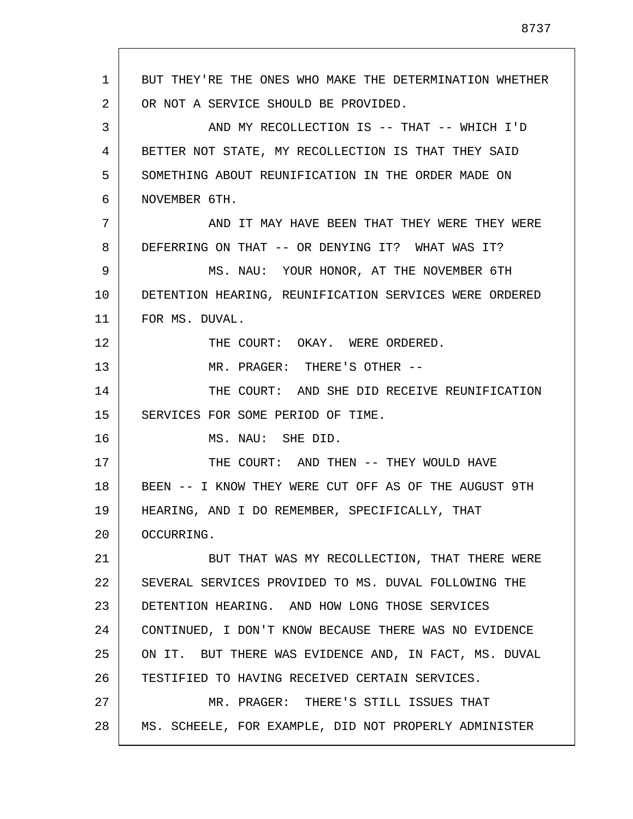| 1  | BUT THEY'RE THE ONES WHO MAKE THE DETERMINATION WHETHER |
|----|---------------------------------------------------------|
| 2  | OR NOT A SERVICE SHOULD BE PROVIDED.                    |
| 3  | AND MY RECOLLECTION IS -- THAT -- WHICH I'D             |
| 4  | BETTER NOT STATE, MY RECOLLECTION IS THAT THEY SAID     |
| 5  | SOMETHING ABOUT REUNIFICATION IN THE ORDER MADE ON      |
| 6  | NOVEMBER 6TH.                                           |
| 7  | AND IT MAY HAVE BEEN THAT THEY WERE THEY WERE           |
| 8  | DEFERRING ON THAT -- OR DENYING IT? WHAT WAS IT?        |
| 9  | MS. NAU: YOUR HONOR, AT THE NOVEMBER 6TH                |
| 10 | DETENTION HEARING, REUNIFICATION SERVICES WERE ORDERED  |
| 11 | FOR MS. DUVAL.                                          |
| 12 | THE COURT: OKAY. WERE ORDERED.                          |
| 13 | MR. PRAGER: THERE'S OTHER --                            |
| 14 | THE COURT: AND SHE DID RECEIVE REUNIFICATION            |
| 15 | SERVICES FOR SOME PERIOD OF TIME.                       |
| 16 | MS. NAU: SHE DID.                                       |
| 17 | THE COURT: AND THEN -- THEY WOULD HAVE                  |
| 18 | BEEN -- I KNOW THEY WERE CUT OFF AS OF THE AUGUST 9TH   |
| 19 | HEARING, AND I DO REMEMBER, SPECIFICALLY, THAT          |
| 20 | OCCURRING.                                              |
| 21 | BUT THAT WAS MY RECOLLECTION, THAT THERE WERE           |
| 22 | SEVERAL SERVICES PROVIDED TO MS. DUVAL FOLLOWING THE    |
| 23 | DETENTION HEARING. AND HOW LONG THOSE SERVICES          |
| 24 | CONTINUED, I DON'T KNOW BECAUSE THERE WAS NO EVIDENCE   |
| 25 | ON IT. BUT THERE WAS EVIDENCE AND, IN FACT, MS. DUVAL   |
| 26 | TESTIFIED TO HAVING RECEIVED CERTAIN SERVICES.          |
| 27 | MR. PRAGER: THERE'S STILL ISSUES THAT                   |
| 28 | MS. SCHEELE, FOR EXAMPLE, DID NOT PROPERLY ADMINISTER   |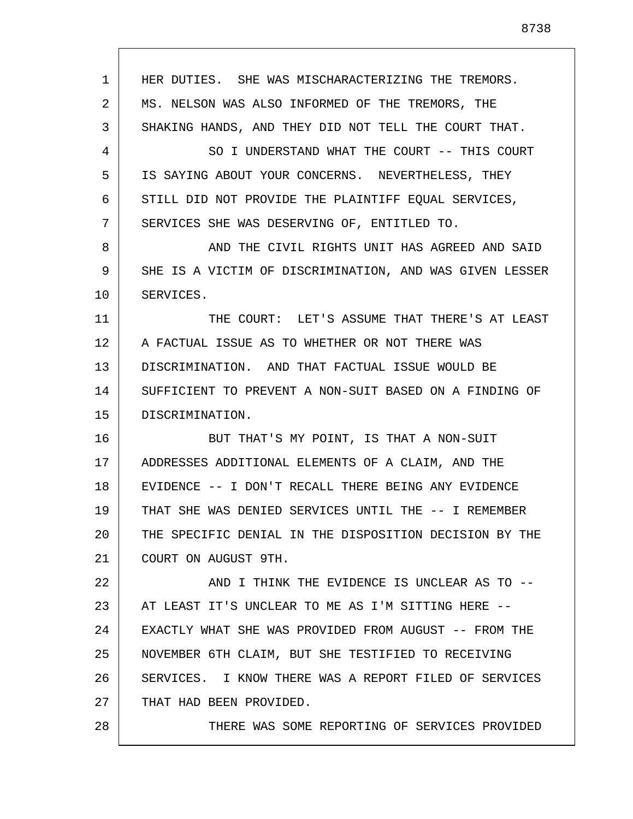1 2 3 4 5 6 7 8 9 10 11 12 13 14 15 16 17 18 19 20 21 22 23 24 25 26 27 28 HER DUTIES. SHE WAS MISCHARACTERIZING THE TREMORS. MS. NELSON WAS ALSO INFORMED OF THE TREMORS, THE SHAKING HANDS, AND THEY DID NOT TELL THE COURT THAT. SO I UNDERSTAND WHAT THE COURT -- THIS COURT IS SAYING ABOUT YOUR CONCERNS. NEVERTHELESS, THEY STILL DID NOT PROVIDE THE PLAINTIFF EOUAL SERVICES, SERVICES SHE WAS DESERVING OF, ENTITLED TO. AND THE CIVIL RIGHTS UNIT HAS AGREED AND SAID SHE IS A VICTIM OF DISCRIMINATION, AND WAS GIVEN LESSER SERVICES. THE COURT: LET'S ASSUME THAT THERE'S AT LEAST A FACTUAL ISSUE AS TO WHETHER OR NOT THERE WAS DISCRIMINATION. AND THAT FACTUAL ISSUE WOULD BE SUFFICIENT TO PREVENT A NON-SUIT BASED ON A FINDING OF DISCRIMINATION. BUT THAT'S MY POINT, IS THAT A NON-SUIT ADDRESSES ADDITIONAL ELEMENTS OF A CLAIM, AND THE EVIDENCE -- I DON'T RECALL THERE BEING ANY EVIDENCE THAT SHE WAS DENIED SERVICES UNTIL THE -- I REMEMBER THE SPECIFIC DENIAL IN THE DISPOSITION DECISION BY THE COURT ON AUGUST 9TH. AND I THINK THE EVIDENCE IS UNCLEAR AS TO -- AT LEAST IT'S UNCLEAR TO ME AS I'M SITTING HERE -- EXACTLY WHAT SHE WAS PROVIDED FROM AUGUST -- FROM THE NOVEMBER 6TH CLAIM, BUT SHE TESTIFIED TO RECEIVING SERVICES. I KNOW THERE WAS A REPORT FILED OF SERVICES THAT HAD BEEN PROVIDED. THERE WAS SOME REPORTING OF SERVICES PROVIDED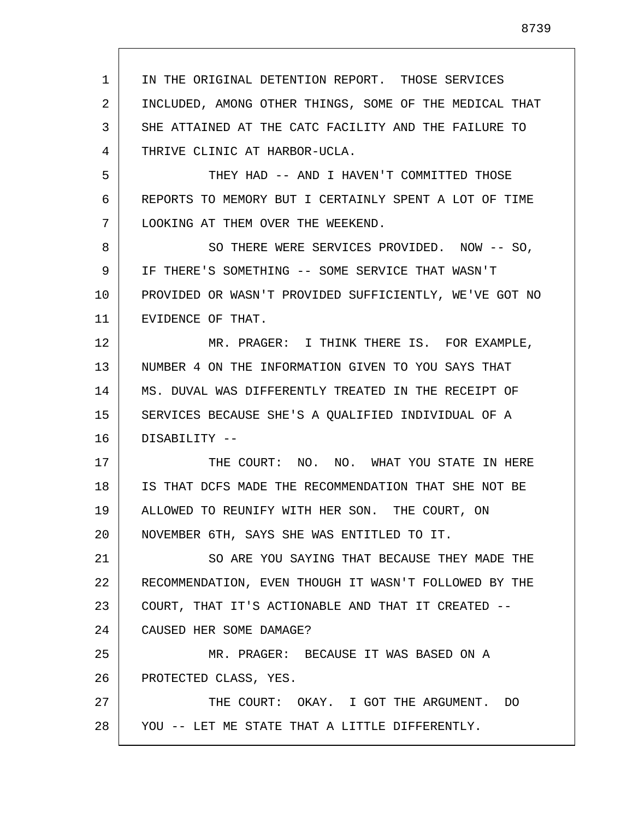1 2 3 4 5 6 7 8 9 10 11 12 13 14 15 16 17 18 19 20 21 22 23 24 25 26 27 28 IN THE ORIGINAL DETENTION REPORT. THOSE SERVICES INCLUDED, AMONG OTHER THINGS, SOME OF THE MEDICAL THAT SHE ATTAINED AT THE CATC FACILITY AND THE FAILURE TO THRIVE CLINIC AT HARBOR-UCLA. THEY HAD -- AND I HAVEN'T COMMITTED THOSE REPORTS TO MEMORY BUT I CERTAINLY SPENT A LOT OF TIME LOOKING AT THEM OVER THE WEEKEND. SO THERE WERE SERVICES PROVIDED. NOW -- SO, IF THERE'S SOMETHING -- SOME SERVICE THAT WASN'T PROVIDED OR WASN'T PROVIDED SUFFICIENTLY, WE'VE GOT NO EVIDENCE OF THAT. MR. PRAGER: I THINK THERE IS. FOR EXAMPLE, NUMBER 4 ON THE INFORMATION GIVEN TO YOU SAYS THAT MS. DUVAL WAS DIFFERENTLY TREATED IN THE RECEIPT OF SERVICES BECAUSE SHE'S A QUALIFIED INDIVIDUAL OF A DISABILITY -- THE COURT: NO. NO. WHAT YOU STATE IN HERE IS THAT DCFS MADE THE RECOMMENDATION THAT SHE NOT BE ALLOWED TO REUNIFY WITH HER SON. THE COURT, ON NOVEMBER 6TH, SAYS SHE WAS ENTITLED TO IT. SO ARE YOU SAYING THAT BECAUSE THEY MADE THE RECOMMENDATION, EVEN THOUGH IT WASN'T FOLLOWED BY THE COURT, THAT IT'S ACTIONABLE AND THAT IT CREATED -- CAUSED HER SOME DAMAGE? MR. PRAGER: BECAUSE IT WAS BASED ON A PROTECTED CLASS, YES. THE COURT: OKAY. I GOT THE ARGUMENT. DO YOU -- LET ME STATE THAT A LITTLE DIFFERENTLY.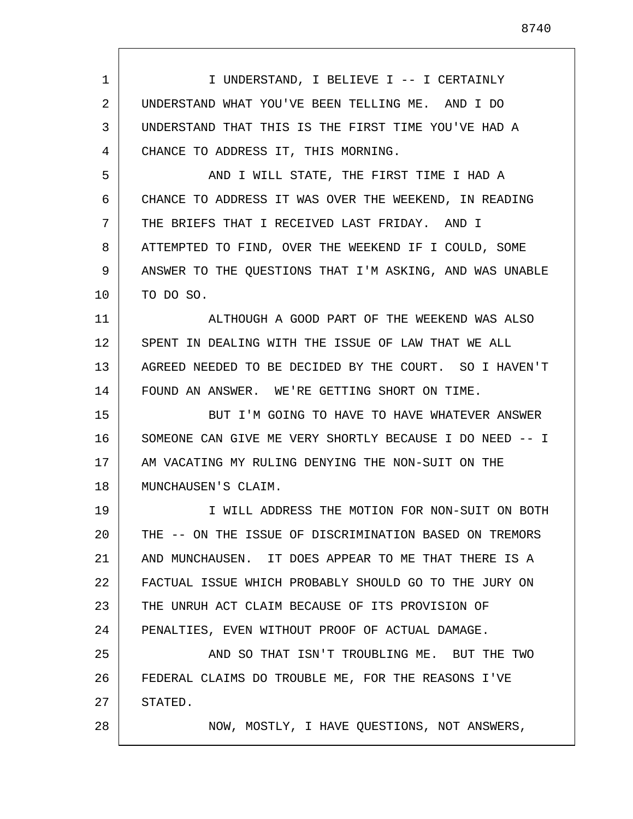1 2 3 4 5 6 7 8 9 10 11 12 13 14 15 16 17 18 19 20 21 22 23 24 25 26 27 28 I UNDERSTAND, I BELIEVE I -- I CERTAINLY UNDERSTAND WHAT YOU'VE BEEN TELLING ME. AND I DO UNDERSTAND THAT THIS IS THE FIRST TIME YOU'VE HAD A CHANCE TO ADDRESS IT, THIS MORNING. AND I WILL STATE, THE FIRST TIME I HAD A CHANCE TO ADDRESS IT WAS OVER THE WEEKEND, IN READING THE BRIEFS THAT I RECEIVED LAST FRIDAY. AND I ATTEMPTED TO FIND, OVER THE WEEKEND IF I COULD, SOME ANSWER TO THE QUESTIONS THAT I'M ASKING, AND WAS UNABLE TO DO SO. ALTHOUGH A GOOD PART OF THE WEEKEND WAS ALSO SPENT IN DEALING WITH THE ISSUE OF LAW THAT WE ALL AGREED NEEDED TO BE DECIDED BY THE COURT. SO I HAVEN'T FOUND AN ANSWER. WE'RE GETTING SHORT ON TIME. BUT I'M GOING TO HAVE TO HAVE WHATEVER ANSWER SOMEONE CAN GIVE ME VERY SHORTLY BECAUSE I DO NEED -- I AM VACATING MY RULING DENYING THE NON-SUIT ON THE MUNCHAUSEN'S CLAIM. I WILL ADDRESS THE MOTION FOR NON-SUIT ON BOTH THE -- ON THE ISSUE OF DISCRIMINATION BASED ON TREMORS AND MUNCHAUSEN. IT DOES APPEAR TO ME THAT THERE IS A FACTUAL ISSUE WHICH PROBABLY SHOULD GO TO THE JURY ON THE UNRUH ACT CLAIM BECAUSE OF ITS PROVISION OF PENALTIES, EVEN WITHOUT PROOF OF ACTUAL DAMAGE. AND SO THAT ISN'T TROUBLING ME. BUT THE TWO FEDERAL CLAIMS DO TROUBLE ME, FOR THE REASONS I'VE STATED. NOW, MOSTLY, I HAVE QUESTIONS, NOT ANSWERS,

8740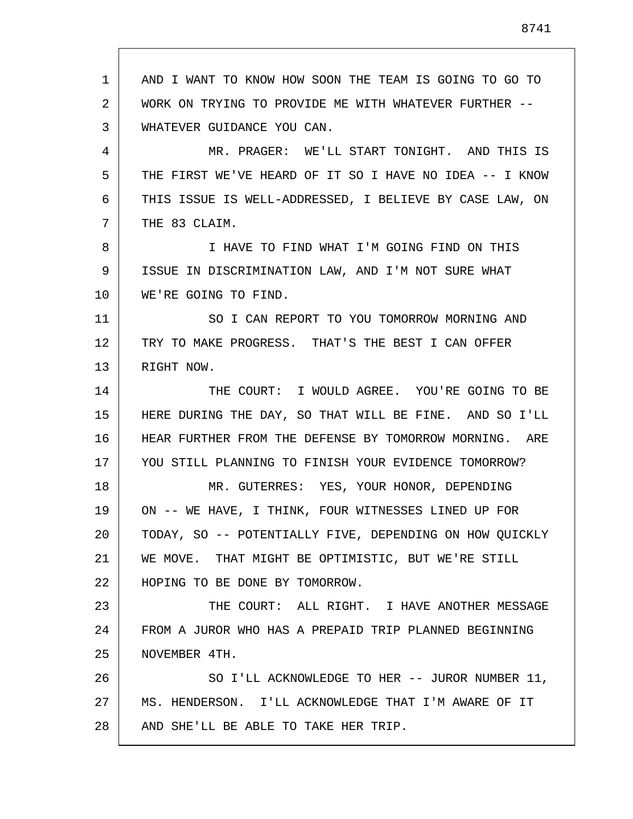1 2 3 4 5 6 7 8 9 10 11 12 13 14 15 16 17 18 19 20 21 22 23 24 25 26 27 28 AND I WANT TO KNOW HOW SOON THE TEAM IS GOING TO GO TO WORK ON TRYING TO PROVIDE ME WITH WHATEVER FURTHER -- WHATEVER GUIDANCE YOU CAN. MR. PRAGER: WE'LL START TONIGHT. AND THIS IS THE FIRST WE'VE HEARD OF IT SO I HAVE NO IDEA -- I KNOW THIS ISSUE IS WELL-ADDRESSED, I BELIEVE BY CASE LAW, ON THE 83 CLAIM. I HAVE TO FIND WHAT I'M GOING FIND ON THIS ISSUE IN DISCRIMINATION LAW, AND I'M NOT SURE WHAT WE'RE GOING TO FIND. SO I CAN REPORT TO YOU TOMORROW MORNING AND TRY TO MAKE PROGRESS. THAT'S THE BEST I CAN OFFER RIGHT NOW. THE COURT: I WOULD AGREE. YOU'RE GOING TO BE HERE DURING THE DAY, SO THAT WILL BE FINE. AND SO I'LL HEAR FURTHER FROM THE DEFENSE BY TOMORROW MORNING. ARE YOU STILL PLANNING TO FINISH YOUR EVIDENCE TOMORROW? MR. GUTERRES: YES, YOUR HONOR, DEPENDING ON -- WE HAVE, I THINK, FOUR WITNESSES LINED UP FOR TODAY, SO -- POTENTIALLY FIVE, DEPENDING ON HOW QUICKLY WE MOVE. THAT MIGHT BE OPTIMISTIC, BUT WE'RE STILL HOPING TO BE DONE BY TOMORROW. THE COURT: ALL RIGHT. I HAVE ANOTHER MESSAGE FROM A JUROR WHO HAS A PREPAID TRIP PLANNED BEGINNING NOVEMBER 4TH. SO I'LL ACKNOWLEDGE TO HER -- JUROR NUMBER 11, MS. HENDERSON. I'LL ACKNOWLEDGE THAT I'M AWARE OF IT AND SHE'LL BE ABLE TO TAKE HER TRIP.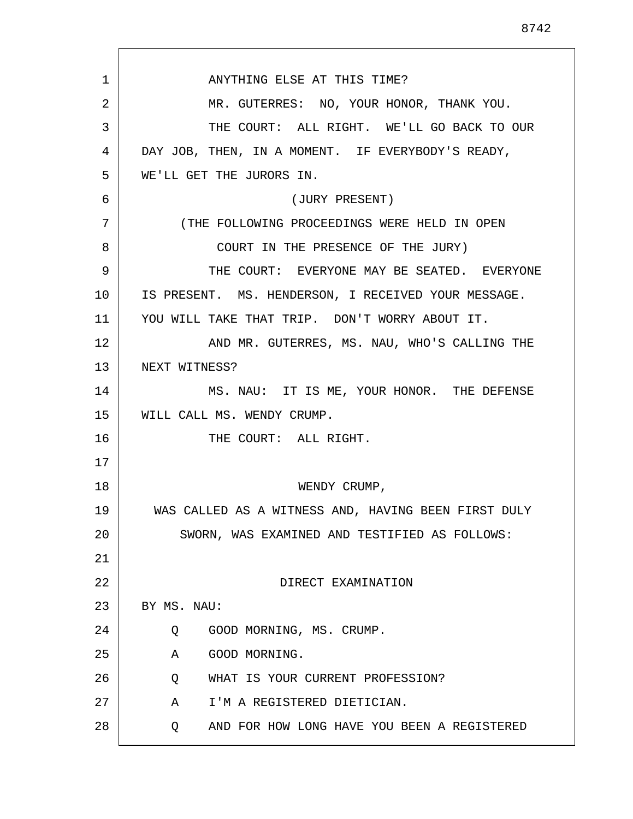1 2 3 4 5 6 7 8 9 10 11 12 13 14 15 16 17 18 19 20 21 22 23 24 25 26 27 28 ANYTHING ELSE AT THIS TIME? MR. GUTERRES: NO, YOUR HONOR, THANK YOU. THE COURT: ALL RIGHT. WE'LL GO BACK TO OUR DAY JOB, THEN, IN A MOMENT. IF EVERYBODY'S READY, WE'LL GET THE JURORS IN. (JURY PRESENT) (THE FOLLOWING PROCEEDINGS WERE HELD IN OPEN COURT IN THE PRESENCE OF THE JURY) THE COURT: EVERYONE MAY BE SEATED. EVERYONE IS PRESENT. MS. HENDERSON, I RECEIVED YOUR MESSAGE. YOU WILL TAKE THAT TRIP. DON'T WORRY ABOUT IT. AND MR. GUTERRES, MS. NAU, WHO'S CALLING THE NEXT WITNESS? MS. NAU: IT IS ME, YOUR HONOR. THE DEFENSE WILL CALL MS. WENDY CRUMP. THE COURT: ALL RIGHT. WENDY CRUMP, WAS CALLED AS A WITNESS AND, HAVING BEEN FIRST DULY SWORN, WAS EXAMINED AND TESTIFIED AS FOLLOWS: DIRECT EXAMINATION BY MS. NAU: Q GOOD MORNING, MS. CRUMP. A GOOD MORNING. Q WHAT IS YOUR CURRENT PROFESSION? A I'M A REGISTERED DIETICIAN. Q AND FOR HOW LONG HAVE YOU BEEN A REGISTERED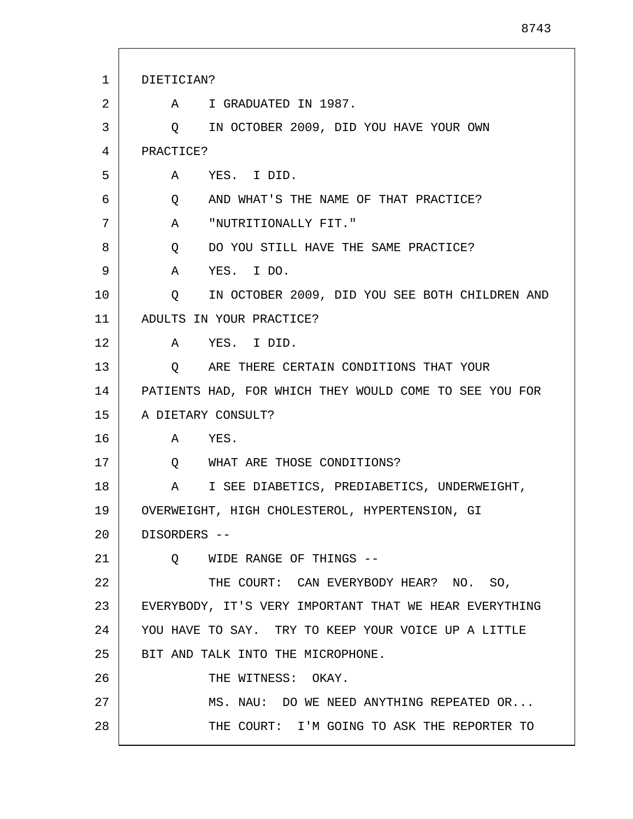| 1  | DIETICIAN?                                                          |
|----|---------------------------------------------------------------------|
| 2  | A I GRADUATED IN 1987.                                              |
| 3  | IN OCTOBER 2009, DID YOU HAVE YOUR OWN<br>Q                         |
| 4  | PRACTICE?                                                           |
| 5  | A YES. I DID.                                                       |
| 6  | Q AND WHAT'S THE NAME OF THAT PRACTICE?                             |
| 7  | A "NUTRITIONALLY FIT."                                              |
| 8  | DO YOU STILL HAVE THE SAME PRACTICE?<br>Q                           |
| 9  | YES. I DO.<br>A                                                     |
| 10 | IN OCTOBER 2009, DID YOU SEE BOTH CHILDREN AND<br>$Q \qquad \qquad$ |
| 11 | ADULTS IN YOUR PRACTICE?                                            |
| 12 | A YES. I DID.                                                       |
| 13 | ARE THERE CERTAIN CONDITIONS THAT YOUR<br>Q                         |
| 14 | PATIENTS HAD, FOR WHICH THEY WOULD COME TO SEE YOU FOR              |
| 15 | A DIETARY CONSULT?                                                  |
| 16 | A YES.                                                              |
| 17 | WHAT ARE THOSE CONDITIONS?<br>$\circ$                               |
| 18 | I SEE DIABETICS, PREDIABETICS, UNDERWEIGHT,<br>A                    |
| 19 | OVERWEIGHT, HIGH CHOLESTEROL, HYPERTENSION, GI                      |
| 20 | DISORDERS --                                                        |
| 21 | O WIDE RANGE OF THINGS --                                           |
| 22 | THE COURT: CAN EVERYBODY HEAR? NO. SO,                              |
| 23 | EVERYBODY, IT'S VERY IMPORTANT THAT WE HEAR EVERYTHING              |
| 24 | YOU HAVE TO SAY. TRY TO KEEP YOUR VOICE UP A LITTLE                 |
| 25 | BIT AND TALK INTO THE MICROPHONE.                                   |
| 26 | THE WITNESS: OKAY.                                                  |
| 27 | MS. NAU: DO WE NEED ANYTHING REPEATED OR                            |
| 28 | THE COURT: I'M GOING TO ASK THE REPORTER TO                         |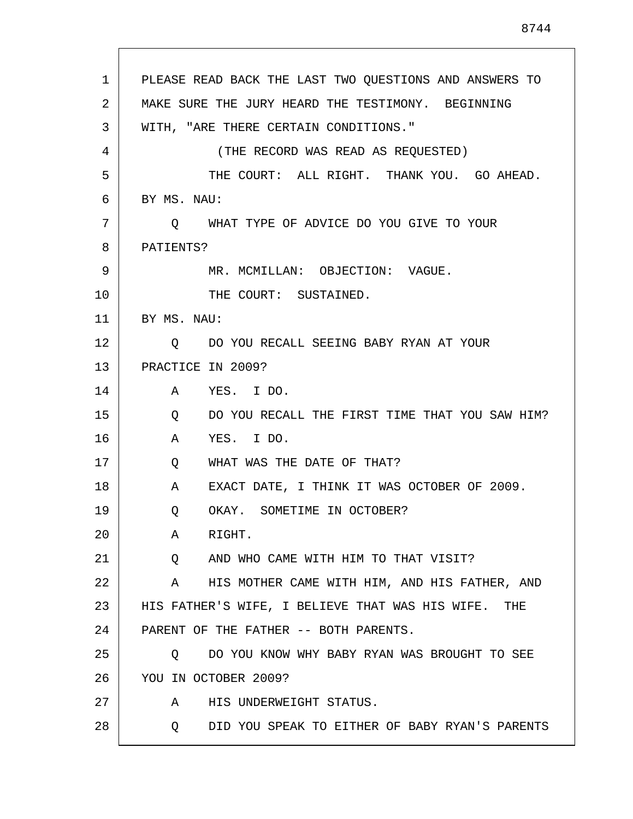1 2 3 4 5 6 7 8 9 10 11 12 13 14 15 16 17 18 19 20 21 22 23 24 25 26 27 28 PLEASE READ BACK THE LAST TWO QUESTIONS AND ANSWERS TO MAKE SURE THE JURY HEARD THE TESTIMONY. BEGINNING WITH, "ARE THERE CERTAIN CONDITIONS." (THE RECORD WAS READ AS REQUESTED) THE COURT: ALL RIGHT. THANK YOU. GO AHEAD. BY MS. NAU: Q WHAT TYPE OF ADVICE DO YOU GIVE TO YOUR PATIENTS? MR. MCMILLAN: OBJECTION: VAGUE. THE COURT: SUSTAINED. BY MS. NAU: Q DO YOU RECALL SEEING BABY RYAN AT YOUR PRACTICE IN 2009? A YES. I DO. Q DO YOU RECALL THE FIRST TIME THAT YOU SAW HIM? A YES. I DO. Q WHAT WAS THE DATE OF THAT? A EXACT DATE, I THINK IT WAS OCTOBER OF 2009. Q OKAY. SOMETIME IN OCTOBER? A RIGHT. Q AND WHO CAME WITH HIM TO THAT VISIT? A HIS MOTHER CAME WITH HIM, AND HIS FATHER, AND HIS FATHER'S WIFE, I BELIEVE THAT WAS HIS WIFE. THE PARENT OF THE FATHER -- BOTH PARENTS. Q DO YOU KNOW WHY BABY RYAN WAS BROUGHT TO SEE YOU IN OCTOBER 2009? A HIS UNDERWEIGHT STATUS. Q DID YOU SPEAK TO EITHER OF BABY RYAN'S PARENTS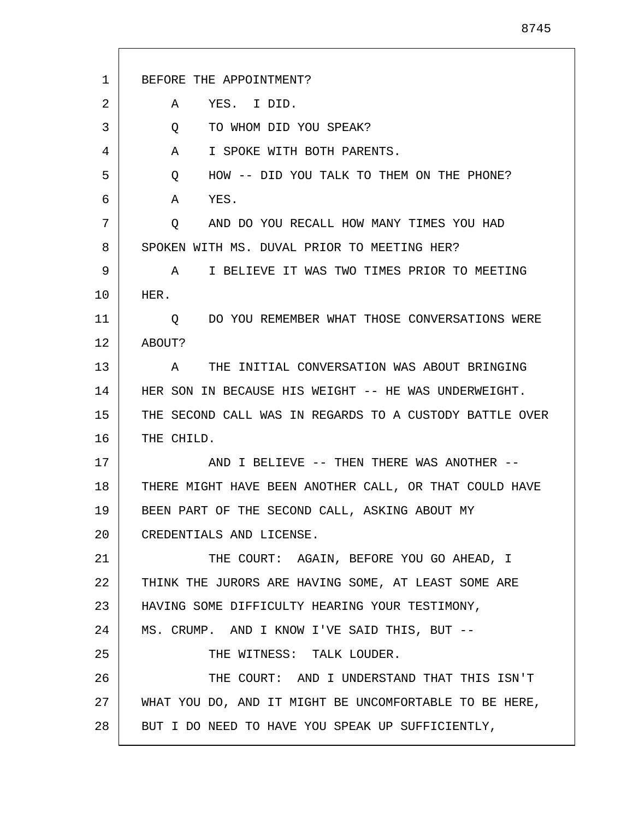| 1  | BEFORE THE APPOINTMENT?                                 |
|----|---------------------------------------------------------|
| 2  | YES. I DID.<br>A                                        |
| 3  | TO WHOM DID YOU SPEAK?<br>Q                             |
| 4  | I SPOKE WITH BOTH PARENTS.<br>A                         |
| 5  | HOW -- DID YOU TALK TO THEM ON THE PHONE?<br>Q          |
| 6  | YES.<br>A                                               |
| 7  | AND DO YOU RECALL HOW MANY TIMES YOU HAD<br>Q           |
| 8  | SPOKEN WITH MS. DUVAL PRIOR TO MEETING HER?             |
| 9  | I BELIEVE IT WAS TWO TIMES PRIOR TO MEETING<br>A        |
| 10 | HER.                                                    |
| 11 | DO YOU REMEMBER WHAT THOSE CONVERSATIONS WERE<br>Q.     |
| 12 | ABOUT?                                                  |
| 13 | THE INITIAL CONVERSATION WAS ABOUT BRINGING<br>A        |
| 14 | HER SON IN BECAUSE HIS WEIGHT -- HE WAS UNDERWEIGHT.    |
| 15 | THE SECOND CALL WAS IN REGARDS TO A CUSTODY BATTLE OVER |
| 16 | THE CHILD.                                              |
| 17 | AND I BELIEVE -- THEN THERE WAS ANOTHER --              |
| 18 | THERE MIGHT HAVE BEEN ANOTHER CALL, OR THAT COULD HAVE  |
| 19 | BEEN PART OF THE SECOND CALL, ASKING ABOUT MY           |
| 20 | CREDENTIALS AND LICENSE.                                |
| 21 | THE COURT: AGAIN, BEFORE YOU GO AHEAD, I                |
| 22 | THINK THE JURORS ARE HAVING SOME, AT LEAST SOME ARE     |
| 23 | HAVING SOME DIFFICULTY HEARING YOUR TESTIMONY,          |
| 24 | MS. CRUMP. AND I KNOW I'VE SAID THIS, BUT --            |
| 25 | THE WITNESS: TALK LOUDER.                               |
| 26 | THE COURT: AND I UNDERSTAND THAT THIS ISN'T             |
| 27 | WHAT YOU DO, AND IT MIGHT BE UNCOMFORTABLE TO BE HERE,  |
| 28 | BUT I DO NEED TO HAVE YOU SPEAK UP SUFFICIENTLY,        |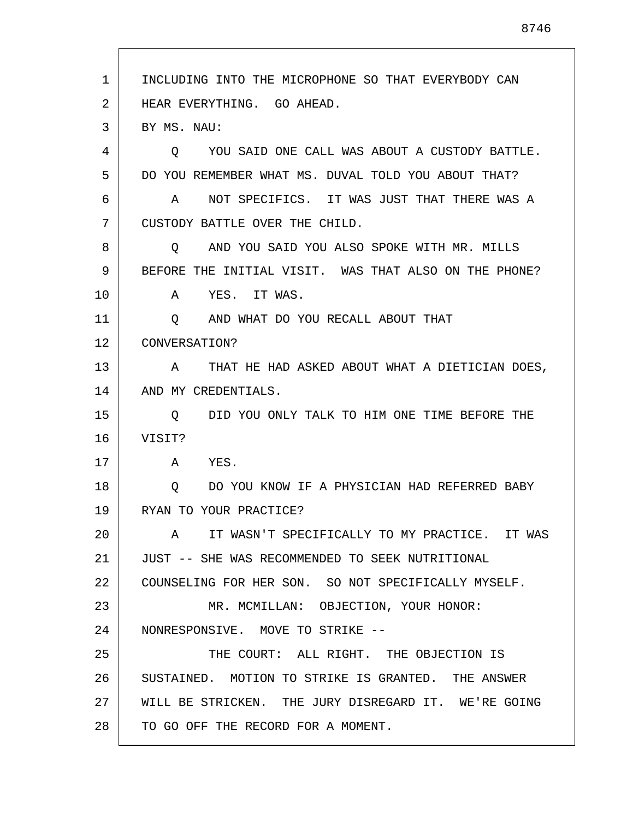1 2 3 4 5 6 7 8 9 10 11 12 13 14 15 16 17 18 19 20 21  $2.2<sub>2</sub>$ 23 24 25 26 27 28 INCLUDING INTO THE MICROPHONE SO THAT EVERYBODY CAN HEAR EVERYTHING. GO AHEAD. BY MS. NAU: Q YOU SAID ONE CALL WAS ABOUT A CUSTODY BATTLE. DO YOU REMEMBER WHAT MS. DUVAL TOLD YOU ABOUT THAT? A NOT SPECIFICS. IT WAS JUST THAT THERE WAS A CUSTODY BATTLE OVER THE CHILD. Q AND YOU SAID YOU ALSO SPOKE WITH MR. MILLS BEFORE THE INITIAL VISIT. WAS THAT ALSO ON THE PHONE? A YES. IT WAS. Q AND WHAT DO YOU RECALL ABOUT THAT CONVERSATION? A THAT HE HAD ASKED ABOUT WHAT A DIETICIAN DOES, AND MY CREDENTIALS. Q DID YOU ONLY TALK TO HIM ONE TIME BEFORE THE VISIT? A YES. Q DO YOU KNOW IF A PHYSICIAN HAD REFERRED BABY RYAN TO YOUR PRACTICE? A IT WASN'T SPECIFICALLY TO MY PRACTICE. IT WAS JUST -- SHE WAS RECOMMENDED TO SEEK NUTRITIONAL COUNSELING FOR HER SON. SO NOT SPECIFICALLY MYSELF. MR. MCMILLAN: OBJECTION, YOUR HONOR: NONRESPONSIVE. MOVE TO STRIKE -- THE COURT: ALL RIGHT. THE OBJECTION IS SUSTAINED. MOTION TO STRIKE IS GRANTED. THE ANSWER WILL BE STRICKEN. THE JURY DISREGARD IT. WE'RE GOING TO GO OFF THE RECORD FOR A MOMENT.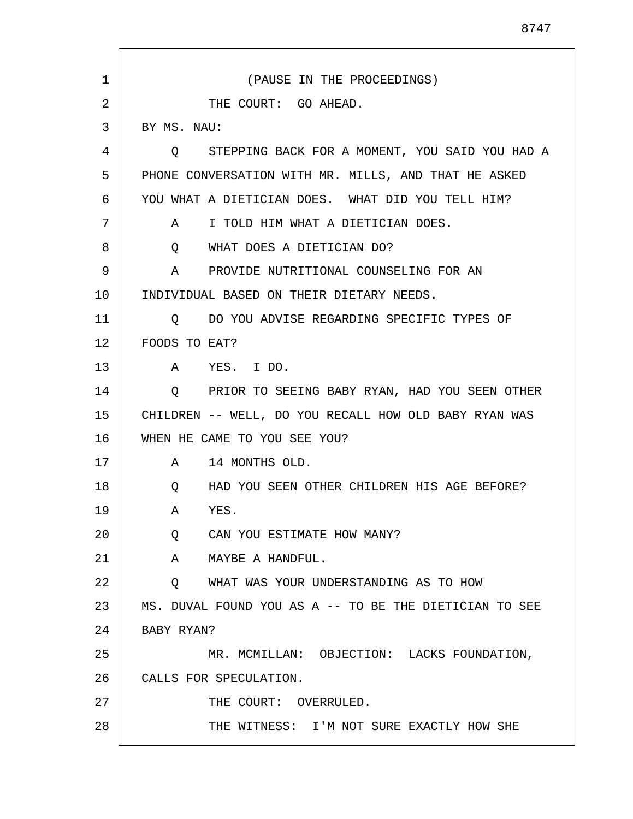| 1  | (PAUSE IN THE PROCEEDINGS)                                       |
|----|------------------------------------------------------------------|
| 2  | THE COURT: GO AHEAD.                                             |
| 3  | BY MS. NAU:                                                      |
| 4  | O STEPPING BACK FOR A MOMENT, YOU SAID YOU HAD A                 |
| 5  | PHONE CONVERSATION WITH MR. MILLS, AND THAT HE ASKED             |
| 6  | YOU WHAT A DIETICIAN DOES. WHAT DID YOU TELL HIM?                |
| 7  | I TOLD HIM WHAT A DIETICIAN DOES.<br>A                           |
| 8  | WHAT DOES A DIETICIAN DO?<br>Q                                   |
| 9  | PROVIDE NUTRITIONAL COUNSELING FOR AN<br>A                       |
| 10 | INDIVIDUAL BASED ON THEIR DIETARY NEEDS.                         |
| 11 | DO YOU ADVISE REGARDING SPECIFIC TYPES OF<br>O                   |
| 12 | FOODS TO EAT?                                                    |
| 13 | A<br>YES. I DO.                                                  |
| 14 | PRIOR TO SEEING BABY RYAN, HAD YOU SEEN OTHER<br>$\circ$         |
| 15 | CHILDREN -- WELL, DO YOU RECALL HOW OLD BABY RYAN WAS            |
| 16 | WHEN HE CAME TO YOU SEE YOU?                                     |
| 17 | 14 MONTHS OLD.<br>A                                              |
| 18 | $Q \qquad \qquad$<br>HAD YOU SEEN OTHER CHILDREN HIS AGE BEFORE? |
| 19 | YES.<br>Α                                                        |
| 20 | CAN YOU ESTIMATE HOW MANY?<br>Q                                  |
| 21 | MAYBE A HANDFUL.<br>A                                            |
| 22 | WHAT WAS YOUR UNDERSTANDING AS TO HOW<br>Q                       |
| 23 | MS. DUVAL FOUND YOU AS A -- TO BE THE DIETICIAN TO SEE           |
| 24 | BABY RYAN?                                                       |
| 25 | MR. MCMILLAN: OBJECTION: LACKS FOUNDATION,                       |
| 26 | CALLS FOR SPECULATION.                                           |
| 27 | THE COURT: OVERRULED.                                            |
| 28 | THE WITNESS: I'M NOT SURE EXACTLY HOW SHE                        |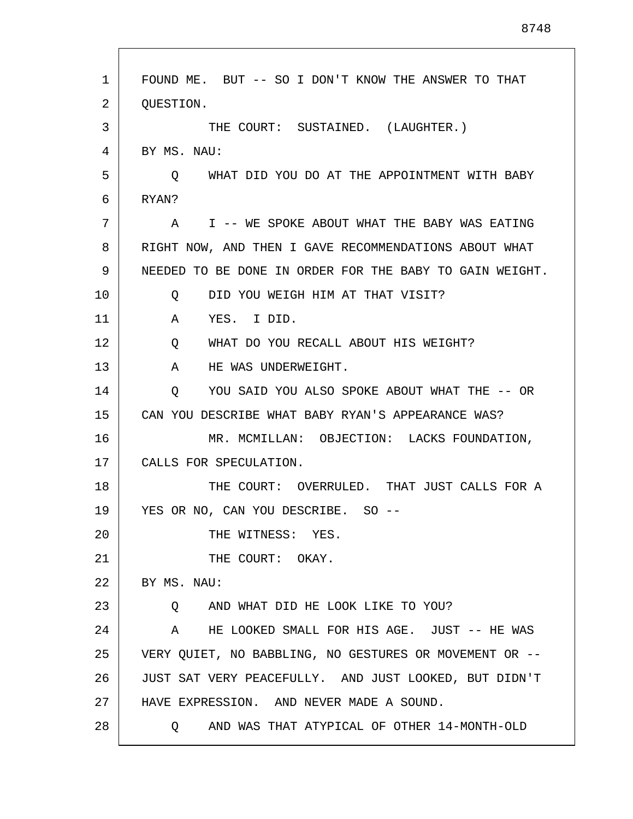| 1  | FOUND ME. BUT -- SO I DON'T KNOW THE ANSWER TO THAT     |
|----|---------------------------------------------------------|
| 2  | QUESTION.                                               |
| 3  | THE COURT: SUSTAINED. (LAUGHTER.)                       |
| 4  | BY MS. NAU:                                             |
| 5  | Q WHAT DID YOU DO AT THE APPOINTMENT WITH BABY          |
| 6  | RYAN?                                                   |
| 7  | A I -- WE SPOKE ABOUT WHAT THE BABY WAS EATING          |
| 8  | RIGHT NOW, AND THEN I GAVE RECOMMENDATIONS ABOUT WHAT   |
| 9  | NEEDED TO BE DONE IN ORDER FOR THE BABY TO GAIN WEIGHT. |
| 10 | DID YOU WEIGH HIM AT THAT VISIT?<br>O.                  |
| 11 | $\mathbf{A}$<br>YES. I DID.                             |
| 12 | WHAT DO YOU RECALL ABOUT HIS WEIGHT?<br>Q               |
| 13 | HE WAS UNDERWEIGHT.<br>A                                |
| 14 | YOU SAID YOU ALSO SPOKE ABOUT WHAT THE -- OR<br>O       |
| 15 | CAN YOU DESCRIBE WHAT BABY RYAN'S APPEARANCE WAS?       |
| 16 | MR. MCMILLAN: OBJECTION: LACKS FOUNDATION,              |
| 17 | CALLS FOR SPECULATION.                                  |
| 18 | THE COURT: OVERRULED. THAT JUST CALLS FOR A             |
| 19 | YES OR NO, CAN YOU DESCRIBE. SO --                      |
| 20 | THE WITNESS: YES.                                       |
| 21 | THE COURT: OKAY.                                        |
| 22 | BY MS. NAU:                                             |
| 23 | AND WHAT DID HE LOOK LIKE TO YOU?<br>Q                  |
| 24 | A HE LOOKED SMALL FOR HIS AGE. JUST -- HE WAS           |
| 25 | VERY QUIET, NO BABBLING, NO GESTURES OR MOVEMENT OR --  |
| 26 | JUST SAT VERY PEACEFULLY. AND JUST LOOKED, BUT DIDN'T   |
| 27 | HAVE EXPRESSION. AND NEVER MADE A SOUND.                |
| 28 | AND WAS THAT ATYPICAL OF OTHER 14-MONTH-OLD<br>O D      |
|    |                                                         |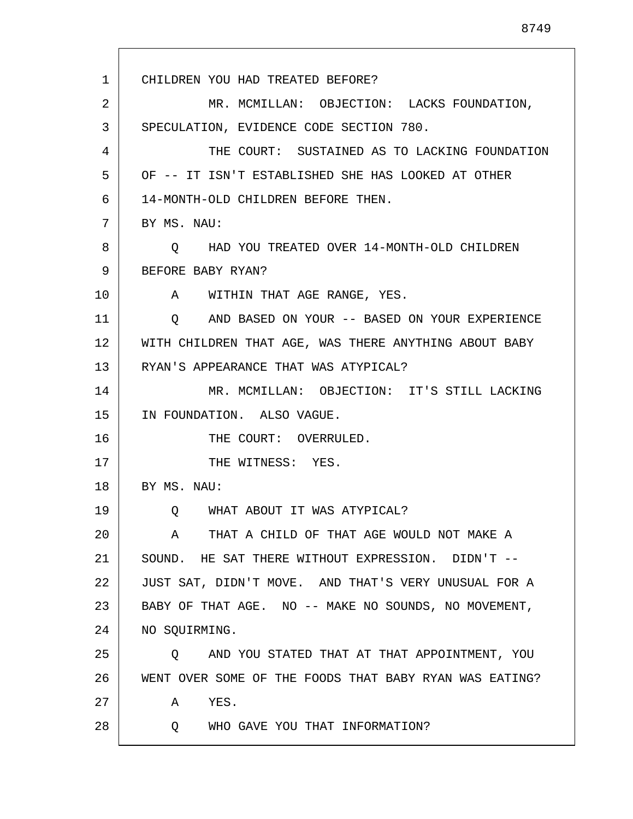1 2 3 4 5 6 7 8 9 10 11 12 13 14 15 16 17 18 19 20 21 22 23 24 25 26 27 28 CHILDREN YOU HAD TREATED BEFORE? MR. MCMILLAN: OBJECTION: LACKS FOUNDATION, SPECULATION, EVIDENCE CODE SECTION 780. THE COURT: SUSTAINED AS TO LACKING FOUNDATION OF -- IT ISN'T ESTABLISHED SHE HAS LOOKED AT OTHER 14-MONTH-OLD CHILDREN BEFORE THEN. BY MS. NAU: Q HAD YOU TREATED OVER 14-MONTH-OLD CHILDREN BEFORE BABY RYAN? A WITHIN THAT AGE RANGE, YES. Q AND BASED ON YOUR -- BASED ON YOUR EXPERIENCE WITH CHILDREN THAT AGE, WAS THERE ANYTHING ABOUT BABY RYAN'S APPEARANCE THAT WAS ATYPICAL? MR. MCMILLAN: OBJECTION: IT'S STILL LACKING IN FOUNDATION. ALSO VAGUE. THE COURT: OVERRULED. THE WITNESS: YES. BY MS. NAU: Q WHAT ABOUT IT WAS ATYPICAL? A THAT A CHILD OF THAT AGE WOULD NOT MAKE A SOUND. HE SAT THERE WITHOUT EXPRESSION. DIDN'T -- JUST SAT, DIDN'T MOVE. AND THAT'S VERY UNUSUAL FOR A BABY OF THAT AGE. NO -- MAKE NO SOUNDS, NO MOVEMENT, NO SQUIRMING. Q AND YOU STATED THAT AT THAT APPOINTMENT, YOU WENT OVER SOME OF THE FOODS THAT BABY RYAN WAS EATING? A YES. Q WHO GAVE YOU THAT INFORMATION?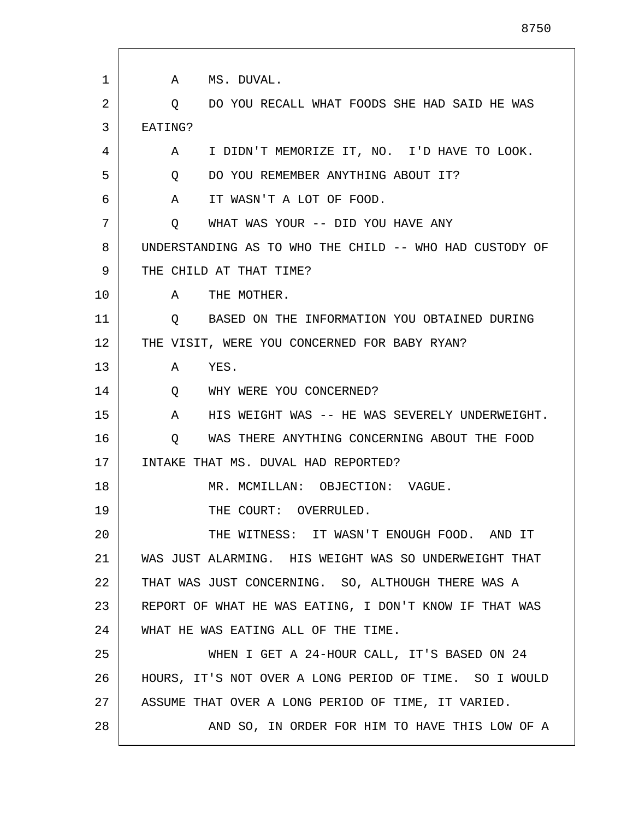| 1  | MS. DUVAL.<br>A                                                |
|----|----------------------------------------------------------------|
| 2  | DO YOU RECALL WHAT FOODS SHE HAD SAID HE WAS<br>$\circ$        |
| 3  | EATING?                                                        |
| 4  | I DIDN'T MEMORIZE IT, NO. I'D HAVE TO LOOK.<br>A               |
| 5  | DO YOU REMEMBER ANYTHING ABOUT IT?<br>$Q \qquad \qquad$        |
| 6  | IT WASN'T A LOT OF FOOD.<br>A                                  |
| 7  | WHAT WAS YOUR -- DID YOU HAVE ANY<br>Q                         |
| 8  | UNDERSTANDING AS TO WHO THE CHILD -- WHO HAD CUSTODY OF        |
| 9  | THE CHILD AT THAT TIME?                                        |
| 10 | THE MOTHER.<br>$\mathbf{A}$                                    |
| 11 | BASED ON THE INFORMATION YOU OBTAINED DURING<br>Q              |
| 12 | THE VISIT, WERE YOU CONCERNED FOR BABY RYAN?                   |
| 13 | YES.<br>A                                                      |
| 14 | WHY WERE YOU CONCERNED?<br>Q                                   |
| 15 | HIS WEIGHT WAS -- HE WAS SEVERELY UNDERWEIGHT.<br>$\mathbf{A}$ |
| 16 | WAS THERE ANYTHING CONCERNING ABOUT THE FOOD<br>Q              |
| 17 | INTAKE THAT MS. DUVAL HAD REPORTED?                            |
| 18 | MR. MCMILLAN: OBJECTION: VAGUE.                                |
| 19 | THE COURT: OVERRULED.                                          |
| 20 | THE WITNESS: IT WASN'T ENOUGH FOOD. AND IT                     |
| 21 | WAS JUST ALARMING. HIS WEIGHT WAS SO UNDERWEIGHT THAT          |
| 22 | THAT WAS JUST CONCERNING. SO, ALTHOUGH THERE WAS A             |
| 23 | REPORT OF WHAT HE WAS EATING, I DON'T KNOW IF THAT WAS         |
| 24 | WHAT HE WAS EATING ALL OF THE TIME.                            |
| 25 | WHEN I GET A 24-HOUR CALL, IT'S BASED ON 24                    |
| 26 | HOURS, IT'S NOT OVER A LONG PERIOD OF TIME. SO I WOULD         |
| 27 | ASSUME THAT OVER A LONG PERIOD OF TIME, IT VARIED.             |
| 28 | AND SO, IN ORDER FOR HIM TO HAVE THIS LOW OF A                 |

Г

L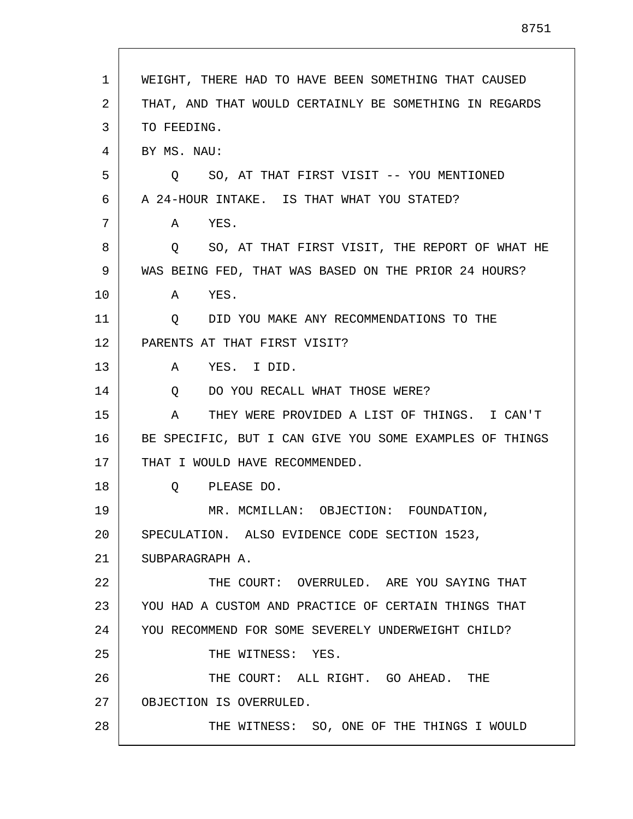| 1  | WEIGHT, THERE HAD TO HAVE BEEN SOMETHING THAT CAUSED    |
|----|---------------------------------------------------------|
| 2  | THAT, AND THAT WOULD CERTAINLY BE SOMETHING IN REGARDS  |
| 3  | TO FEEDING.                                             |
| 4  | BY MS. NAU:                                             |
| 5  | Q SO, AT THAT FIRST VISIT -- YOU MENTIONED              |
| 6  | A 24-HOUR INTAKE. IS THAT WHAT YOU STATED?              |
| 7  | YES.<br>A                                               |
| 8  | Q SO, AT THAT FIRST VISIT, THE REPORT OF WHAT HE        |
| 9  | WAS BEING FED, THAT WAS BASED ON THE PRIOR 24 HOURS?    |
| 10 | A<br>YES.                                               |
| 11 | DID YOU MAKE ANY RECOMMENDATIONS TO THE<br>O            |
| 12 | PARENTS AT THAT FIRST VISIT?                            |
| 13 | $\mathbf{A}$<br>YES. I DID.                             |
| 14 | DO YOU RECALL WHAT THOSE WERE?<br>Q                     |
| 15 | THEY WERE PROVIDED A LIST OF THINGS. I CAN'T<br>A       |
| 16 | BE SPECIFIC, BUT I CAN GIVE YOU SOME EXAMPLES OF THINGS |
| 17 | THAT I WOULD HAVE RECOMMENDED.                          |
| 18 | PLEASE DO.<br>$Q \qquad \qquad$                         |
| 19 | MR. MCMILLAN: OBJECTION: FOUNDATION,                    |
| 20 | SPECULATION. ALSO EVIDENCE CODE SECTION 1523,           |
| 21 | SUBPARAGRAPH A.                                         |
| 22 | THE COURT: OVERRULED. ARE YOU SAYING THAT               |
| 23 | YOU HAD A CUSTOM AND PRACTICE OF CERTAIN THINGS THAT    |
| 24 | YOU RECOMMEND FOR SOME SEVERELY UNDERWEIGHT CHILD?      |
| 25 | THE WITNESS: YES.                                       |
| 26 | THE COURT: ALL RIGHT. GO AHEAD. THE                     |
| 27 | OBJECTION IS OVERRULED.                                 |
| 28 | THE WITNESS: SO, ONE OF THE THINGS I WOULD              |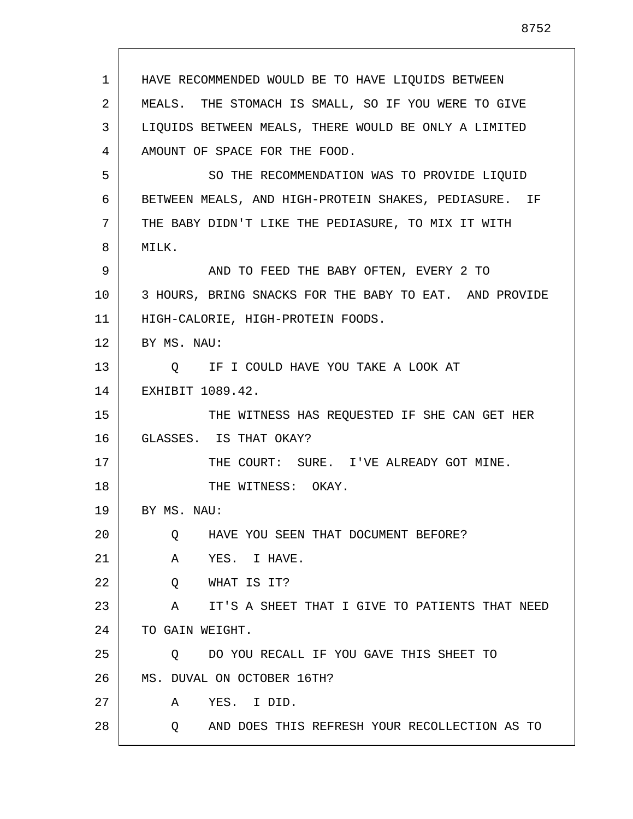| $\mathbf{1}$ | HAVE RECOMMENDED WOULD BE TO HAVE LIQUIDS BETWEEN      |
|--------------|--------------------------------------------------------|
| 2            | MEALS. THE STOMACH IS SMALL, SO IF YOU WERE TO GIVE    |
| 3            | LIQUIDS BETWEEN MEALS, THERE WOULD BE ONLY A LIMITED   |
| 4            | AMOUNT OF SPACE FOR THE FOOD.                          |
| 5            | SO THE RECOMMENDATION WAS TO PROVIDE LIQUID            |
| 6            | BETWEEN MEALS, AND HIGH-PROTEIN SHAKES, PEDIASURE. IF  |
| 7            | THE BABY DIDN'T LIKE THE PEDIASURE, TO MIX IT WITH     |
| 8            | MILK.                                                  |
| 9            | AND TO FEED THE BABY OFTEN, EVERY 2 TO                 |
| 10           | 3 HOURS, BRING SNACKS FOR THE BABY TO EAT. AND PROVIDE |
| 11           | HIGH-CALORIE, HIGH-PROTEIN FOODS.                      |
| 12           | BY MS. NAU:                                            |
| 13           | O IF I COULD HAVE YOU TAKE A LOOK AT                   |
| 14           | EXHIBIT 1089.42.                                       |
| 15           | THE WITNESS HAS REQUESTED IF SHE CAN GET HER           |
| 16           | GLASSES. IS THAT OKAY?                                 |
| 17           | THE COURT: SURE. I'VE ALREADY GOT MINE.                |
| 18           | THE WITNESS: OKAY.                                     |
| 19           | BY MS. NAU:                                            |
| 20           | HAVE YOU SEEN THAT DOCUMENT BEFORE?<br>Q               |
| 21           | A<br>YES. I HAVE.                                      |
| 22           | WHAT IS IT?<br>Q                                       |
| 23           | IT'S A SHEET THAT I GIVE TO PATIENTS THAT NEED<br>A    |
| 24           | TO GAIN WEIGHT.                                        |
| 25           | DO YOU RECALL IF YOU GAVE THIS SHEET TO<br>Q           |
| 26           | MS. DUVAL ON OCTOBER 16TH?                             |
| 27           | YES.<br>I DID.<br>A                                    |
| 28           | AND DOES THIS REFRESH YOUR RECOLLECTION AS TO<br>Q     |
|              |                                                        |

Г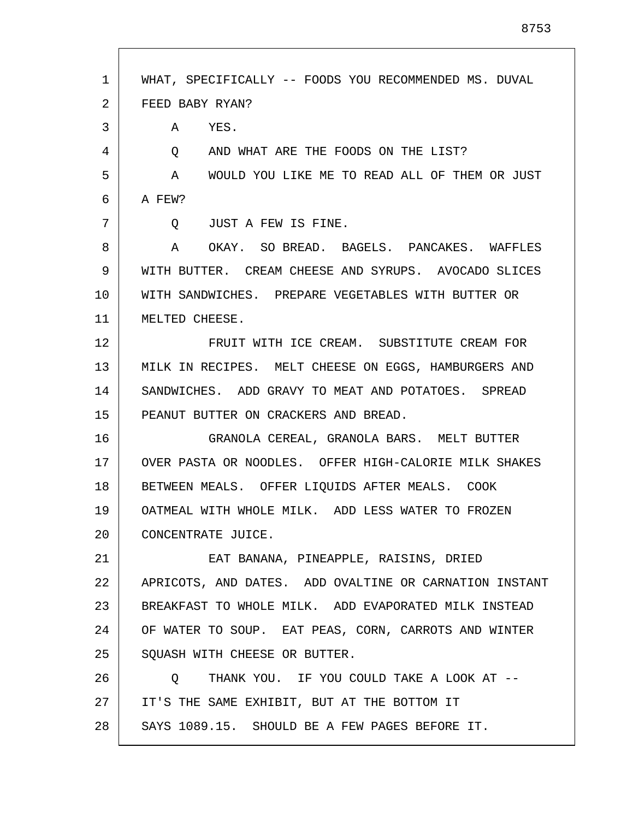1 2 3 4 5 6 7 8 9 10 11 12 13 14 15 16 17 18 19 20 21 22 23 24 25 26 27 28 WHAT, SPECIFICALLY -- FOODS YOU RECOMMENDED MS. DUVAL FEED BABY RYAN? A YES. Q AND WHAT ARE THE FOODS ON THE LIST? A WOULD YOU LIKE ME TO READ ALL OF THEM OR JUST A FEW? Q JUST A FEW IS FINE. A OKAY. SO BREAD. BAGELS. PANCAKES. WAFFLES WITH BUTTER. CREAM CHEESE AND SYRUPS. AVOCADO SLICES WITH SANDWICHES. PREPARE VEGETABLES WITH BUTTER OR MELTED CHEESE. FRUIT WITH ICE CREAM. SUBSTITUTE CREAM FOR MILK IN RECIPES. MELT CHEESE ON EGGS, HAMBURGERS AND SANDWICHES. ADD GRAVY TO MEAT AND POTATOES. SPREAD PEANUT BUTTER ON CRACKERS AND BREAD. GRANOLA CEREAL, GRANOLA BARS. MELT BUTTER OVER PASTA OR NOODLES. OFFER HIGH-CALORIE MILK SHAKES BETWEEN MEALS. OFFER LIQUIDS AFTER MEALS. COOK OATMEAL WITH WHOLE MILK. ADD LESS WATER TO FROZEN CONCENTRATE JUICE. EAT BANANA, PINEAPPLE, RAISINS, DRIED APRICOTS, AND DATES. ADD OVALTINE OR CARNATION INSTANT BREAKFAST TO WHOLE MILK. ADD EVAPORATED MILK INSTEAD OF WATER TO SOUP. EAT PEAS, CORN, CARROTS AND WINTER SQUASH WITH CHEESE OR BUTTER. Q THANK YOU. IF YOU COULD TAKE A LOOK AT -- IT'S THE SAME EXHIBIT, BUT AT THE BOTTOM IT SAYS 1089.15. SHOULD BE A FEW PAGES BEFORE IT.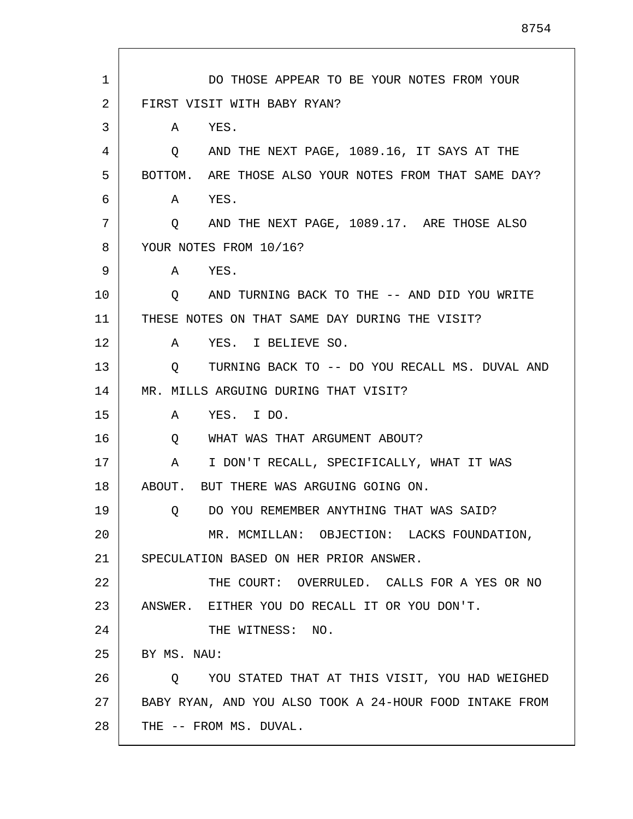| $\mathbf{1}$    | DO THOSE APPEAR TO BE YOUR NOTES FROM YOUR              |
|-----------------|---------------------------------------------------------|
| 2               | FIRST VISIT WITH BABY RYAN?                             |
| 3               | YES.<br>A                                               |
| 4               | AND THE NEXT PAGE, 1089.16, IT SAYS AT THE<br>$\circ$   |
| 5               | BOTTOM. ARE THOSE ALSO YOUR NOTES FROM THAT SAME DAY?   |
| 6               | YES.<br>A                                               |
| 7               | AND THE NEXT PAGE, 1089.17. ARE THOSE ALSO<br>$\circ$   |
| 8               | YOUR NOTES FROM 10/16?                                  |
| 9               | A YES.                                                  |
| 10              | AND TURNING BACK TO THE -- AND DID YOU WRITE<br>Q       |
| 11              | THESE NOTES ON THAT SAME DAY DURING THE VISIT?          |
| 12              | YES. I BELIEVE SO.<br>A                                 |
| 13              | O TURNING BACK TO -- DO YOU RECALL MS. DUVAL AND        |
| 14              | MR. MILLS ARGUING DURING THAT VISIT?                    |
| 15              | YES. I DO.<br>A                                         |
| 16              | WHAT WAS THAT ARGUMENT ABOUT?<br>Q                      |
| 17              | I DON'T RECALL, SPECIFICALLY, WHAT IT WAS<br>A          |
| 18              | ABOUT. BUT THERE WAS ARGUING GOING ON.                  |
| 19              | DO YOU REMEMBER ANYTHING THAT WAS SAID?<br>Q.           |
| 20 <sub>o</sub> | MR. MCMILLAN: OBJECTION: LACKS FOUNDATION,              |
| 21              | SPECULATION BASED ON HER PRIOR ANSWER.                  |
| 22              | THE COURT: OVERRULED. CALLS FOR A YES OR NO             |
| 23              | ANSWER. EITHER YOU DO RECALL IT OR YOU DON'T.           |
| 24              | THE WITNESS: NO.                                        |
| 25              | BY MS. NAU:                                             |
| 26              | YOU STATED THAT AT THIS VISIT, YOU HAD WEIGHED<br>O.    |
| 27              | BABY RYAN, AND YOU ALSO TOOK A 24-HOUR FOOD INTAKE FROM |
| 28              | THE -- FROM MS. DUVAL.                                  |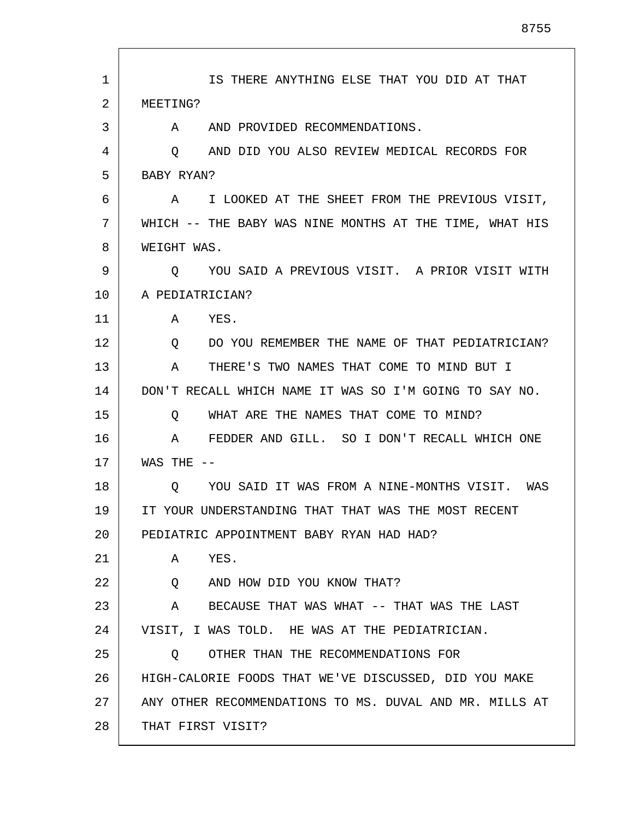| 1  | IS THERE ANYTHING ELSE THAT YOU DID AT THAT              |
|----|----------------------------------------------------------|
| 2  | MEETING?                                                 |
| 3  | AND PROVIDED RECOMMENDATIONS.<br>A                       |
| 4  | AND DID YOU ALSO REVIEW MEDICAL RECORDS FOR<br>Q         |
| 5  | BABY RYAN?                                               |
| 6  | I LOOKED AT THE SHEET FROM THE PREVIOUS VISIT,<br>Α      |
| 7  | WHICH -- THE BABY WAS NINE MONTHS AT THE TIME, WHAT HIS  |
| 8  | WEIGHT WAS.                                              |
| 9  | YOU SAID A PREVIOUS VISIT. A PRIOR VISIT WITH<br>$\circ$ |
| 10 | A PEDIATRICIAN?                                          |
| 11 | YES.<br>A                                                |
| 12 | DO YOU REMEMBER THE NAME OF THAT PEDIATRICIAN?<br>Q      |
| 13 | THERE'S TWO NAMES THAT COME TO MIND BUT I<br>Α           |
| 14 | DON'T RECALL WHICH NAME IT WAS SO I'M GOING TO SAY NO.   |
| 15 | WHAT ARE THE NAMES THAT COME TO MIND?<br>O               |
| 16 | FEDDER AND GILL. SO I DON'T RECALL WHICH ONE<br>A        |
| 17 | WAS THE<br>$- -$                                         |
| 18 | YOU SAID IT WAS FROM A NINE-MONTHS VISIT. WAS<br>O       |
| 19 | IT YOUR UNDERSTANDING THAT THAT WAS THE MOST RECENT      |
| 20 | PEDIATRIC APPOINTMENT BABY RYAN HAD HAD?                 |
| 21 | YES.<br>A                                                |
| 22 | AND HOW DID YOU KNOW THAT?<br>Q                          |
| 23 | A BECAUSE THAT WAS WHAT -- THAT WAS THE LAST             |
| 24 | VISIT, I WAS TOLD. HE WAS AT THE PEDIATRICIAN.           |
| 25 | OTHER THAN THE RECOMMENDATIONS FOR<br>Q                  |
| 26 | HIGH-CALORIE FOODS THAT WE'VE DISCUSSED, DID YOU MAKE    |
| 27 | ANY OTHER RECOMMENDATIONS TO MS. DUVAL AND MR. MILLS AT  |
| 28 | THAT FIRST VISIT?                                        |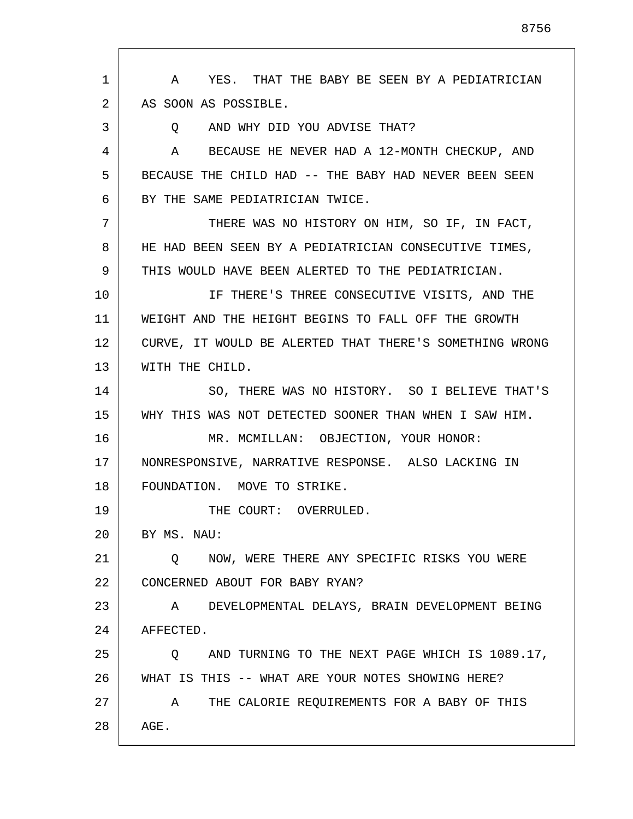1 2 3 4 5 6 7 8 9 10 11 12 13 14 15 16 17 18 19 20 21 22 23 24 25 26 27 28 A YES. THAT THE BABY BE SEEN BY A PEDIATRICIAN AS SOON AS POSSIBLE. Q AND WHY DID YOU ADVISE THAT? A BECAUSE HE NEVER HAD A 12-MONTH CHECKUP, AND BECAUSE THE CHILD HAD -- THE BABY HAD NEVER BEEN SEEN BY THE SAME PEDIATRICIAN TWICE. THERE WAS NO HISTORY ON HIM, SO IF, IN FACT, HE HAD BEEN SEEN BY A PEDIATRICIAN CONSECUTIVE TIMES, THIS WOULD HAVE BEEN ALERTED TO THE PEDIATRICIAN. IF THERE'S THREE CONSECUTIVE VISITS, AND THE WEIGHT AND THE HEIGHT BEGINS TO FALL OFF THE GROWTH CURVE, IT WOULD BE ALERTED THAT THERE'S SOMETHING WRONG WITH THE CHILD. SO, THERE WAS NO HISTORY. SO I BELIEVE THAT'S WHY THIS WAS NOT DETECTED SOONER THAN WHEN I SAW HIM. MR. MCMILLAN: OBJECTION, YOUR HONOR: NONRESPONSIVE, NARRATIVE RESPONSE. ALSO LACKING IN FOUNDATION. MOVE TO STRIKE. THE COURT: OVERRULED. BY MS. NAU: Q NOW, WERE THERE ANY SPECIFIC RISKS YOU WERE CONCERNED ABOUT FOR BABY RYAN? A DEVELOPMENTAL DELAYS, BRAIN DEVELOPMENT BEING AFFECTED. Q AND TURNING TO THE NEXT PAGE WHICH IS 1089.17, WHAT IS THIS -- WHAT ARE YOUR NOTES SHOWING HERE? A THE CALORIE REQUIREMENTS FOR A BABY OF THIS AGE.

8756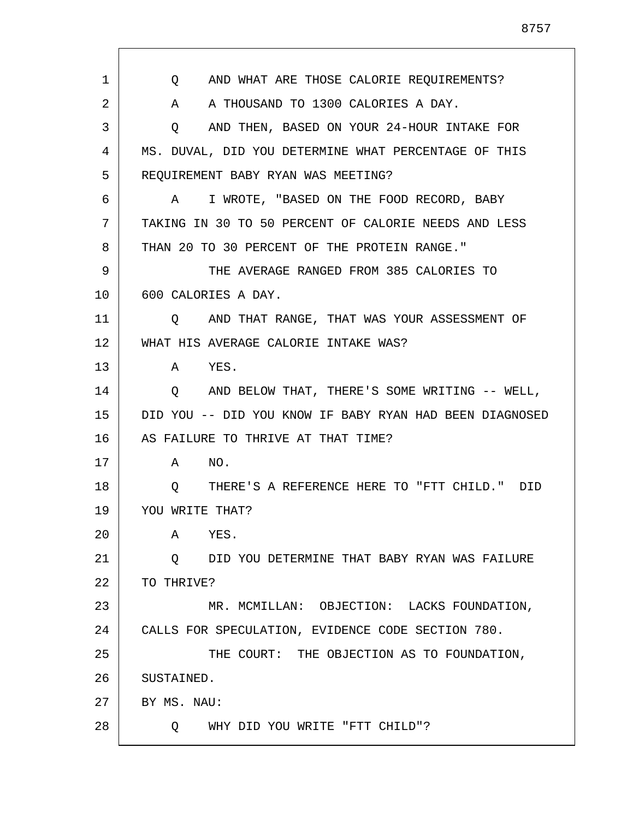8757

| $\mathbf 1$ | AND WHAT ARE THOSE CALORIE REQUIREMENTS?<br>Q           |
|-------------|---------------------------------------------------------|
| 2           | A THOUSAND TO 1300 CALORIES A DAY.<br>A                 |
| 3           | AND THEN, BASED ON YOUR 24-HOUR INTAKE FOR<br>Q         |
| 4           | MS. DUVAL, DID YOU DETERMINE WHAT PERCENTAGE OF THIS    |
| 5           | REQUIREMENT BABY RYAN WAS MEETING?                      |
| 6           | I WROTE, "BASED ON THE FOOD RECORD, BABY<br>A           |
| 7           | TAKING IN 30 TO 50 PERCENT OF CALORIE NEEDS AND LESS    |
| 8           | THAN 20 TO 30 PERCENT OF THE PROTEIN RANGE."            |
| 9           | THE AVERAGE RANGED FROM 385 CALORIES TO                 |
| 10          | 600 CALORIES A DAY.                                     |
| 11          | AND THAT RANGE, THAT WAS YOUR ASSESSMENT OF<br>$\circ$  |
| 12          | WHAT HIS AVERAGE CALORIE INTAKE WAS?                    |
| 13          | YES.<br>A                                               |
| 14          | AND BELOW THAT, THERE'S SOME WRITING -- WELL,<br>Q      |
| 15          | DID YOU -- DID YOU KNOW IF BABY RYAN HAD BEEN DIAGNOSED |
| 16          | AS FAILURE TO THRIVE AT THAT TIME?                      |
| 17          | NO.<br>A                                                |
| 18          | THERE'S A REFERENCE HERE TO "FTT CHILD." DID<br>Q       |
| 19          | YOU WRITE THAT?                                         |
| 20          | YES.<br>Α                                               |
| 21          | DID YOU DETERMINE THAT BABY RYAN WAS FAILURE<br>$\circ$ |
| 22          | TO THRIVE?                                              |
| 23          | MR. MCMILLAN: OBJECTION: LACKS FOUNDATION,              |
| 24          | CALLS FOR SPECULATION, EVIDENCE CODE SECTION 780.       |
| 25          | THE COURT: THE OBJECTION AS TO FOUNDATION,              |
| 26          | SUSTAINED.                                              |
| 27          | BY MS. NAU:                                             |
| 28          | WHY DID YOU WRITE "FTT CHILD"?<br>Q                     |

Г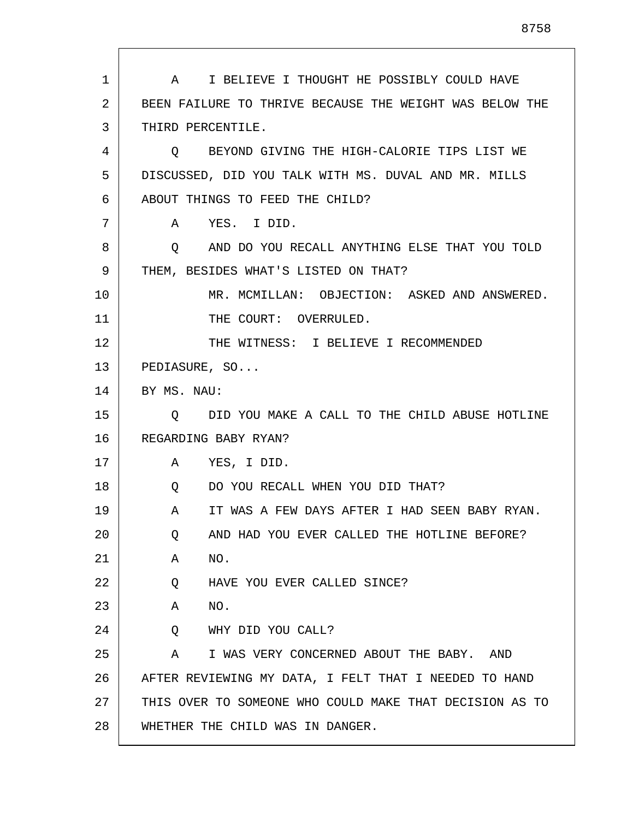1 2 3 4 5 6 7 8 9 10 11 12 13 14 15 16 17 18 19 20 21 22 23 24 25 26 27 A I BELIEVE I THOUGHT HE POSSIBLY COULD HAVE BEEN FAILURE TO THRIVE BECAUSE THE WEIGHT WAS BELOW THE THIRD PERCENTILE. Q BEYOND GIVING THE HIGH-CALORIE TIPS LIST WE DISCUSSED, DID YOU TALK WITH MS. DUVAL AND MR. MILLS ABOUT THINGS TO FEED THE CHILD? A YES. I DID. Q AND DO YOU RECALL ANYTHING ELSE THAT YOU TOLD THEM, BESIDES WHAT'S LISTED ON THAT? MR. MCMILLAN: OBJECTION: ASKED AND ANSWERED. THE COURT: OVERRULED. THE WITNESS: I BELIEVE I RECOMMENDED PEDIASURE, SO... BY MS. NAU: Q DID YOU MAKE A CALL TO THE CHILD ABUSE HOTLINE REGARDING BABY RYAN? A YES, I DID. Q DO YOU RECALL WHEN YOU DID THAT? A IT WAS A FEW DAYS AFTER I HAD SEEN BABY RYAN. Q AND HAD YOU EVER CALLED THE HOTLINE BEFORE? A NO. Q HAVE YOU EVER CALLED SINCE? A NO. Q WHY DID YOU CALL? A I WAS VERY CONCERNED ABOUT THE BABY. AND AFTER REVIEWING MY DATA, I FELT THAT I NEEDED TO HAND THIS OVER TO SOMEONE WHO COULD MAKE THAT DECISION AS TO

WHETHER THE CHILD WAS IN DANGER.

28

8758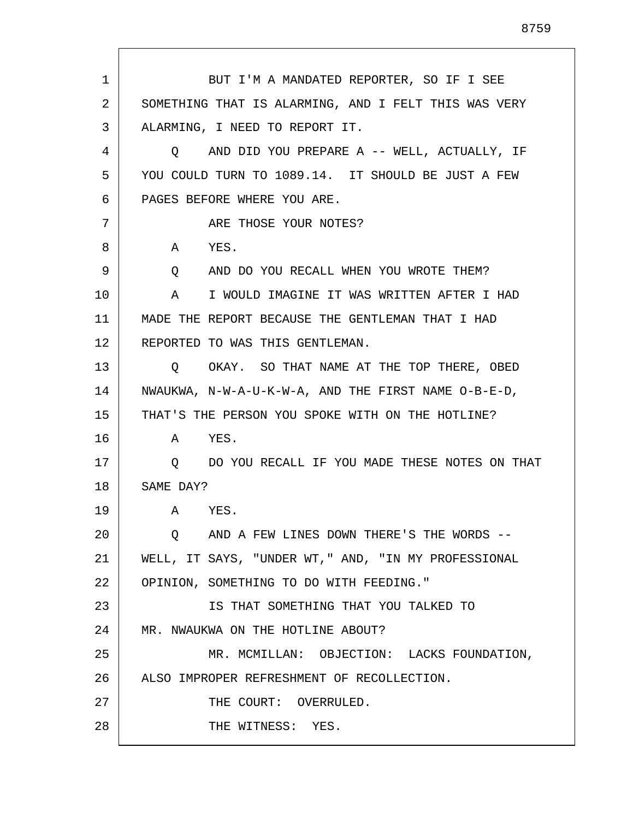1 2 3 4 5 6 7 8 9 10 11 12 13 14 15 16 17 18 19 20 21 22 23 24 25 26 27 28 BUT I'M A MANDATED REPORTER, SO IF I SEE SOMETHING THAT IS ALARMING, AND I FELT THIS WAS VERY ALARMING, I NEED TO REPORT IT. Q AND DID YOU PREPARE A -- WELL, ACTUALLY, IF YOU COULD TURN TO 1089.14. IT SHOULD BE JUST A FEW PAGES BEFORE WHERE YOU ARE. ARE THOSE YOUR NOTES? A YES. Q AND DO YOU RECALL WHEN YOU WROTE THEM? A I WOULD IMAGINE IT WAS WRITTEN AFTER I HAD MADE THE REPORT BECAUSE THE GENTLEMAN THAT I HAD REPORTED TO WAS THIS GENTLEMAN. Q OKAY. SO THAT NAME AT THE TOP THERE, OBED NWAUKWA, N-W-A-U-K-W-A, AND THE FIRST NAME O-B-E-D, THAT'S THE PERSON YOU SPOKE WITH ON THE HOTLINE? A YES. Q DO YOU RECALL IF YOU MADE THESE NOTES ON THAT SAME DAY? A YES. Q AND A FEW LINES DOWN THERE'S THE WORDS -- WELL, IT SAYS, "UNDER WT," AND, "IN MY PROFESSIONAL OPINION, SOMETHING TO DO WITH FEEDING." IS THAT SOMETHING THAT YOU TALKED TO MR. NWAUKWA ON THE HOTLINE ABOUT? MR. MCMILLAN: OBJECTION: LACKS FOUNDATION, ALSO IMPROPER REFRESHMENT OF RECOLLECTION. THE COURT: OVERRULED. THE WITNESS: YES.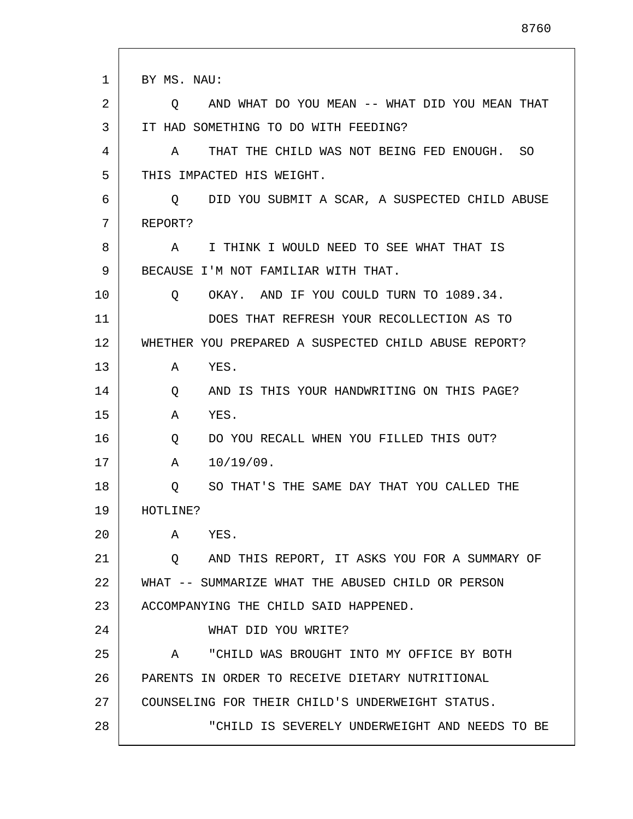| 1       | BY MS. NAU:                                              |
|---------|----------------------------------------------------------|
| 2       | AND WHAT DO YOU MEAN -- WHAT DID YOU MEAN THAT<br>O.     |
| 3       | IT HAD SOMETHING TO DO WITH FEEDING?                     |
| 4       | THAT THE CHILD WAS NOT BEING FED ENOUGH. SO<br>Α         |
| 5       | THIS IMPACTED HIS WEIGHT.                                |
| 6       | DID YOU SUBMIT A SCAR, A SUSPECTED CHILD ABUSE<br>Q      |
| 7       | REPORT?                                                  |
| 8       | I THINK I WOULD NEED TO SEE WHAT THAT IS<br>A            |
| 9       | BECAUSE I'M NOT FAMILIAR WITH THAT.                      |
| $10 \,$ | OKAY. AND IF YOU COULD TURN TO 1089.34.<br>Q             |
| 11      | DOES THAT REFRESH YOUR RECOLLECTION AS TO                |
| 12      | WHETHER YOU PREPARED A SUSPECTED CHILD ABUSE REPORT?     |
| 13      | YES.<br>Α                                                |
| 14      | AND IS THIS YOUR HANDWRITING ON THIS PAGE?<br>Q          |
| 15      | YES.<br>Α                                                |
| 16      | DO YOU RECALL WHEN YOU FILLED THIS OUT?<br>Q             |
| 17      | 10/19/09.<br>Α                                           |
| 18      | SO THAT'S THE SAME DAY THAT YOU CALLED THE<br>Q          |
| 19      | HOTLINE?                                                 |
| 20      | YES.<br>Α                                                |
| 21      | AND THIS REPORT, IT ASKS YOU FOR A SUMMARY OF<br>$\circ$ |
| 22      | WHAT -- SUMMARIZE WHAT THE ABUSED CHILD OR PERSON        |
| 23      | ACCOMPANYING THE CHILD SAID HAPPENED.                    |
| 24      | WHAT DID YOU WRITE?                                      |
| 25      | "CHILD WAS BROUGHT INTO MY OFFICE BY BOTH<br>A           |
| 26      | PARENTS IN ORDER TO RECEIVE DIETARY NUTRITIONAL          |
| 27      | COUNSELING FOR THEIR CHILD'S UNDERWEIGHT STATUS.         |
| 28      | "CHILD IS SEVERELY UNDERWEIGHT AND NEEDS TO BE           |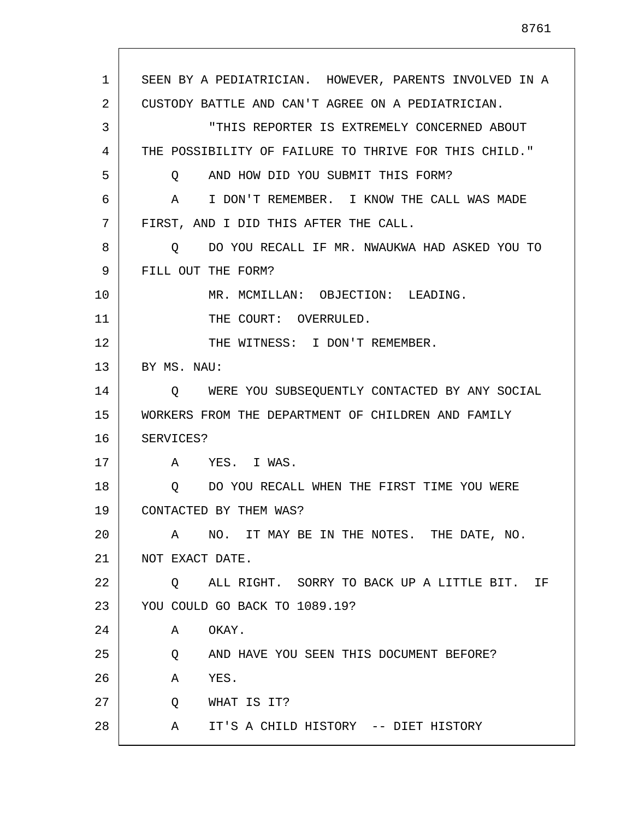1 2 3 4 5 6 7 8 9 10 11 12 13 14 15 16 17 18 19 20 21 22 23 24 25 26 27 28 SEEN BY A PEDIATRICIAN. HOWEVER, PARENTS INVOLVED IN A CUSTODY BATTLE AND CAN'T AGREE ON A PEDIATRICIAN. "THIS REPORTER IS EXTREMELY CONCERNED ABOUT THE POSSIBILITY OF FAILURE TO THRIVE FOR THIS CHILD." Q AND HOW DID YOU SUBMIT THIS FORM? A I DON'T REMEMBER. I KNOW THE CALL WAS MADE FIRST, AND I DID THIS AFTER THE CALL. Q DO YOU RECALL IF MR. NWAUKWA HAD ASKED YOU TO FILL OUT THE FORM? MR. MCMILLAN: OBJECTION: LEADING. THE COURT: OVERRULED. THE WITNESS: I DON'T REMEMBER. BY MS. NAU: Q WERE YOU SUBSEQUENTLY CONTACTED BY ANY SOCIAL WORKERS FROM THE DEPARTMENT OF CHILDREN AND FAMILY SERVICES? A YES. I WAS. Q DO YOU RECALL WHEN THE FIRST TIME YOU WERE CONTACTED BY THEM WAS? A NO. IT MAY BE IN THE NOTES. THE DATE, NO. NOT EXACT DATE. Q ALL RIGHT. SORRY TO BACK UP A LITTLE BIT. IF YOU COULD GO BACK TO 1089.19? A OKAY. Q AND HAVE YOU SEEN THIS DOCUMENT BEFORE? A YES. Q WHAT IS IT? A IT'S A CHILD HISTORY -- DIET HISTORY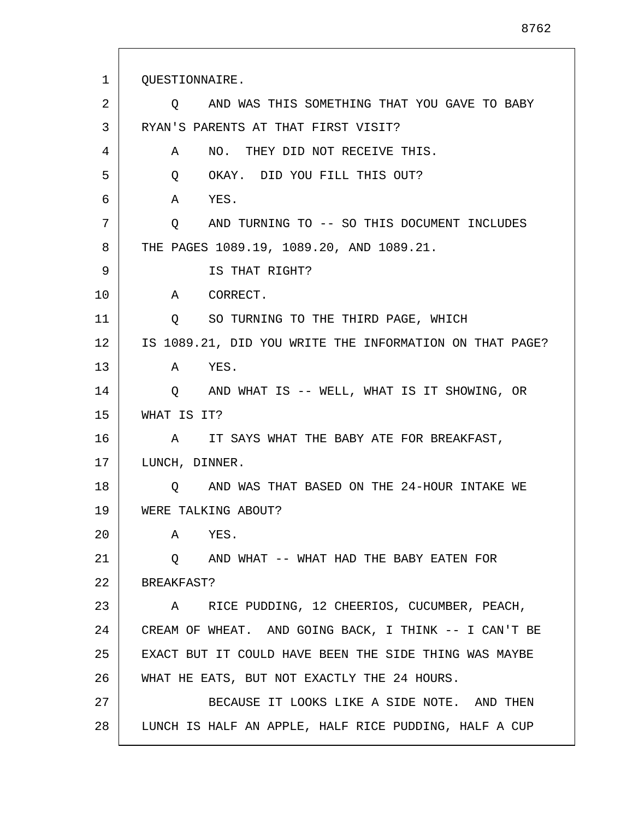1 2 3 4 5 6 7 8 9 10 11 12 13 14 15 16 17 18 19 20 21 22 23 24 25 26 27 28 QUESTIONNAIRE. Q AND WAS THIS SOMETHING THAT YOU GAVE TO BABY RYAN'S PARENTS AT THAT FIRST VISIT? A NO. THEY DID NOT RECEIVE THIS. Q OKAY. DID YOU FILL THIS OUT? A YES. Q AND TURNING TO -- SO THIS DOCUMENT INCLUDES THE PAGES 1089.19, 1089.20, AND 1089.21. IS THAT RIGHT? A CORRECT. Q SO TURNING TO THE THIRD PAGE, WHICH IS 1089.21, DID YOU WRITE THE INFORMATION ON THAT PAGE? A YES. Q AND WHAT IS -- WELL, WHAT IS IT SHOWING, OR WHAT IS IT? A IT SAYS WHAT THE BABY ATE FOR BREAKFAST, LUNCH, DINNER. Q AND WAS THAT BASED ON THE 24-HOUR INTAKE WE WERE TALKING ABOUT? A YES. Q AND WHAT -- WHAT HAD THE BABY EATEN FOR BREAKFAST? A RICE PUDDING, 12 CHEERIOS, CUCUMBER, PEACH, CREAM OF WHEAT. AND GOING BACK, I THINK -- I CAN'T BE EXACT BUT IT COULD HAVE BEEN THE SIDE THING WAS MAYBE WHAT HE EATS, BUT NOT EXACTLY THE 24 HOURS. BECAUSE IT LOOKS LIKE A SIDE NOTE. AND THEN LUNCH IS HALF AN APPLE, HALF RICE PUDDING, HALF A CUP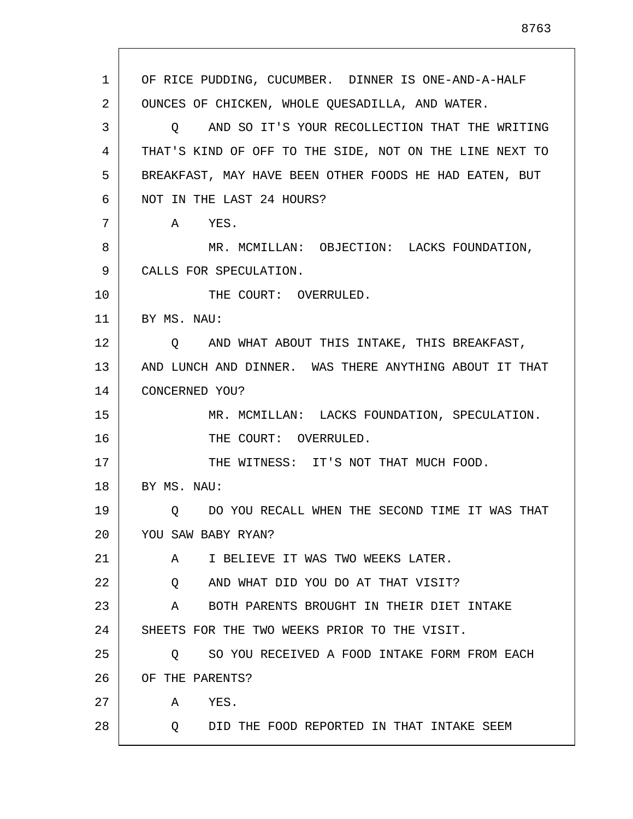1 2 3 4 5 6 7 8 9 10 11 12 13 14 15 16 17 18 19 20 21 22 23 24 25 26 27 28 OF RICE PUDDING, CUCUMBER. DINNER IS ONE-AND-A-HALF OUNCES OF CHICKEN, WHOLE QUESADILLA, AND WATER. Q AND SO IT'S YOUR RECOLLECTION THAT THE WRITING THAT'S KIND OF OFF TO THE SIDE, NOT ON THE LINE NEXT TO BREAKFAST, MAY HAVE BEEN OTHER FOODS HE HAD EATEN, BUT NOT IN THE LAST 24 HOURS? A YES. MR. MCMILLAN: OBJECTION: LACKS FOUNDATION, CALLS FOR SPECULATION. THE COURT: OVERRULED. BY MS. NAU: Q AND WHAT ABOUT THIS INTAKE, THIS BREAKFAST, AND LUNCH AND DINNER. WAS THERE ANYTHING ABOUT IT THAT CONCERNED YOU? MR. MCMILLAN: LACKS FOUNDATION, SPECULATION. THE COURT: OVERRULED. THE WITNESS: IT'S NOT THAT MUCH FOOD. BY MS. NAU: Q DO YOU RECALL WHEN THE SECOND TIME IT WAS THAT YOU SAW BABY RYAN? A I BELIEVE IT WAS TWO WEEKS LATER. Q AND WHAT DID YOU DO AT THAT VISIT? A BOTH PARENTS BROUGHT IN THEIR DIET INTAKE SHEETS FOR THE TWO WEEKS PRIOR TO THE VISIT. Q SO YOU RECEIVED A FOOD INTAKE FORM FROM EACH OF THE PARENTS? A YES. Q DID THE FOOD REPORTED IN THAT INTAKE SEEM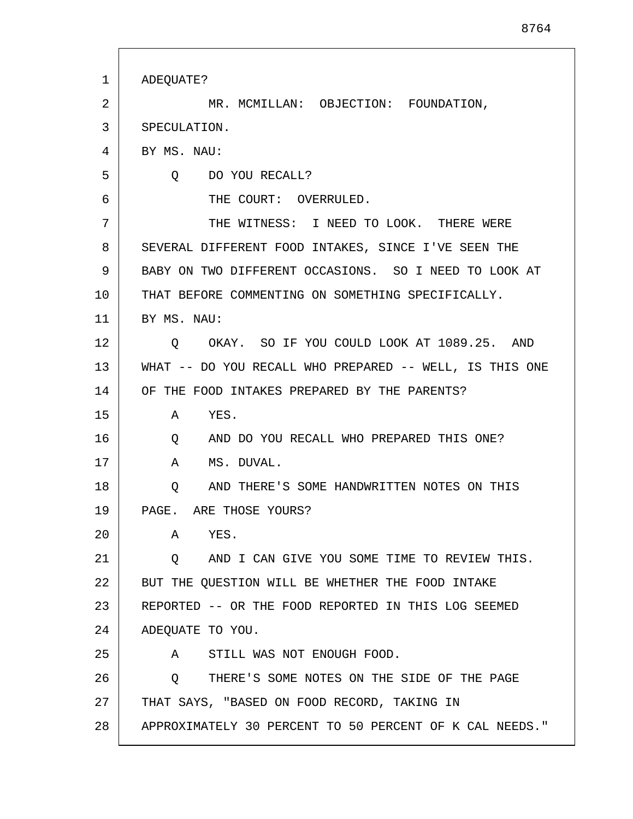| 1  | ADEQUATE?                                                     |
|----|---------------------------------------------------------------|
| 2  | MR. MCMILLAN: OBJECTION: FOUNDATION,                          |
| 3  | SPECULATION.                                                  |
| 4  | BY MS. NAU:                                                   |
| 5  | O DO YOU RECALL?                                              |
| 6  | THE COURT: OVERRULED.                                         |
| 7  | THE WITNESS: I NEED TO LOOK. THERE WERE                       |
| 8  | SEVERAL DIFFERENT FOOD INTAKES, SINCE I'VE SEEN THE           |
| 9  | BABY ON TWO DIFFERENT OCCASIONS. SO I NEED TO LOOK AT         |
| 10 | THAT BEFORE COMMENTING ON SOMETHING SPECIFICALLY.             |
| 11 | BY MS. NAU:                                                   |
| 12 | OKAY. SO IF YOU COULD LOOK AT 1089.25. AND<br>$\circ$         |
| 13 | WHAT -- DO YOU RECALL WHO PREPARED -- WELL, IS THIS ONE       |
| 14 | OF THE FOOD INTAKES PREPARED BY THE PARENTS?                  |
| 15 | A YES.                                                        |
| 16 | AND DO YOU RECALL WHO PREPARED THIS ONE?<br>$Q \qquad \qquad$ |
| 17 | MS. DUVAL.<br>A                                               |
| 18 | AND THERE'S SOME HANDWRITTEN NOTES ON THIS<br>Q               |
| 19 | PAGE. ARE THOSE YOURS?                                        |
| 20 | YES.<br>A                                                     |
| 21 | AND I CAN GIVE YOU SOME TIME TO REVIEW THIS.<br>$\circ$       |
| 22 | BUT THE QUESTION WILL BE WHETHER THE FOOD INTAKE              |
| 23 | REPORTED -- OR THE FOOD REPORTED IN THIS LOG SEEMED           |
| 24 | ADEQUATE TO YOU.                                              |
| 25 | STILL WAS NOT ENOUGH FOOD.<br>A                               |
| 26 | THERE'S SOME NOTES ON THE SIDE OF THE PAGE<br>O.              |
| 27 | THAT SAYS, "BASED ON FOOD RECORD, TAKING IN                   |
| 28 | APPROXIMATELY 30 PERCENT TO 50 PERCENT OF K CAL NEEDS."       |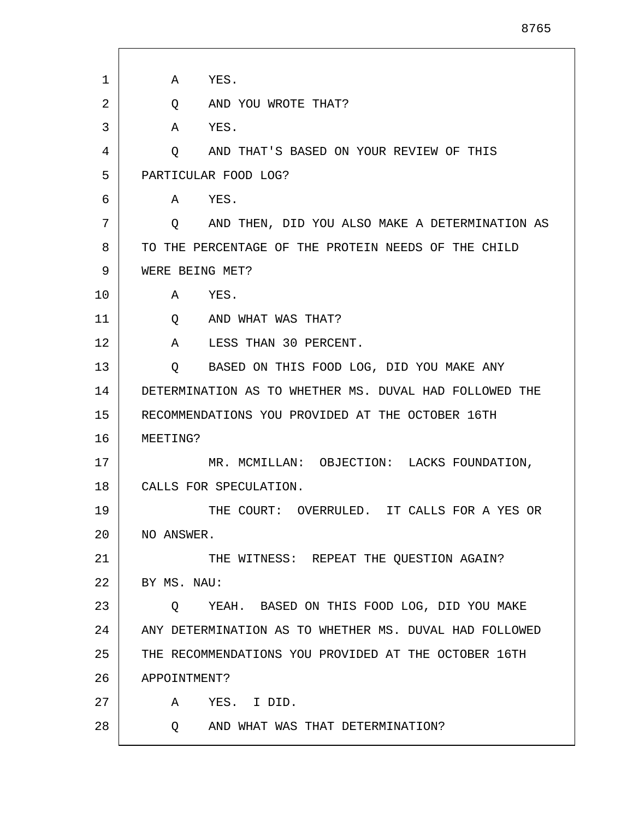| 1  | YES.<br>Α                                              |
|----|--------------------------------------------------------|
| 2  | AND YOU WROTE THAT?<br>Q                               |
| 3  | YES.<br>A                                              |
| 4  | AND THAT'S BASED ON YOUR REVIEW OF THIS<br>Q           |
| 5  | PARTICULAR FOOD LOG?                                   |
| 6  | YES.<br>Α                                              |
| 7  | AND THEN, DID YOU ALSO MAKE A DETERMINATION AS<br>Q    |
| 8  | TO THE PERCENTAGE OF THE PROTEIN NEEDS OF THE CHILD    |
| 9  | WERE BEING MET?                                        |
| 10 | YES.<br>A                                              |
| 11 | AND WHAT WAS THAT?<br>Q                                |
| 12 | LESS THAN 30 PERCENT.<br>Α                             |
| 13 | BASED ON THIS FOOD LOG, DID YOU MAKE ANY<br>Q          |
| 14 | DETERMINATION AS TO WHETHER MS. DUVAL HAD FOLLOWED THE |
| 15 | RECOMMENDATIONS YOU PROVIDED AT THE OCTOBER 16TH       |
| 16 | MEETING?                                               |
| 17 | MR. MCMILLAN: OBJECTION: LACKS FOUNDATION,             |
| 18 | CALLS FOR SPECULATION.                                 |
| 19 | THE COURT: OVERRULED. IT CALLS FOR A YES OR            |
| 20 | NO ANSWER.                                             |
| 21 | THE WITNESS: REPEAT THE QUESTION AGAIN?                |
| 22 | BY MS. NAU:                                            |
| 23 | YEAH. BASED ON THIS FOOD LOG, DID YOU MAKE<br>O.       |
| 24 | ANY DETERMINATION AS TO WHETHER MS. DUVAL HAD FOLLOWED |
| 25 | THE RECOMMENDATIONS YOU PROVIDED AT THE OCTOBER 16TH   |
| 26 | APPOINTMENT?                                           |
| 27 | YES. I DID.<br>A                                       |
| 28 | AND WHAT WAS THAT DETERMINATION?<br>$\circ$            |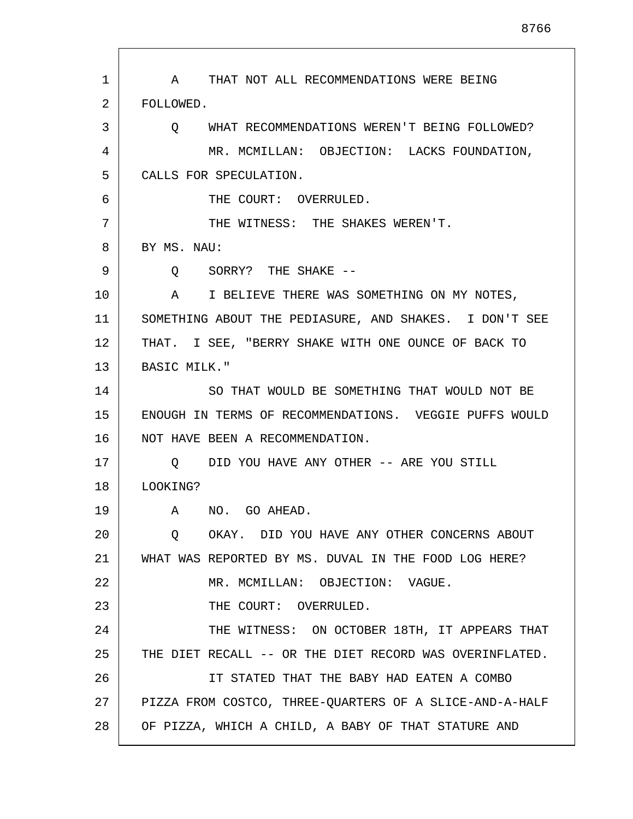1 2 3 4 5 6 7 8 9 10 11 12 13 14 15 16 17 18 19 20 21 22 23 24 25 26 27 28 A THAT NOT ALL RECOMMENDATIONS WERE BEING FOLLOWED. Q WHAT RECOMMENDATIONS WEREN'T BEING FOLLOWED? MR. MCMILLAN: OBJECTION: LACKS FOUNDATION, CALLS FOR SPECULATION. THE COURT: OVERRULED. THE WITNESS: THE SHAKES WEREN'T. BY MS. NAU: Q SORRY? THE SHAKE -- A I BELIEVE THERE WAS SOMETHING ON MY NOTES, SOMETHING ABOUT THE PEDIASURE, AND SHAKES. I DON'T SEE THAT. I SEE, "BERRY SHAKE WITH ONE OUNCE OF BACK TO BASIC MILK." SO THAT WOULD BE SOMETHING THAT WOULD NOT BE ENOUGH IN TERMS OF RECOMMENDATIONS. VEGGIE PUFFS WOULD NOT HAVE BEEN A RECOMMENDATION. Q DID YOU HAVE ANY OTHER -- ARE YOU STILL LOOKING? A NO. GO AHEAD. Q OKAY. DID YOU HAVE ANY OTHER CONCERNS ABOUT WHAT WAS REPORTED BY MS. DUVAL IN THE FOOD LOG HERE? MR. MCMILLAN: OBJECTION: VAGUE. THE COURT: OVERRULED. THE WITNESS: ON OCTOBER 18TH, IT APPEARS THAT THE DIET RECALL -- OR THE DIET RECORD WAS OVERINFLATED. IT STATED THAT THE BABY HAD EATEN A COMBO PIZZA FROM COSTCO, THREE-QUARTERS OF A SLICE-AND-A-HALF OF PIZZA, WHICH A CHILD, A BABY OF THAT STATURE AND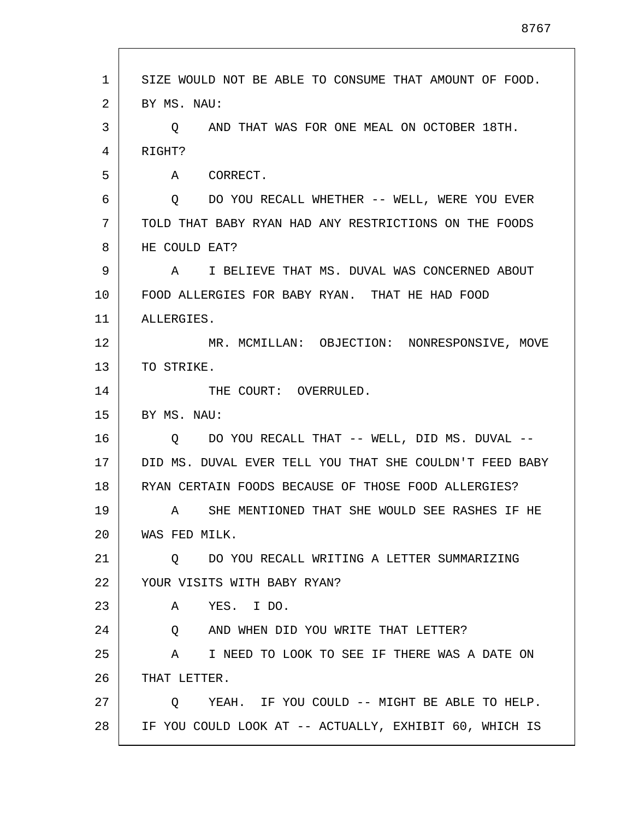| 1  | SIZE WOULD NOT BE ABLE TO CONSUME THAT AMOUNT OF FOOD.  |
|----|---------------------------------------------------------|
| 2  | BY MS. NAU:                                             |
| 3  | AND THAT WAS FOR ONE MEAL ON OCTOBER 18TH.<br>O.        |
| 4  | RIGHT?                                                  |
| 5  | CORRECT.<br>A                                           |
| 6  | DO YOU RECALL WHETHER -- WELL, WERE YOU EVER<br>$\circ$ |
| 7  | TOLD THAT BABY RYAN HAD ANY RESTRICTIONS ON THE FOODS   |
| 8  | HE COULD EAT?                                           |
| 9  | I BELIEVE THAT MS. DUVAL WAS CONCERNED ABOUT<br>A       |
| 10 | FOOD ALLERGIES FOR BABY RYAN. THAT HE HAD FOOD          |
| 11 | ALLERGIES.                                              |
| 12 | MR. MCMILLAN: OBJECTION: NONRESPONSIVE, MOVE            |
| 13 | TO STRIKE.                                              |
| 14 | THE COURT: OVERRULED.                                   |
| 15 | BY MS. NAU:                                             |
| 16 | DO YOU RECALL THAT -- WELL, DID MS. DUVAL --<br>O.      |
| 17 | DID MS. DUVAL EVER TELL YOU THAT SHE COULDN'T FEED BABY |
| 18 | RYAN CERTAIN FOODS BECAUSE OF THOSE FOOD ALLERGIES?     |
| 19 | SHE MENTIONED THAT SHE WOULD SEE RASHES IF HE<br>A      |
| 20 | WAS FED MILK.                                           |
| 21 | 0 DO YOU RECALL WRITING A LETTER SUMMARIZING            |
| 22 | YOUR VISITS WITH BABY RYAN?                             |
| 23 | YES. I DO.<br>A                                         |
| 24 | AND WHEN DID YOU WRITE THAT LETTER?<br>Q                |
| 25 | I NEED TO LOOK TO SEE IF THERE WAS A DATE ON<br>A       |
| 26 | THAT LETTER.                                            |
| 27 | YEAH. IF YOU COULD -- MIGHT BE ABLE TO HELP.<br>Q       |
| 28 | IF YOU COULD LOOK AT -- ACTUALLY, EXHIBIT 60, WHICH IS  |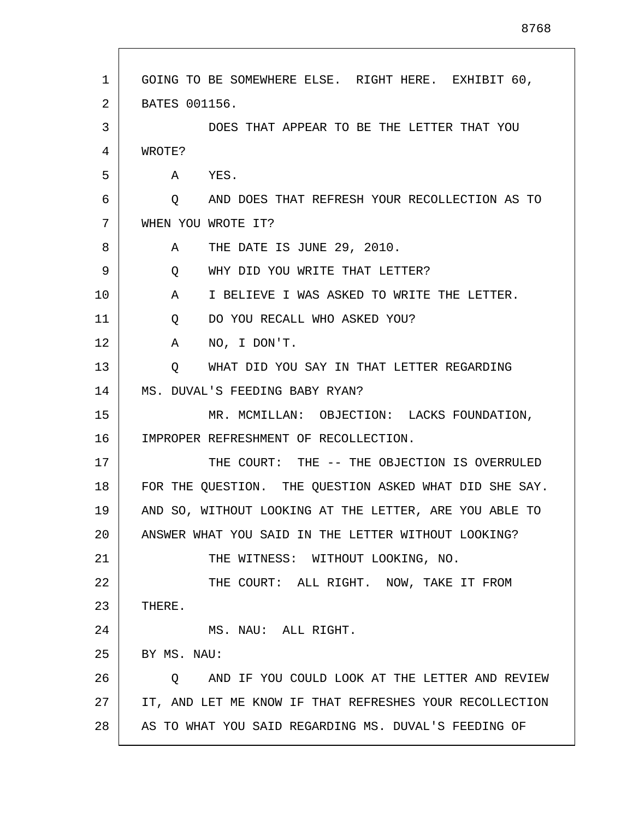| $\mathbf{1}$ | GOING TO BE SOMEWHERE ELSE. RIGHT HERE. EXHIBIT 60,       |
|--------------|-----------------------------------------------------------|
| 2            | BATES 001156.                                             |
| 3            | DOES THAT APPEAR TO BE THE LETTER THAT YOU                |
| 4            | WROTE?                                                    |
| 5            | YES.<br>A                                                 |
| 6            | AND DOES THAT REFRESH YOUR RECOLLECTION AS TO<br>$\circ$  |
| 7            | WHEN YOU WROTE IT?                                        |
| 8            | THE DATE IS JUNE 29, 2010.<br>A                           |
| 9            | WHY DID YOU WRITE THAT LETTER?<br>Q                       |
| 10           | I BELIEVE I WAS ASKED TO WRITE THE LETTER.<br>A           |
| 11           | Q<br>DO YOU RECALL WHO ASKED YOU?                         |
| 12           | NO, I DON'T.<br>A                                         |
| 13           | WHAT DID YOU SAY IN THAT LETTER REGARDING<br>$\circ$      |
| 14           | MS. DUVAL'S FEEDING BABY RYAN?                            |
| 15           | MR. MCMILLAN: OBJECTION: LACKS FOUNDATION,                |
| 16           | IMPROPER REFRESHMENT OF RECOLLECTION.                     |
| 17           | THE COURT: THE -- THE OBJECTION IS OVERRULED              |
| 18           | FOR THE QUESTION. THE QUESTION ASKED WHAT DID SHE SAY.    |
| 19           | AND SO, WITHOUT LOOKING AT THE LETTER, ARE YOU ABLE TO    |
| 20           | ANSWER WHAT YOU SAID IN THE LETTER WITHOUT LOOKING?       |
| 21           | THE WITNESS: WITHOUT LOOKING, NO.                         |
| 22           | THE COURT: ALL RIGHT. NOW, TAKE IT FROM                   |
| 23           | THERE.                                                    |
| 24           | MS. NAU: ALL RIGHT.                                       |
| 25           | BY MS. NAU:                                               |
| 26           | AND IF YOU COULD LOOK AT THE LETTER AND REVIEW<br>$\circ$ |
| 27           | IT, AND LET ME KNOW IF THAT REFRESHES YOUR RECOLLECTION   |
| 28           | AS TO WHAT YOU SAID REGARDING MS. DUVAL'S FEEDING OF      |

Г

I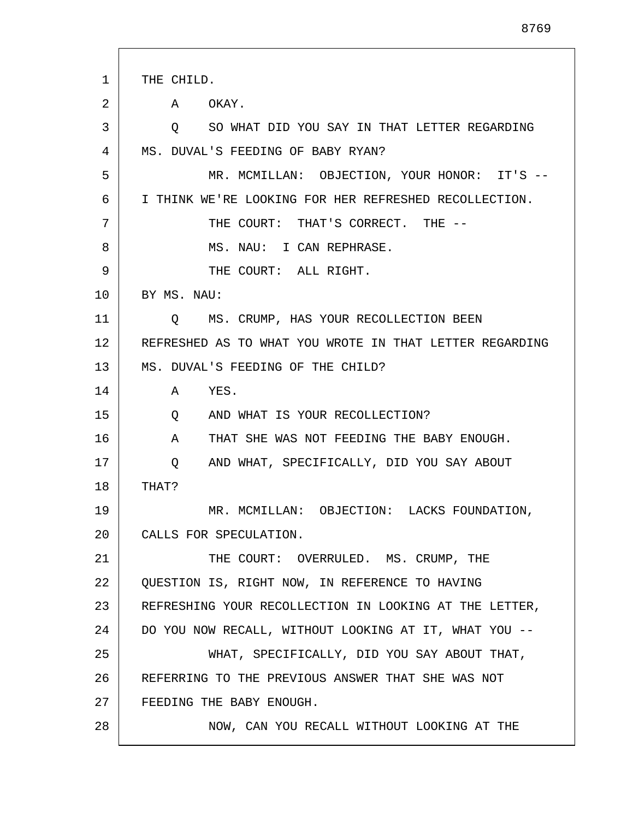| 1  | THE CHILD.                                              |
|----|---------------------------------------------------------|
| 2  | A<br>OKAY.                                              |
| 3  | SO WHAT DID YOU SAY IN THAT LETTER REGARDING<br>$\circ$ |
| 4  | MS. DUVAL'S FEEDING OF BABY RYAN?                       |
| 5  | MR. MCMILLAN: OBJECTION, YOUR HONOR: IT'S --            |
| 6  | I THINK WE'RE LOOKING FOR HER REFRESHED RECOLLECTION.   |
| 7  | THE COURT: THAT'S CORRECT. THE --                       |
| 8  | MS. NAU: I CAN REPHRASE.                                |
| 9  | THE COURT: ALL RIGHT.                                   |
| 10 | BY MS. NAU:                                             |
| 11 | MS. CRUMP, HAS YOUR RECOLLECTION BEEN<br>O.             |
| 12 | REFRESHED AS TO WHAT YOU WROTE IN THAT LETTER REGARDING |
| 13 | MS. DUVAL'S FEEDING OF THE CHILD?                       |
| 14 | YES.<br>A                                               |
| 15 | AND WHAT IS YOUR RECOLLECTION?<br>Q                     |
| 16 | THAT SHE WAS NOT FEEDING THE BABY ENOUGH.<br>A          |
| 17 | AND WHAT, SPECIFICALLY, DID YOU SAY ABOUT<br>Q          |
| 18 | THAT?                                                   |
| 19 | MR. MCMILLAN: OBJECTION: LACKS FOUNDATION,              |
| 20 | CALLS FOR SPECULATION.                                  |
| 21 | THE COURT: OVERRULED. MS. CRUMP, THE                    |
| 22 | OUESTION IS, RIGHT NOW, IN REFERENCE TO HAVING          |
| 23 | REFRESHING YOUR RECOLLECTION IN LOOKING AT THE LETTER,  |
| 24 | DO YOU NOW RECALL, WITHOUT LOOKING AT IT, WHAT YOU --   |
| 25 | WHAT, SPECIFICALLY, DID YOU SAY ABOUT THAT,             |
| 26 | REFERRING TO THE PREVIOUS ANSWER THAT SHE WAS NOT       |
| 27 | FEEDING THE BABY ENOUGH.                                |
| 28 | NOW, CAN YOU RECALL WITHOUT LOOKING AT THE              |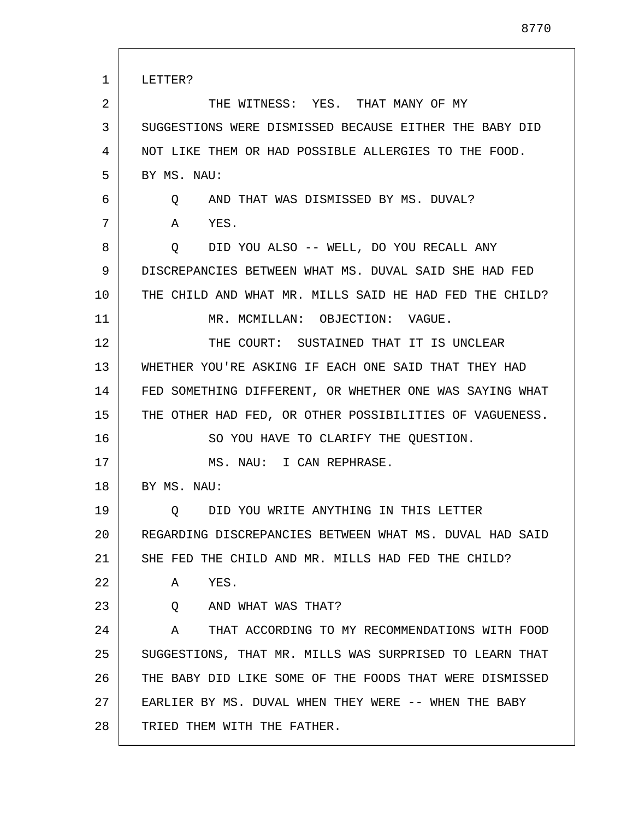| 1  | LETTER?                                                 |
|----|---------------------------------------------------------|
| 2  | THE WITNESS: YES. THAT MANY OF MY                       |
| 3  | SUGGESTIONS WERE DISMISSED BECAUSE EITHER THE BABY DID  |
| 4  | NOT LIKE THEM OR HAD POSSIBLE ALLERGIES TO THE FOOD.    |
| 5  | BY MS. NAU:                                             |
| 6  | Q AND THAT WAS DISMISSED BY MS. DUVAL?                  |
| 7  | YES.<br>A                                               |
| 8  | Q DID YOU ALSO -- WELL, DO YOU RECALL ANY               |
| 9  | DISCREPANCIES BETWEEN WHAT MS. DUVAL SAID SHE HAD FED   |
| 10 | THE CHILD AND WHAT MR. MILLS SAID HE HAD FED THE CHILD? |
| 11 | MR. MCMILLAN: OBJECTION: VAGUE.                         |
| 12 | THE COURT: SUSTAINED THAT IT IS UNCLEAR                 |
| 13 | WHETHER YOU'RE ASKING IF EACH ONE SAID THAT THEY HAD    |
| 14 | FED SOMETHING DIFFERENT, OR WHETHER ONE WAS SAYING WHAT |
| 15 | THE OTHER HAD FED, OR OTHER POSSIBILITIES OF VAGUENESS. |
| 16 | SO YOU HAVE TO CLARIFY THE QUESTION.                    |
| 17 | MS. NAU: I CAN REPHRASE.                                |
| 18 | BY MS. NAU:                                             |
| 19 | Q DID YOU WRITE ANYTHING IN THIS LETTER                 |
| 20 | REGARDING DISCREPANCIES BETWEEN WHAT MS. DUVAL HAD SAID |
| 21 | SHE FED THE CHILD AND MR. MILLS HAD FED THE CHILD?      |
| 22 | YES.<br>A                                               |
| 23 | AND WHAT WAS THAT?<br>Q                                 |
| 24 | THAT ACCORDING TO MY RECOMMENDATIONS WITH FOOD<br>A     |
| 25 | SUGGESTIONS, THAT MR. MILLS WAS SURPRISED TO LEARN THAT |
| 26 | THE BABY DID LIKE SOME OF THE FOODS THAT WERE DISMISSED |
| 27 | EARLIER BY MS. DUVAL WHEN THEY WERE -- WHEN THE BABY    |
| 28 | TRIED THEM WITH THE FATHER.                             |

L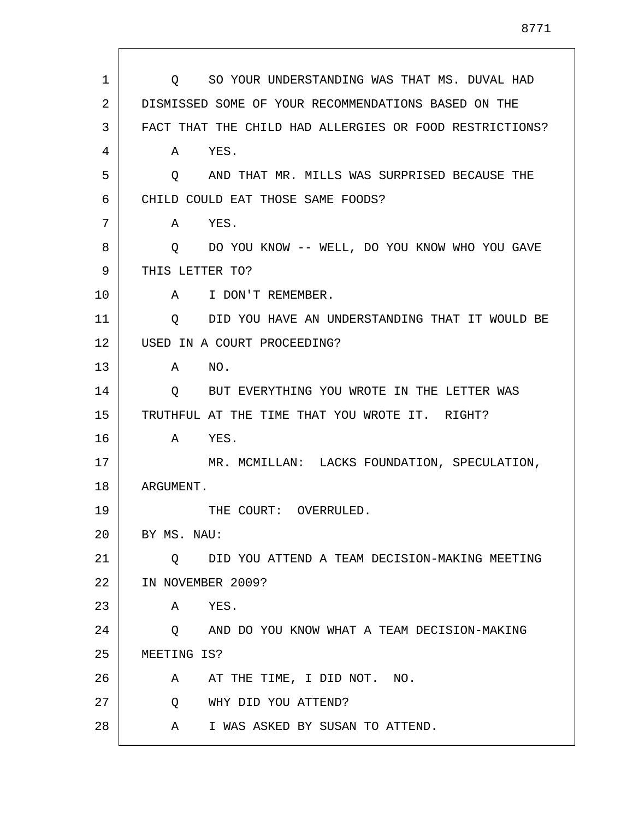| 1  | SO YOUR UNDERSTANDING WAS THAT MS. DUVAL HAD<br>$\circ$ |
|----|---------------------------------------------------------|
| 2  | DISMISSED SOME OF YOUR RECOMMENDATIONS BASED ON THE     |
| 3  | FACT THAT THE CHILD HAD ALLERGIES OR FOOD RESTRICTIONS? |
| 4  | YES.<br>Α                                               |
| 5  | AND THAT MR. MILLS WAS SURPRISED BECAUSE THE<br>Q       |
| 6  | CHILD COULD EAT THOSE SAME FOODS?                       |
| 7  | YES.<br>A                                               |
| 8  | DO YOU KNOW -- WELL, DO YOU KNOW WHO YOU GAVE<br>Q      |
| 9  | THIS LETTER TO?                                         |
| 10 | I DON'T REMEMBER.<br>A                                  |
| 11 | DID YOU HAVE AN UNDERSTANDING THAT IT WOULD BE<br>O     |
| 12 | USED IN A COURT PROCEEDING?                             |
| 13 | NO.<br>Α                                                |
| 14 | BUT EVERYTHING YOU WROTE IN THE LETTER WAS<br>Q         |
| 15 | TRUTHFUL AT THE TIME THAT YOU WROTE IT. RIGHT?          |
| 16 | YES.<br>A                                               |
| 17 | MR. MCMILLAN: LACKS FOUNDATION, SPECULATION,            |
| 18 | ARGUMENT.                                               |
| 19 | THE COURT: OVERRULED.                                   |
| 20 | BY MS. NAU:                                             |
| 21 | DID YOU ATTEND A TEAM DECISION-MAKING MEETING<br>Q      |
| 22 | IN NOVEMBER 2009?                                       |
| 23 | YES.<br>Α                                               |
| 24 | AND DO YOU KNOW WHAT A TEAM DECISION-MAKING<br>Q        |
| 25 | MEETING IS?                                             |
| 26 | AT THE TIME, I DID NOT. NO.<br>A                        |
| 27 | WHY DID YOU ATTEND?<br>O.                               |
| 28 | I WAS ASKED BY SUSAN TO ATTEND.<br>Α                    |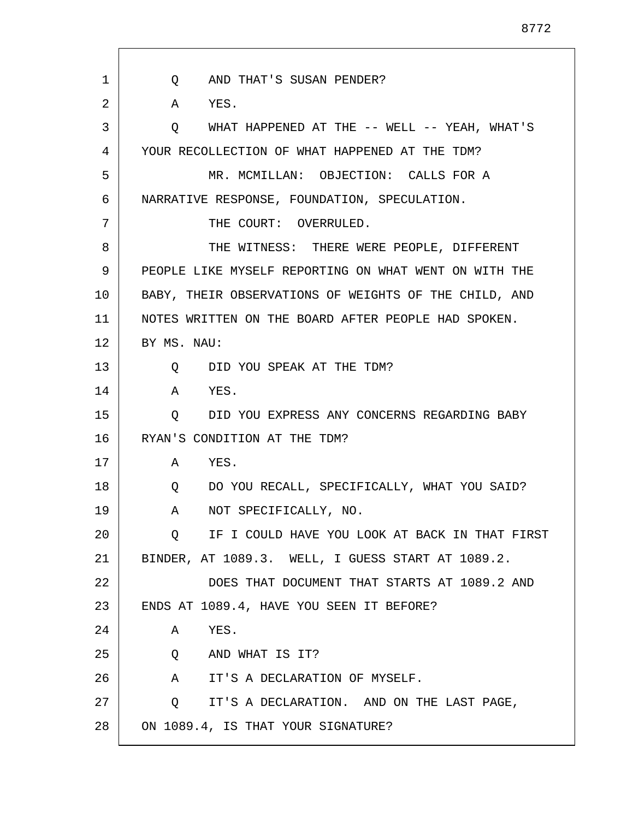Q AND THAT'S SUSAN PENDER? A YES. Q WHAT HAPPENED AT THE -- WELL -- YEAH, WHAT'S YOUR RECOLLECTION OF WHAT HAPPENED AT THE TDM? MR. MCMILLAN: OBJECTION: CALLS FOR A NARRATIVE RESPONSE, FOUNDATION, SPECULATION. THE COURT: OVERRULED. THE WITNESS: THERE WERE PEOPLE, DIFFERENT PEOPLE LIKE MYSELF REPORTING ON WHAT WENT ON WITH THE BABY, THEIR OBSERVATIONS OF WEIGHTS OF THE CHILD, AND NOTES WRITTEN ON THE BOARD AFTER PEOPLE HAD SPOKEN. BY MS. NAU: Q DID YOU SPEAK AT THE TDM? A YES. Q DID YOU EXPRESS ANY CONCERNS REGARDING BABY RYAN'S CONDITION AT THE TDM? A YES. Q DO YOU RECALL, SPECIFICALLY, WHAT YOU SAID? A NOT SPECIFICALLY, NO. Q IF I COULD HAVE YOU LOOK AT BACK IN THAT FIRST BINDER, AT 1089.3. WELL, I GUESS START AT 1089.2. DOES THAT DOCUMENT THAT STARTS AT 1089.2 AND ENDS AT 1089.4, HAVE YOU SEEN IT BEFORE? A YES. Q AND WHAT IS IT? A IT'S A DECLARATION OF MYSELF.

Q IT'S A DECLARATION. AND ON THE LAST PAGE,

28 ON 1089.4, IS THAT YOUR SIGNATURE?

1

2

3

4

5

6

7

8

9

10

11

12

13

14

15

16

17

18

19

20

21

22

23

24

25

26

27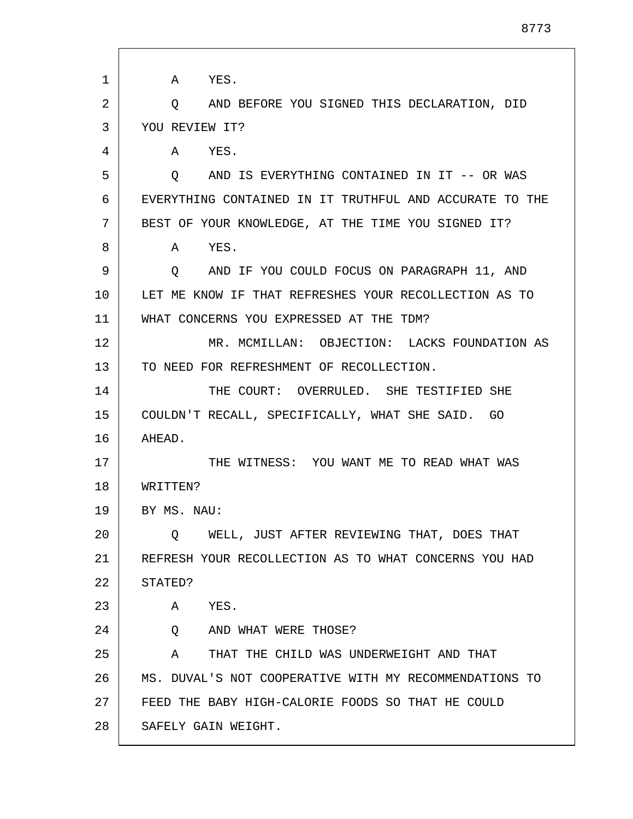| 1  | A YES.                                                  |
|----|---------------------------------------------------------|
| 2  | AND BEFORE YOU SIGNED THIS DECLARATION, DID<br>O.       |
| 3  | YOU REVIEW IT?                                          |
| 4  | YES.<br>A                                               |
| 5  | AND IS EVERYTHING CONTAINED IN IT -- OR WAS<br>$\circ$  |
| 6  | EVERYTHING CONTAINED IN IT TRUTHFUL AND ACCURATE TO THE |
| 7  | BEST OF YOUR KNOWLEDGE, AT THE TIME YOU SIGNED IT?      |
| 8  | YES.<br>A                                               |
| 9  | AND IF YOU COULD FOCUS ON PARAGRAPH 11, AND<br>$\circ$  |
| 10 | LET ME KNOW IF THAT REFRESHES YOUR RECOLLECTION AS TO   |
| 11 | WHAT CONCERNS YOU EXPRESSED AT THE TDM?                 |
| 12 | MR. MCMILLAN: OBJECTION: LACKS FOUNDATION AS            |
| 13 | TO NEED FOR REFRESHMENT OF RECOLLECTION.                |
| 14 | THE COURT: OVERRULED. SHE TESTIFIED SHE                 |
| 15 | COULDN'T RECALL, SPECIFICALLY, WHAT SHE SAID. GO        |
| 16 | AHEAD.                                                  |
| 17 | THE WITNESS: YOU WANT ME TO READ WHAT WAS               |
| 18 | WRITTEN?                                                |
| 19 | BY MS. NAU:                                             |
| 20 | WELL, JUST AFTER REVIEWING THAT, DOES THAT<br>Q         |
| 21 | REFRESH YOUR RECOLLECTION AS TO WHAT CONCERNS YOU HAD   |
| 22 | STATED?                                                 |
| 23 | Α<br>YES.                                               |
| 24 | AND WHAT WERE THOSE?<br>Q                               |
| 25 | THAT THE CHILD WAS UNDERWEIGHT AND THAT<br>A            |
| 26 | MS. DUVAL'S NOT COOPERATIVE WITH MY RECOMMENDATIONS TO  |
| 27 | FEED THE BABY HIGH-CALORIE FOODS SO THAT HE COULD       |
| 28 | SAFELY GAIN WEIGHT.                                     |

 $\mathbf{I}$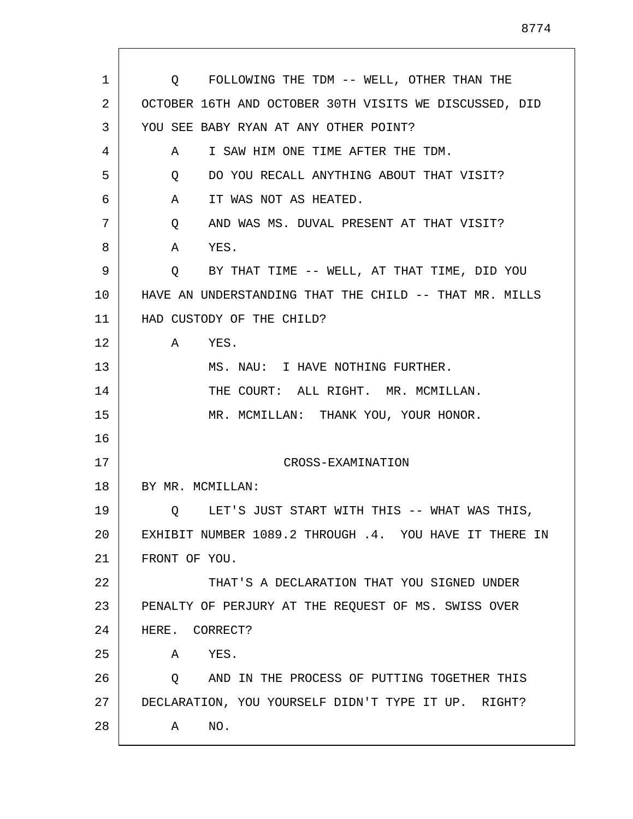| Q FOLLOWING THE TDM -- WELL, OTHER THAN THE            |
|--------------------------------------------------------|
| OCTOBER 16TH AND OCTOBER 30TH VISITS WE DISCUSSED, DID |
| YOU SEE BABY RYAN AT ANY OTHER POINT?                  |
| I SAW HIM ONE TIME AFTER THE TDM.<br>A                 |
| DO YOU RECALL ANYTHING ABOUT THAT VISIT?<br>Q          |
| IT WAS NOT AS HEATED.<br>A                             |
| AND WAS MS. DUVAL PRESENT AT THAT VISIT?<br>Q          |
| YES.<br>A                                              |
| Q BY THAT TIME -- WELL, AT THAT TIME, DID YOU          |
| HAVE AN UNDERSTANDING THAT THE CHILD -- THAT MR. MILLS |
| HAD CUSTODY OF THE CHILD?                              |
| $\mathbf{A}$<br>YES.                                   |
| MS. NAU: I HAVE NOTHING FURTHER.                       |
| THE COURT: ALL RIGHT. MR. MCMILLAN.                    |
| MR. MCMILLAN: THANK YOU, YOUR HONOR.                   |
|                                                        |
| CROSS-EXAMINATION                                      |
| BY MR. MCMILLAN:                                       |
| LET'S JUST START WITH THIS -- WHAT WAS THIS,<br>Q      |
| EXHIBIT NUMBER 1089.2 THROUGH .4. YOU HAVE IT THERE IN |
| FRONT OF YOU.                                          |
| THAT'S A DECLARATION THAT YOU SIGNED UNDER             |
| PENALTY OF PERJURY AT THE REQUEST OF MS. SWISS OVER    |
| HERE. CORRECT?                                         |
| YES.<br>Α                                              |
| AND IN THE PROCESS OF PUTTING TOGETHER THIS<br>Q       |
| DECLARATION, YOU YOURSELF DIDN'T TYPE IT UP. RIGHT?    |
| NO.<br>Α                                               |
|                                                        |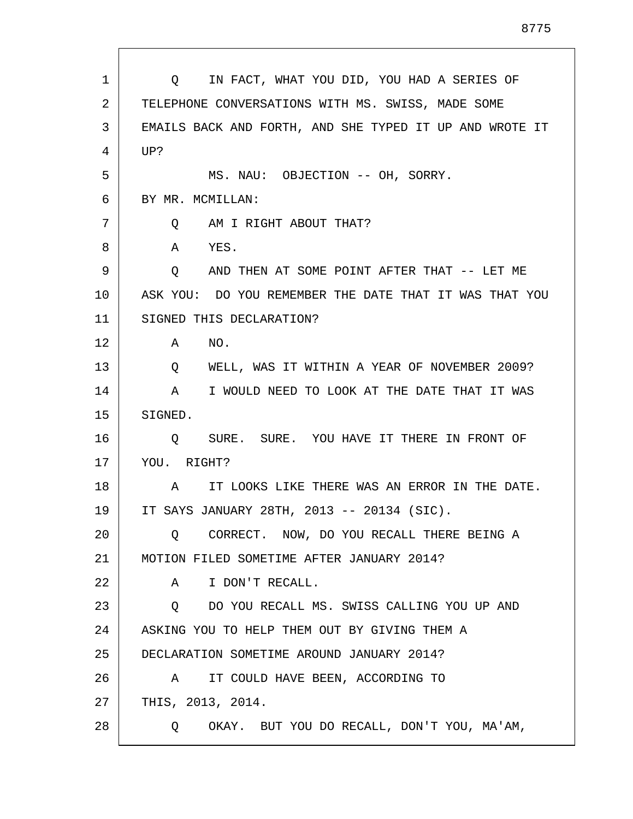| 1  | IN FACT, WHAT YOU DID, YOU HAD A SERIES OF<br>$\circ$ 0 |
|----|---------------------------------------------------------|
| 2  | TELEPHONE CONVERSATIONS WITH MS. SWISS, MADE SOME       |
| 3  | EMAILS BACK AND FORTH, AND SHE TYPED IT UP AND WROTE IT |
| 4  | UP?                                                     |
| 5  | MS. NAU: OBJECTION -- OH, SORRY.                        |
| 6  | BY MR. MCMILLAN:                                        |
| 7  | AM I RIGHT ABOUT THAT?<br>O.                            |
| 8  | YES.<br>A                                               |
| 9  | AND THEN AT SOME POINT AFTER THAT -- LET ME<br>$\circ$  |
| 10 | ASK YOU: DO YOU REMEMBER THE DATE THAT IT WAS THAT YOU  |
| 11 | SIGNED THIS DECLARATION?                                |
| 12 | NO.<br>Α                                                |
| 13 | WELL, WAS IT WITHIN A YEAR OF NOVEMBER 2009?<br>Q       |
| 14 | I WOULD NEED TO LOOK AT THE DATE THAT IT WAS<br>A       |
| 15 | SIGNED.                                                 |
| 16 | O SURE. SURE. YOU HAVE IT THERE IN FRONT OF             |
| 17 | YOU. RIGHT?                                             |
| 18 | A IT LOOKS LIKE THERE WAS AN ERROR IN THE DATE.         |
| 19 | IT SAYS JANUARY 28TH, 2013 -- 20134 (SIC).              |
| 20 | CORRECT. NOW, DO YOU RECALL THERE BEING A<br>O          |
| 21 | MOTION FILED SOMETIME AFTER JANUARY 2014?               |
| 22 | I DON'T RECALL.<br>A                                    |
| 23 | DO YOU RECALL MS. SWISS CALLING YOU UP AND<br>Q         |
| 24 | ASKING YOU TO HELP THEM OUT BY GIVING THEM A            |
| 25 | DECLARATION SOMETIME AROUND JANUARY 2014?               |
| 26 | IT COULD HAVE BEEN, ACCORDING TO<br>A                   |
| 27 | THIS, 2013, 2014.                                       |
| 28 | OKAY. BUT YOU DO RECALL, DON'T YOU, MA'AM,<br>Q         |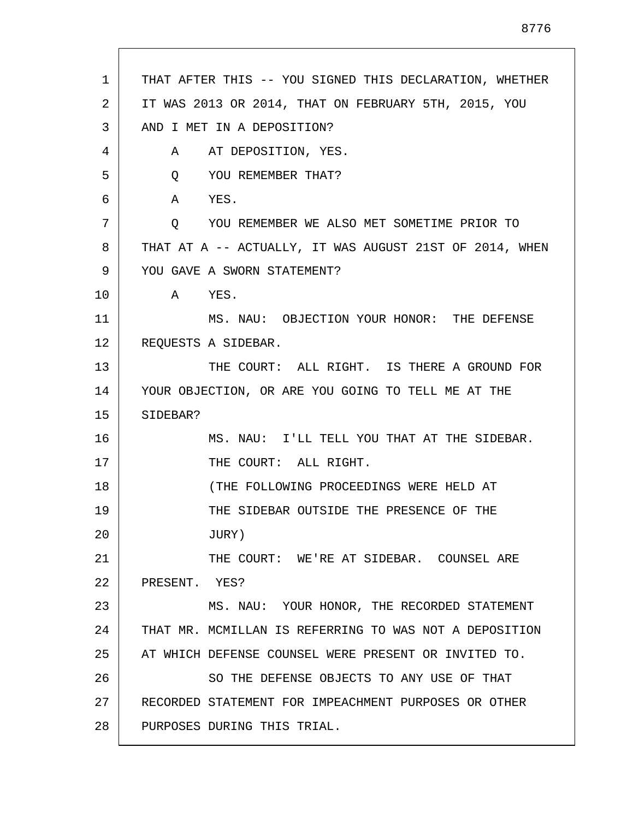| $\mathbf{1}$ | THAT AFTER THIS -- YOU SIGNED THIS DECLARATION, WHETHER |
|--------------|---------------------------------------------------------|
| 2            | IT WAS 2013 OR 2014, THAT ON FEBRUARY 5TH, 2015, YOU    |
| 3            | AND I MET IN A DEPOSITION?                              |
| 4            | A AT DEPOSITION, YES.                                   |
| 5            | Q YOU REMEMBER THAT?                                    |
| 6            | A YES.                                                  |
| 7            | YOU REMEMBER WE ALSO MET SOMETIME PRIOR TO<br>Q         |
| 8            | THAT AT A -- ACTUALLY, IT WAS AUGUST 21ST OF 2014, WHEN |
| 9            | YOU GAVE A SWORN STATEMENT?                             |
| 10           | A YES.                                                  |
| 11           | MS. NAU: OBJECTION YOUR HONOR: THE DEFENSE              |
| 12           | REQUESTS A SIDEBAR.                                     |
| 13           | THE COURT: ALL RIGHT. IS THERE A GROUND FOR             |
| 14           | YOUR OBJECTION, OR ARE YOU GOING TO TELL ME AT THE      |
| 15           | SIDEBAR?                                                |
| 16           | MS. NAU: I'LL TELL YOU THAT AT THE SIDEBAR.             |
| 17           | THE COURT: ALL RIGHT.                                   |
| 18           | (THE FOLLOWING PROCEEDINGS WERE HELD AT                 |
| 19           | THE SIDEBAR OUTSIDE THE PRESENCE OF THE                 |
| 20           | JURY)                                                   |
| 21           | THE COURT: WE'RE AT SIDEBAR. COUNSEL ARE                |
| 22           | PRESENT. YES?                                           |
| 23           | MS. NAU: YOUR HONOR, THE RECORDED STATEMENT             |
| 24           | THAT MR. MCMILLAN IS REFERRING TO WAS NOT A DEPOSITION  |
| 25           | AT WHICH DEFENSE COUNSEL WERE PRESENT OR INVITED TO.    |
| 26           | SO THE DEFENSE OBJECTS TO ANY USE OF THAT               |
| 27           | RECORDED STATEMENT FOR IMPEACHMENT PURPOSES OR OTHER    |
| 28           | PURPOSES DURING THIS TRIAL.                             |

 $\mathsf{l}$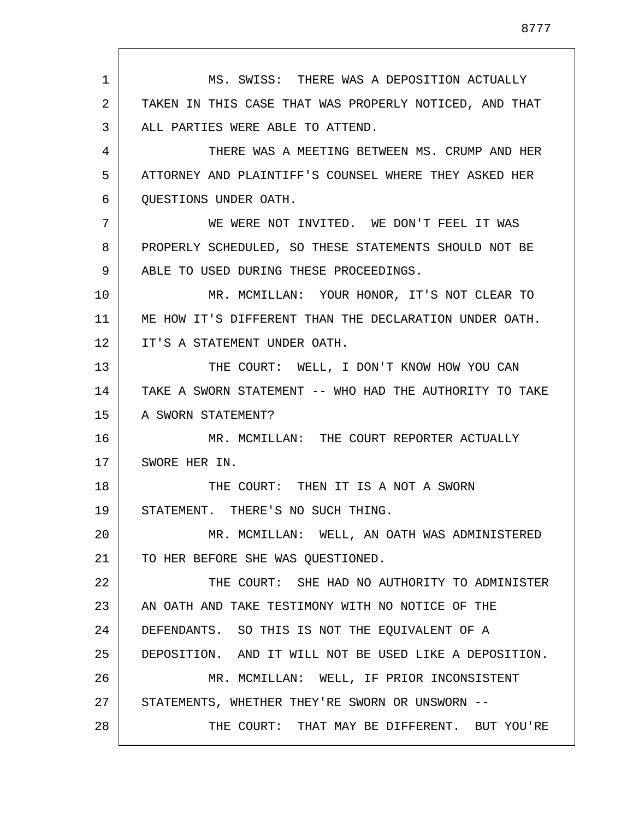1 2 3 4 5 6 7 8 9 10 11 12 13 14 15 16 17 18 19 20 21 22 23 24 25 26 27 28 MS. SWISS: THERE WAS A DEPOSITION ACTUALLY TAKEN IN THIS CASE THAT WAS PROPERLY NOTICED, AND THAT ALL PARTIES WERE ABLE TO ATTEND. THERE WAS A MEETING BETWEEN MS. CRUMP AND HER ATTORNEY AND PLAINTIFF'S COUNSEL WHERE THEY ASKED HER QUESTIONS UNDER OATH. WE WERE NOT INVITED. WE DON'T FEEL IT WAS PROPERLY SCHEDULED, SO THESE STATEMENTS SHOULD NOT BE ABLE TO USED DURING THESE PROCEEDINGS. MR. MCMILLAN: YOUR HONOR, IT'S NOT CLEAR TO ME HOW IT'S DIFFERENT THAN THE DECLARATION UNDER OATH. IT'S A STATEMENT UNDER OATH. THE COURT: WELL, I DON'T KNOW HOW YOU CAN TAKE A SWORN STATEMENT -- WHO HAD THE AUTHORITY TO TAKE A SWORN STATEMENT? MR. MCMILLAN: THE COURT REPORTER ACTUALLY SWORE HER IN. THE COURT: THEN IT IS A NOT A SWORN STATEMENT. THERE'S NO SUCH THING. MR. MCMILLAN: WELL, AN OATH WAS ADMINISTERED TO HER BEFORE SHE WAS QUESTIONED. THE COURT: SHE HAD NO AUTHORITY TO ADMINISTER AN OATH AND TAKE TESTIMONY WITH NO NOTICE OF THE DEFENDANTS. SO THIS IS NOT THE EQUIVALENT OF A DEPOSITION. AND IT WILL NOT BE USED LIKE A DEPOSITION. MR. MCMILLAN: WELL, IF PRIOR INCONSISTENT STATEMENTS, WHETHER THEY'RE SWORN OR UNSWORN -- THE COURT: THAT MAY BE DIFFERENT. BUT YOU'RE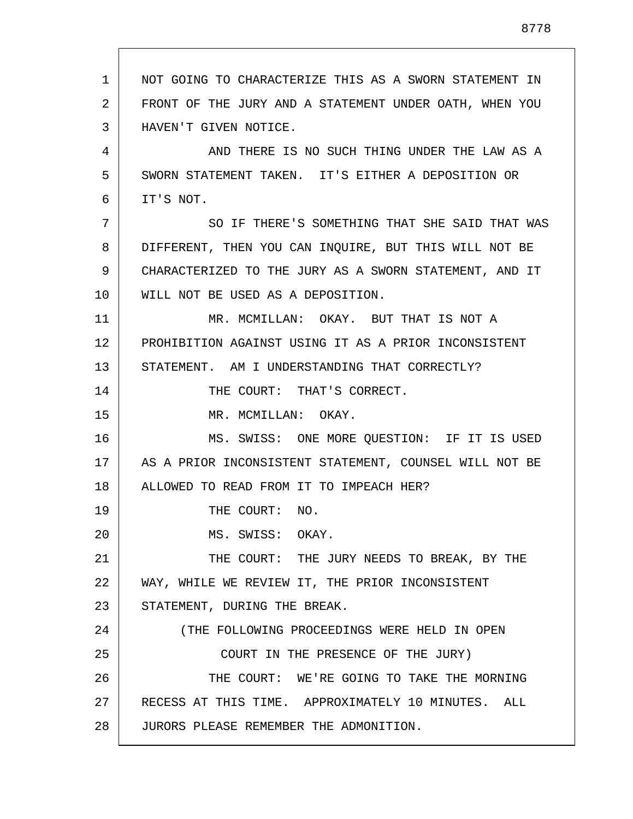1 2 3 4 5 6 7 8 9 10 11 12 13 14 15 16 17 18 19 20 21 22 23 24 25 26 27 28 NOT GOING TO CHARACTERIZE THIS AS A SWORN STATEMENT IN FRONT OF THE JURY AND A STATEMENT UNDER OATH, WHEN YOU HAVEN'T GIVEN NOTICE. AND THERE IS NO SUCH THING UNDER THE LAW AS A SWORN STATEMENT TAKEN. IT'S EITHER A DEPOSITION OR IT'S NOT. SO IF THERE'S SOMETHING THAT SHE SAID THAT WAS DIFFERENT, THEN YOU CAN INQUIRE, BUT THIS WILL NOT BE CHARACTERIZED TO THE JURY AS A SWORN STATEMENT, AND IT WILL NOT BE USED AS A DEPOSITION. MR. MCMILLAN: OKAY. BUT THAT IS NOT A PROHIBITION AGAINST USING IT AS A PRIOR INCONSISTENT STATEMENT. AM I UNDERSTANDING THAT CORRECTLY? THE COURT: THAT'S CORRECT. MR. MCMILLAN: OKAY. MS. SWISS: ONE MORE QUESTION: IF IT IS USED AS A PRIOR INCONSISTENT STATEMENT, COUNSEL WILL NOT BE ALLOWED TO READ FROM IT TO IMPEACH HER? THE COURT: NO. MS. SWISS: OKAY. THE COURT: THE JURY NEEDS TO BREAK, BY THE WAY, WHILE WE REVIEW IT, THE PRIOR INCONSISTENT STATEMENT, DURING THE BREAK. (THE FOLLOWING PROCEEDINGS WERE HELD IN OPEN COURT IN THE PRESENCE OF THE JURY) THE COURT: WE'RE GOING TO TAKE THE MORNING RECESS AT THIS TIME. APPROXIMATELY 10 MINUTES. ALL JURORS PLEASE REMEMBER THE ADMONITION.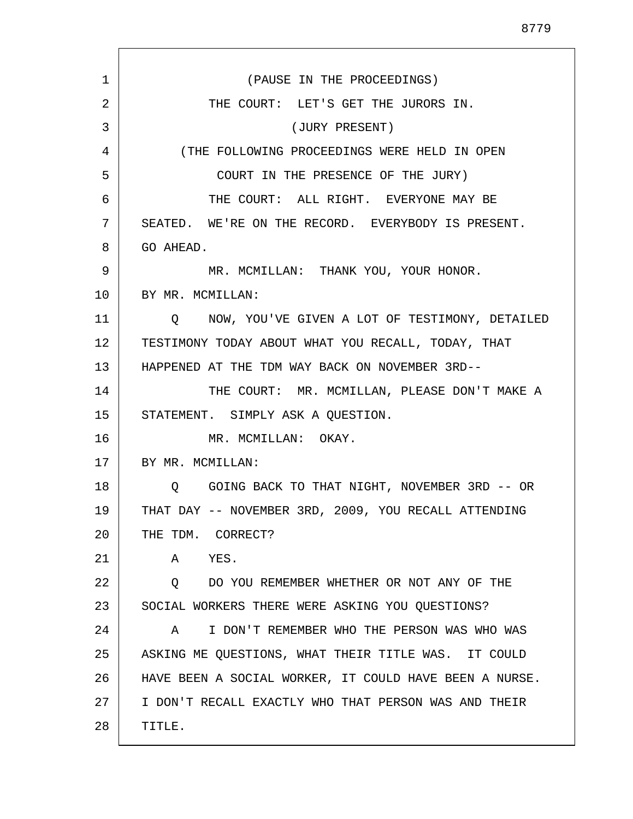1 2 3 4 5 6 7 8 9 10 11 12 13 14 15 16 17 18 19 20 21 22 23 24 25 26 27 28 (PAUSE IN THE PROCEEDINGS) THE COURT: LET'S GET THE JURORS IN. (JURY PRESENT) (THE FOLLOWING PROCEEDINGS WERE HELD IN OPEN COURT IN THE PRESENCE OF THE JURY) THE COURT: ALL RIGHT. EVERYONE MAY BE SEATED. WE'RE ON THE RECORD. EVERYBODY IS PRESENT. GO AHEAD. MR. MCMILLAN: THANK YOU, YOUR HONOR. BY MR. MCMILLAN: Q NOW, YOU'VE GIVEN A LOT OF TESTIMONY, DETAILED TESTIMONY TODAY ABOUT WHAT YOU RECALL, TODAY, THAT HAPPENED AT THE TDM WAY BACK ON NOVEMBER 3RD-- THE COURT: MR. MCMILLAN, PLEASE DON'T MAKE A STATEMENT. SIMPLY ASK A QUESTION. MR. MCMILLAN: OKAY. BY MR. MCMILLAN: Q GOING BACK TO THAT NIGHT, NOVEMBER 3RD -- OR THAT DAY -- NOVEMBER 3RD, 2009, YOU RECALL ATTENDING THE TDM. CORRECT? A YES. Q DO YOU REMEMBER WHETHER OR NOT ANY OF THE SOCIAL WORKERS THERE WERE ASKING YOU QUESTIONS? A I DON'T REMEMBER WHO THE PERSON WAS WHO WAS ASKING ME QUESTIONS, WHAT THEIR TITLE WAS. IT COULD HAVE BEEN A SOCIAL WORKER, IT COULD HAVE BEEN A NURSE. I DON'T RECALL EXACTLY WHO THAT PERSON WAS AND THEIR TITLE.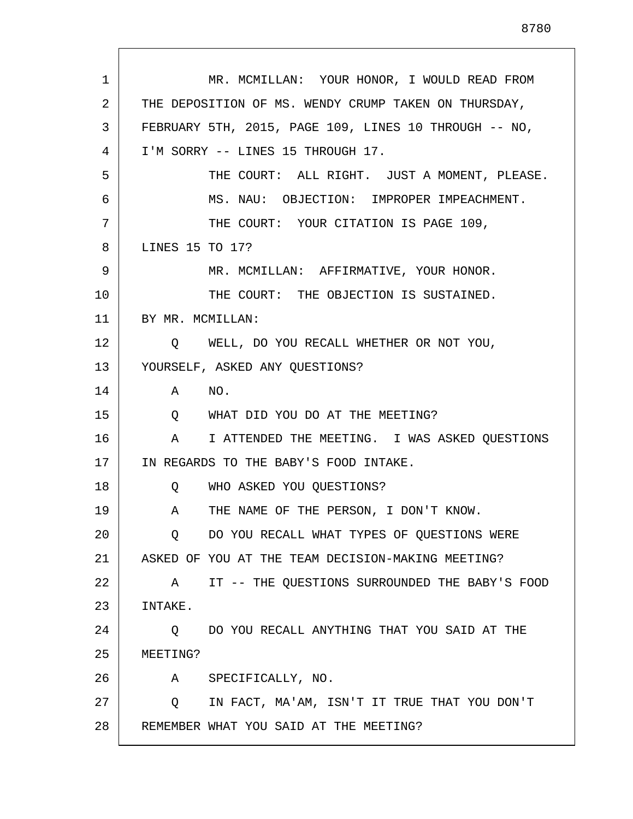1 2 3 4 5 6 7 8 9 10 11 12 13 14 15 16 17 18 19 20 21 22 23 24 25 26 27 28 MR. MCMILLAN: YOUR HONOR, I WOULD READ FROM THE DEPOSITION OF MS. WENDY CRUMP TAKEN ON THURSDAY, FEBRUARY 5TH, 2015, PAGE 109, LINES 10 THROUGH -- NO, I'M SORRY -- LINES 15 THROUGH 17. THE COURT: ALL RIGHT. JUST A MOMENT, PLEASE. MS. NAU: OBJECTION: IMPROPER IMPEACHMENT. THE COURT: YOUR CITATION IS PAGE 109, LINES 15 TO 17? MR. MCMILLAN: AFFIRMATIVE, YOUR HONOR. THE COURT: THE OBJECTION IS SUSTAINED. BY MR. MCMILLAN: Q WELL, DO YOU RECALL WHETHER OR NOT YOU, YOURSELF, ASKED ANY QUESTIONS? A NO. Q WHAT DID YOU DO AT THE MEETING? A I ATTENDED THE MEETING. I WAS ASKED QUESTIONS IN REGARDS TO THE BABY'S FOOD INTAKE. Q WHO ASKED YOU QUESTIONS? A THE NAME OF THE PERSON, I DON'T KNOW. Q DO YOU RECALL WHAT TYPES OF QUESTIONS WERE ASKED OF YOU AT THE TEAM DECISION-MAKING MEETING? A IT -- THE QUESTIONS SURROUNDED THE BABY'S FOOD INTAKE. Q DO YOU RECALL ANYTHING THAT YOU SAID AT THE MEETING? A SPECIFICALLY, NO. Q IN FACT, MA'AM, ISN'T IT TRUE THAT YOU DON'T REMEMBER WHAT YOU SAID AT THE MEETING?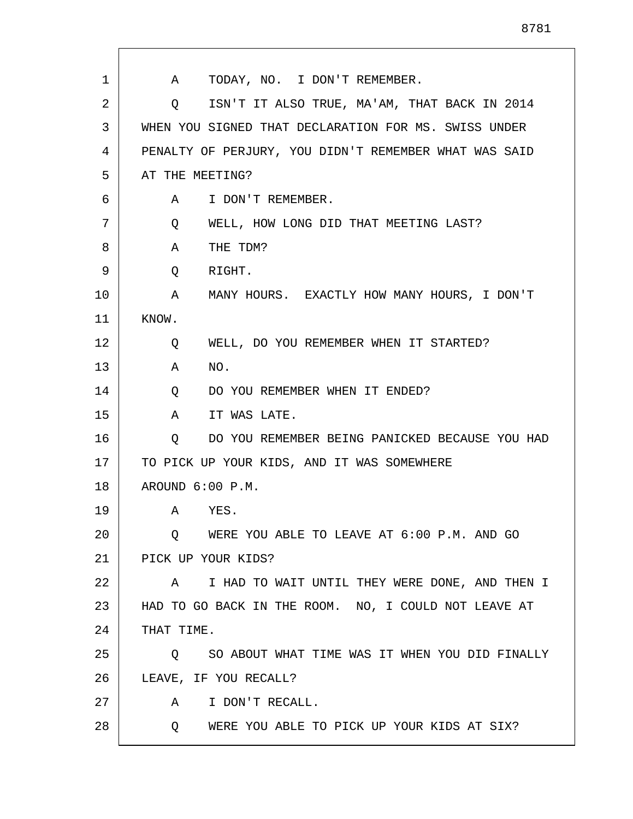| 1  | TODAY, NO. I DON'T REMEMBER.<br>A                                 |
|----|-------------------------------------------------------------------|
| 2  | ISN'T IT ALSO TRUE, MA'AM, THAT BACK IN 2014<br>$Q \qquad \qquad$ |
| 3  | WHEN YOU SIGNED THAT DECLARATION FOR MS. SWISS UNDER              |
| 4  | PENALTY OF PERJURY, YOU DIDN'T REMEMBER WHAT WAS SAID             |
| 5  | AT THE MEETING?                                                   |
| 6  | I DON'T REMEMBER.<br>A                                            |
| 7  | WELL, HOW LONG DID THAT MEETING LAST?<br>Q                        |
| 8  | Α<br>THE TDM?                                                     |
| 9  | RIGHT.<br>Q                                                       |
| 10 | MANY HOURS. EXACTLY HOW MANY HOURS, I DON'T<br>A                  |
| 11 | KNOW.                                                             |
| 12 | WELL, DO YOU REMEMBER WHEN IT STARTED?<br>Q                       |
| 13 | NO.<br>Α                                                          |
| 14 | DO YOU REMEMBER WHEN IT ENDED?<br>Q                               |
| 15 | A<br>IT WAS LATE.                                                 |
| 16 | DO YOU REMEMBER BEING PANICKED BECAUSE YOU HAD<br>Q               |
| 17 | TO PICK UP YOUR KIDS, AND IT WAS SOMEWHERE                        |
| 18 | AROUND 6:00 P.M.                                                  |
| 19 | YES.<br>A                                                         |
| 20 | WERE YOU ABLE TO LEAVE AT 6:00 P.M. AND GO<br>O.                  |
| 21 | PICK UP YOUR KIDS?                                                |
| 22 | I HAD TO WAIT UNTIL THEY WERE DONE, AND THEN I<br>A               |
| 23 | HAD TO GO BACK IN THE ROOM. NO, I COULD NOT LEAVE AT              |
| 24 | THAT TIME.                                                        |
| 25 | SO ABOUT WHAT TIME WAS IT WHEN YOU DID FINALLY<br>Q               |
| 26 | LEAVE, IF YOU RECALL?                                             |
| 27 | I DON'T RECALL.<br>A                                              |
| 28 | WERE YOU ABLE TO PICK UP YOUR KIDS AT SIX?<br>Q                   |
|    |                                                                   |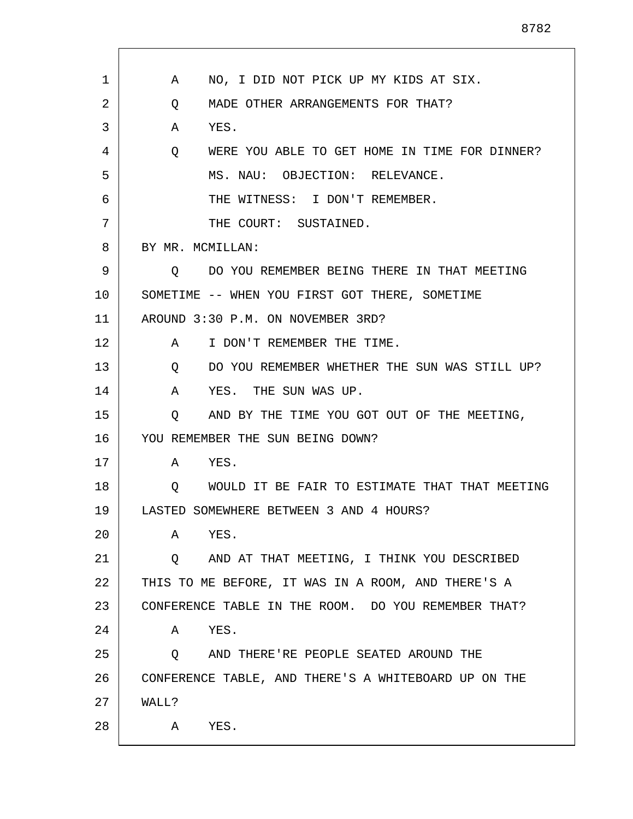| 1  | NO, I DID NOT PICK UP MY KIDS AT SIX.<br>A                |
|----|-----------------------------------------------------------|
| 2  | Q<br>MADE OTHER ARRANGEMENTS FOR THAT?                    |
| 3  | YES.<br>A                                                 |
| 4  | WERE YOU ABLE TO GET HOME IN TIME FOR DINNER?<br>$\circ$  |
| 5  | MS. NAU: OBJECTION: RELEVANCE.                            |
| 6  | THE WITNESS: I DON'T REMEMBER.                            |
| 7  | THE COURT: SUSTAINED.                                     |
| 8  | BY MR. MCMILLAN:                                          |
| 9  | DO YOU REMEMBER BEING THERE IN THAT MEETING<br>Q          |
| 10 | SOMETIME -- WHEN YOU FIRST GOT THERE, SOMETIME            |
| 11 | AROUND 3:30 P.M. ON NOVEMBER 3RD?                         |
| 12 | I DON'T REMEMBER THE TIME.<br>A                           |
| 13 | DO YOU REMEMBER WHETHER THE SUN WAS STILL UP?<br>Q        |
| 14 | YES. THE SUN WAS UP.<br>A                                 |
| 15 | AND BY THE TIME YOU GOT OUT OF THE MEETING,<br>Q          |
| 16 | YOU REMEMBER THE SUN BEING DOWN?                          |
| 17 | YES.<br>A                                                 |
| 18 | WOULD IT BE FAIR TO ESTIMATE THAT THAT MEETING<br>$\circ$ |
| 19 | LASTED SOMEWHERE BETWEEN 3 AND 4 HOURS?                   |
| 20 | YES.<br>Α                                                 |
| 21 | AND AT THAT MEETING, I THINK YOU DESCRIBED<br>Q.          |
| 22 | THIS TO ME BEFORE, IT WAS IN A ROOM, AND THERE'S A        |
| 23 | CONFERENCE TABLE IN THE ROOM. DO YOU REMEMBER THAT?       |
| 24 | YES.<br>A                                                 |
| 25 | AND THERE'RE PEOPLE SEATED AROUND THE<br>$\circ$          |
| 26 | CONFERENCE TABLE, AND THERE'S A WHITEBOARD UP ON THE      |
| 27 | WALL?                                                     |
| 28 | YES.<br>A                                                 |
|    |                                                           |

 $\mathsf{I}$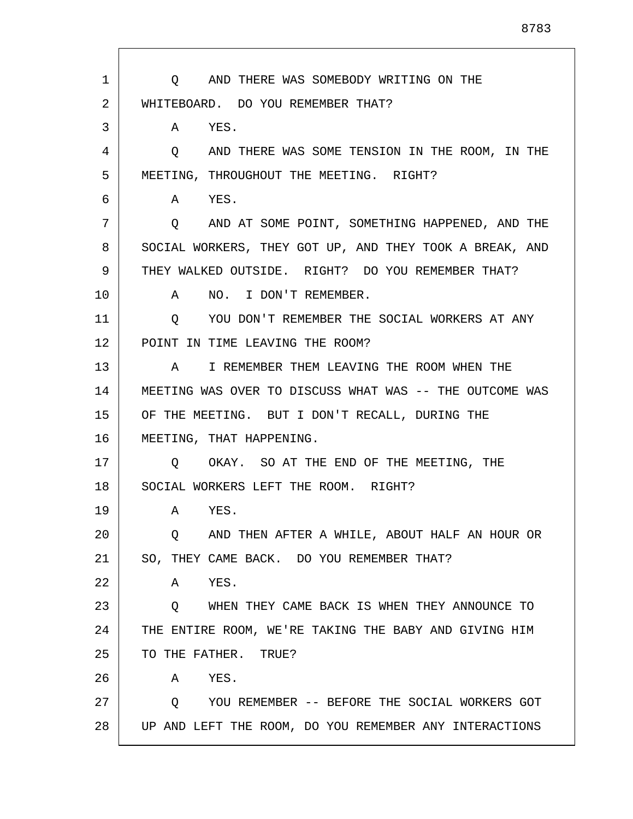1 2 3 4 5 6 7 8 9 10 11 12 13 14 15 16 17 18 19 20 21 22 23 24 25 26 27 28 Q AND THERE WAS SOMEBODY WRITING ON THE WHITEBOARD. DO YOU REMEMBER THAT? A YES. Q AND THERE WAS SOME TENSION IN THE ROOM, IN THE MEETING, THROUGHOUT THE MEETING. RIGHT? A YES. Q AND AT SOME POINT, SOMETHING HAPPENED, AND THE SOCIAL WORKERS, THEY GOT UP, AND THEY TOOK A BREAK, AND THEY WALKED OUTSIDE. RIGHT? DO YOU REMEMBER THAT? A NO. I DON'T REMEMBER. Q YOU DON'T REMEMBER THE SOCIAL WORKERS AT ANY POINT IN TIME LEAVING THE ROOM? A I REMEMBER THEM LEAVING THE ROOM WHEN THE MEETING WAS OVER TO DISCUSS WHAT WAS -- THE OUTCOME WAS OF THE MEETING. BUT I DON'T RECALL, DURING THE MEETING, THAT HAPPENING. Q OKAY. SO AT THE END OF THE MEETING, THE SOCIAL WORKERS LEFT THE ROOM. RIGHT? A YES. Q AND THEN AFTER A WHILE, ABOUT HALF AN HOUR OR SO, THEY CAME BACK. DO YOU REMEMBER THAT? A YES. Q WHEN THEY CAME BACK IS WHEN THEY ANNOUNCE TO THE ENTIRE ROOM, WE'RE TAKING THE BABY AND GIVING HIM TO THE FATHER. TRUE? A YES. Q YOU REMEMBER -- BEFORE THE SOCIAL WORKERS GOT UP AND LEFT THE ROOM, DO YOU REMEMBER ANY INTERACTIONS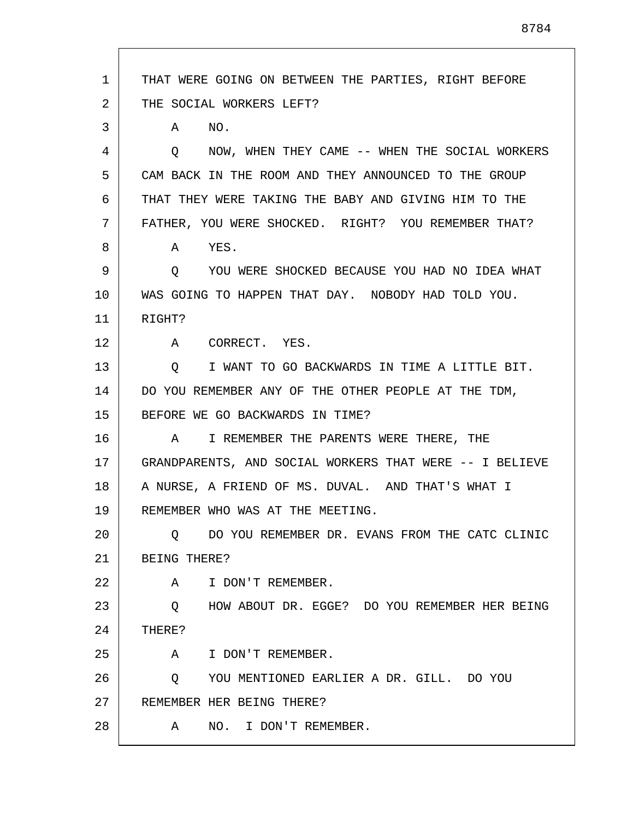1 2 3 4 5 6 7 8 9 10 11 12 13 14 15 16 17 18 19 20 21 22 23 24 25 26 27 28 THAT WERE GOING ON BETWEEN THE PARTIES, RIGHT BEFORE THE SOCIAL WORKERS LEFT? A NO. Q NOW, WHEN THEY CAME -- WHEN THE SOCIAL WORKERS CAM BACK IN THE ROOM AND THEY ANNOUNCED TO THE GROUP THAT THEY WERE TAKING THE BABY AND GIVING HIM TO THE FATHER, YOU WERE SHOCKED. RIGHT? YOU REMEMBER THAT? A YES. Q YOU WERE SHOCKED BECAUSE YOU HAD NO IDEA WHAT WAS GOING TO HAPPEN THAT DAY. NOBODY HAD TOLD YOU. RIGHT? A CORRECT. YES. Q I WANT TO GO BACKWARDS IN TIME A LITTLE BIT. DO YOU REMEMBER ANY OF THE OTHER PEOPLE AT THE TDM, BEFORE WE GO BACKWARDS IN TIME? A I REMEMBER THE PARENTS WERE THERE, THE GRANDPARENTS, AND SOCIAL WORKERS THAT WERE -- I BELIEVE A NURSE, A FRIEND OF MS. DUVAL. AND THAT'S WHAT I REMEMBER WHO WAS AT THE MEETING. Q DO YOU REMEMBER DR. EVANS FROM THE CATC CLINIC BEING THERE? A I DON'T REMEMBER. Q HOW ABOUT DR. EGGE? DO YOU REMEMBER HER BEING THERE? A I DON'T REMEMBER. Q YOU MENTIONED EARLIER A DR. GILL. DO YOU REMEMBER HER BEING THERE? A NO. I DON'T REMEMBER.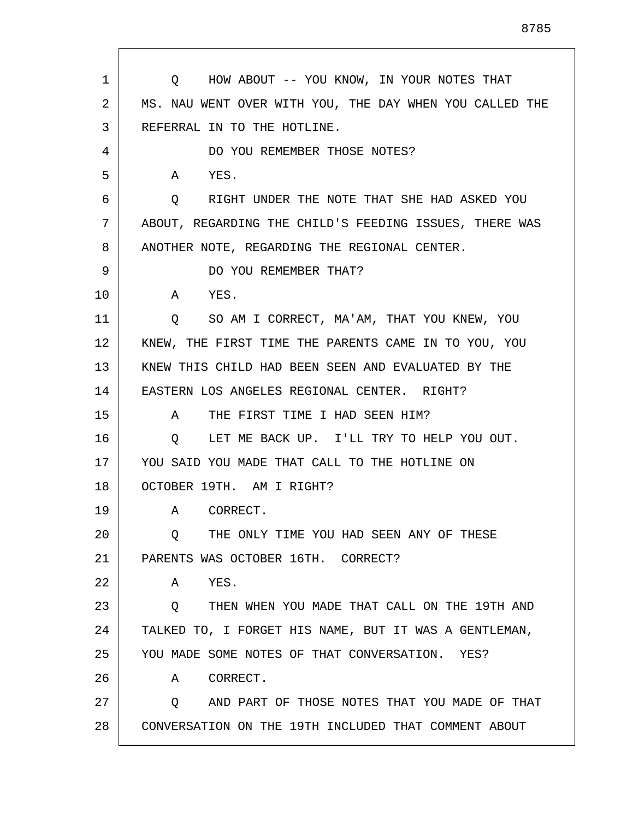| 1  | Q HOW ABOUT -- YOU KNOW, IN YOUR NOTES THAT             |
|----|---------------------------------------------------------|
| 2  | MS. NAU WENT OVER WITH YOU, THE DAY WHEN YOU CALLED THE |
| 3  | REFERRAL IN TO THE HOTLINE.                             |
| 4  | DO YOU REMEMBER THOSE NOTES?                            |
| 5  | YES.<br>A                                               |
| 6  | RIGHT UNDER THE NOTE THAT SHE HAD ASKED YOU<br>Q        |
| 7  | ABOUT, REGARDING THE CHILD'S FEEDING ISSUES, THERE WAS  |
| 8  | ANOTHER NOTE, REGARDING THE REGIONAL CENTER.            |
| 9  | DO YOU REMEMBER THAT?                                   |
| 10 | A<br>YES.                                               |
| 11 | Q SO AM I CORRECT, MA'AM, THAT YOU KNEW, YOU            |
| 12 | KNEW, THE FIRST TIME THE PARENTS CAME IN TO YOU, YOU    |
| 13 | KNEW THIS CHILD HAD BEEN SEEN AND EVALUATED BY THE      |
| 14 | EASTERN LOS ANGELES REGIONAL CENTER. RIGHT?             |
| 15 | THE FIRST TIME I HAD SEEN HIM?<br>$\mathbf{A}$          |
| 16 | LET ME BACK UP. I'LL TRY TO HELP YOU OUT.<br>O.         |
| 17 | YOU SAID YOU MADE THAT CALL TO THE HOTLINE ON           |
| 18 | OCTOBER 19TH. AM I RIGHT?                               |
| 19 | A CORRECT.                                              |
| 20 | THE ONLY TIME YOU HAD SEEN ANY OF THESE<br>Q            |
| 21 | PARENTS WAS OCTOBER 16TH. CORRECT?                      |
| 22 | Α<br>YES.                                               |
| 23 | THEN WHEN YOU MADE THAT CALL ON THE 19TH AND<br>O.      |
| 24 | TALKED TO, I FORGET HIS NAME, BUT IT WAS A GENTLEMAN,   |
| 25 | YOU MADE SOME NOTES OF THAT CONVERSATION. YES?          |
| 26 | CORRECT.<br>A                                           |
| 27 | AND PART OF THOSE NOTES THAT YOU MADE OF THAT<br>Q      |
| 28 | CONVERSATION ON THE 19TH INCLUDED THAT COMMENT ABOUT    |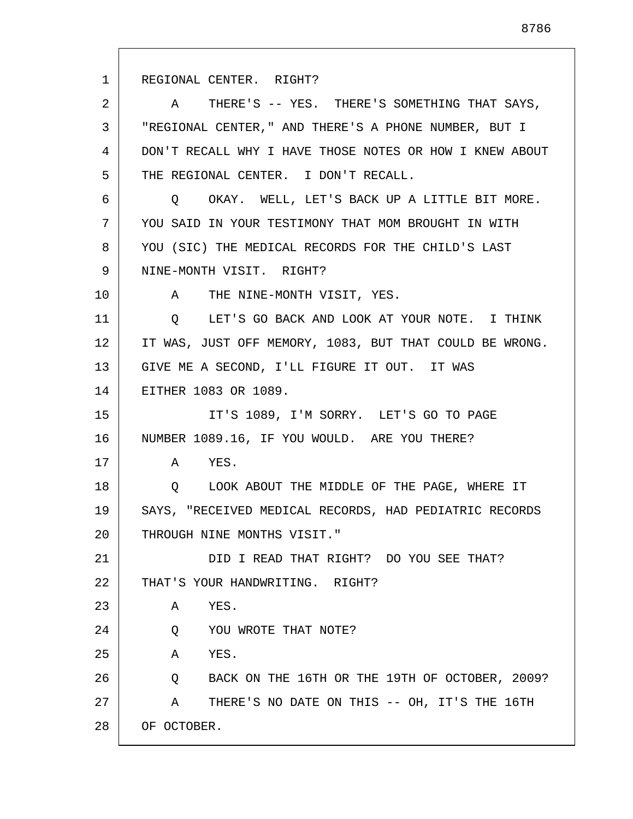1 2 3 4 5 6 7 8 9 10 11 12 13 14 15 16 17 18 19 20 21 22 23 24 25 26 27 28 REGIONAL CENTER. RIGHT? A THERE'S -- YES. THERE'S SOMETHING THAT SAYS, "REGIONAL CENTER," AND THERE'S A PHONE NUMBER, BUT I DON'T RECALL WHY I HAVE THOSE NOTES OR HOW I KNEW ABOUT THE REGIONAL CENTER. I DON'T RECALL. Q OKAY. WELL, LET'S BACK UP A LITTLE BIT MORE. YOU SAID IN YOUR TESTIMONY THAT MOM BROUGHT IN WITH YOU (SIC) THE MEDICAL RECORDS FOR THE CHILD'S LAST NINE-MONTH VISIT. RIGHT? A THE NINE-MONTH VISIT, YES. Q LET'S GO BACK AND LOOK AT YOUR NOTE. I THINK IT WAS, JUST OFF MEMORY, 1083, BUT THAT COULD BE WRONG. GIVE ME A SECOND, I'LL FIGURE IT OUT. IT WAS EITHER 1083 OR 1089. IT'S 1089, I'M SORRY. LET'S GO TO PAGE NUMBER 1089.16, IF YOU WOULD. ARE YOU THERE? A YES. Q LOOK ABOUT THE MIDDLE OF THE PAGE, WHERE IT SAYS, "RECEIVED MEDICAL RECORDS, HAD PEDIATRIC RECORDS THROUGH NINE MONTHS VISIT." DID I READ THAT RIGHT? DO YOU SEE THAT? THAT'S YOUR HANDWRITING. RIGHT? A YES. Q YOU WROTE THAT NOTE? A YES. Q BACK ON THE 16TH OR THE 19TH OF OCTOBER, 2009? A THERE'S NO DATE ON THIS -- OH, IT'S THE 16TH OF OCTOBER.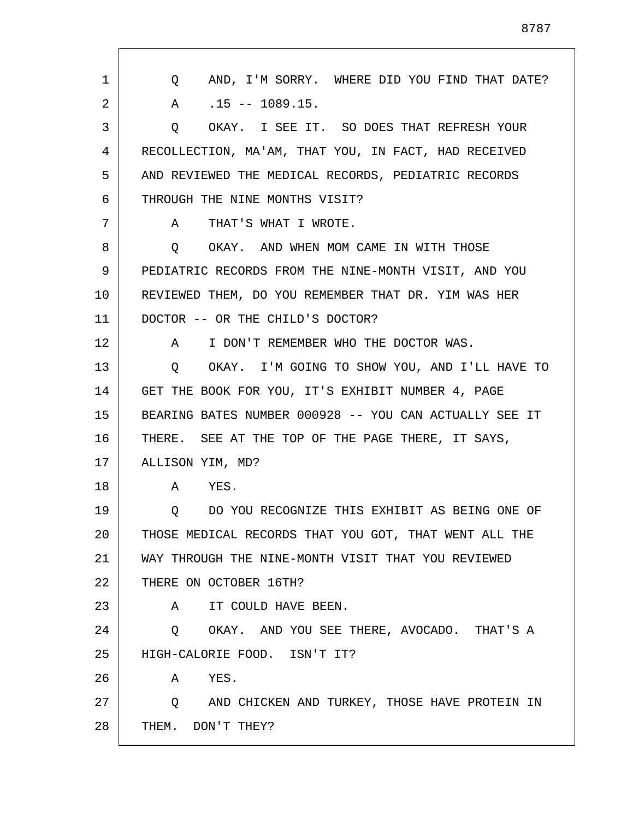| 1  | AND, I'M SORRY. WHERE DID YOU FIND THAT DATE?<br>O.    |
|----|--------------------------------------------------------|
| 2  | $.15 - - 1089.15.$<br>A                                |
| 3  | OKAY. I SEE IT. SO DOES THAT REFRESH YOUR<br>Q         |
| 4  | RECOLLECTION, MA'AM, THAT YOU, IN FACT, HAD RECEIVED   |
| 5  | AND REVIEWED THE MEDICAL RECORDS, PEDIATRIC RECORDS    |
| 6  | THROUGH THE NINE MONTHS VISIT?                         |
| 7  | THAT'S WHAT I WROTE.<br>A                              |
| 8  | OKAY. AND WHEN MOM CAME IN WITH THOSE<br>$\circ$       |
| 9  | PEDIATRIC RECORDS FROM THE NINE-MONTH VISIT, AND YOU   |
| 10 | REVIEWED THEM, DO YOU REMEMBER THAT DR. YIM WAS HER    |
| 11 | DOCTOR -- OR THE CHILD'S DOCTOR?                       |
| 12 | I DON'T REMEMBER WHO THE DOCTOR WAS.<br>A              |
| 13 | OKAY. I'M GOING TO SHOW YOU, AND I'LL HAVE TO<br>Q     |
| 14 | GET THE BOOK FOR YOU, IT'S EXHIBIT NUMBER 4, PAGE      |
| 15 | BEARING BATES NUMBER 000928 -- YOU CAN ACTUALLY SEE IT |
| 16 | THERE. SEE AT THE TOP OF THE PAGE THERE, IT SAYS,      |
| 17 | ALLISON YIM, MD?                                       |
| 18 | A<br>YES.                                              |
| 19 | Q DO YOU RECOGNIZE THIS EXHIBIT AS BEING ONE OF        |
| 20 | THOSE MEDICAL RECORDS THAT YOU GOT, THAT WENT ALL THE  |
| 21 | WAY THROUGH THE NINE-MONTH VISIT THAT YOU REVIEWED     |
| 22 | THERE ON OCTOBER 16TH?                                 |
| 23 | A<br>IT COULD HAVE BEEN.                               |
| 24 | Q OKAY. AND YOU SEE THERE, AVOCADO. THAT'S A           |
| 25 | HIGH-CALORIE FOOD. ISN'T IT?                           |
| 26 | YES.<br>A                                              |
| 27 | Q AND CHICKEN AND TURKEY, THOSE HAVE PROTEIN IN        |
| 28 | THEM. DON'T THEY?                                      |
|    |                                                        |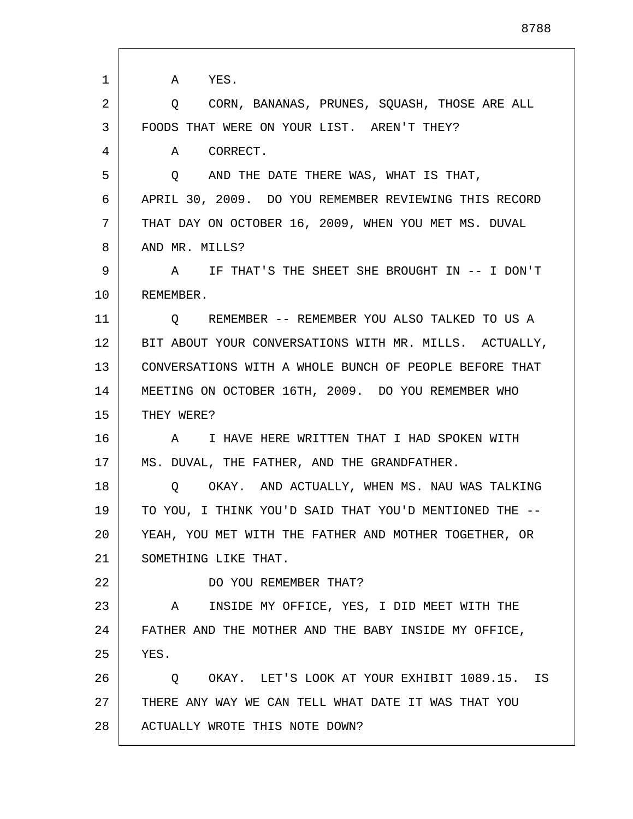1 2 3 4 5 6 7 8 9 10 11 12 13 14 15 16 17 18 19 20 21 22 23 24 25 26 27 28 A YES. Q CORN, BANANAS, PRUNES, SQUASH, THOSE ARE ALL FOODS THAT WERE ON YOUR LIST. AREN'T THEY? A CORRECT. Q AND THE DATE THERE WAS, WHAT IS THAT, APRIL 30, 2009. DO YOU REMEMBER REVIEWING THIS RECORD THAT DAY ON OCTOBER 16, 2009, WHEN YOU MET MS. DUVAL AND MR. MILLS? A IF THAT'S THE SHEET SHE BROUGHT IN -- I DON'T REMEMBER. Q REMEMBER -- REMEMBER YOU ALSO TALKED TO US A BIT ABOUT YOUR CONVERSATIONS WITH MR. MILLS. ACTUALLY, CONVERSATIONS WITH A WHOLE BUNCH OF PEOPLE BEFORE THAT MEETING ON OCTOBER 16TH, 2009. DO YOU REMEMBER WHO THEY WERE? A I HAVE HERE WRITTEN THAT I HAD SPOKEN WITH MS. DUVAL, THE FATHER, AND THE GRANDFATHER. Q OKAY. AND ACTUALLY, WHEN MS. NAU WAS TALKING TO YOU, I THINK YOU'D SAID THAT YOU'D MENTIONED THE -- YEAH, YOU MET WITH THE FATHER AND MOTHER TOGETHER, OR SOMETHING LIKE THAT. DO YOU REMEMBER THAT? A INSIDE MY OFFICE, YES, I DID MEET WITH THE FATHER AND THE MOTHER AND THE BABY INSIDE MY OFFICE, YES. Q OKAY. LET'S LOOK AT YOUR EXHIBIT 1089.15. IS THERE ANY WAY WE CAN TELL WHAT DATE IT WAS THAT YOU ACTUALLY WROTE THIS NOTE DOWN?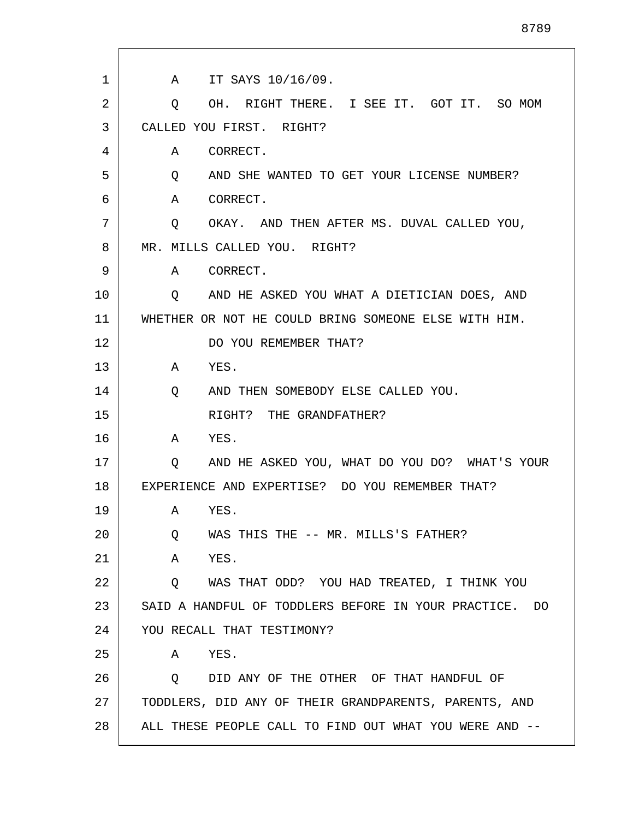| 1  | A IT SAYS 10/16/09.                                             |
|----|-----------------------------------------------------------------|
| 2  | OH. RIGHT THERE. I SEE IT. GOT IT. SO MOM<br>Q                  |
| 3  | CALLED YOU FIRST. RIGHT?                                        |
| 4  | CORRECT.<br>A                                                   |
| 5  | AND SHE WANTED TO GET YOUR LICENSE NUMBER?<br>$Q \qquad \qquad$ |
| 6  | CORRECT.<br>A                                                   |
| 7  | OKAY. AND THEN AFTER MS. DUVAL CALLED YOU,<br>Q                 |
| 8  | MR. MILLS CALLED YOU. RIGHT?                                    |
| 9  | CORRECT.<br>A                                                   |
| 10 | AND HE ASKED YOU WHAT A DIETICIAN DOES, AND<br>Q                |
| 11 | WHETHER OR NOT HE COULD BRING SOMEONE ELSE WITH HIM.            |
| 12 | DO YOU REMEMBER THAT?                                           |
| 13 | YES.<br>A                                                       |
| 14 | Q<br>AND THEN SOMEBODY ELSE CALLED YOU.                         |
| 15 | RIGHT? THE GRANDFATHER?                                         |
| 16 | A<br>YES.                                                       |
| 17 | AND HE ASKED YOU, WHAT DO YOU DO? WHAT'S YOUR<br>Q              |
| 18 | EXPERIENCE AND EXPERTISE? DO YOU REMEMBER THAT?                 |
| 19 | YES.<br>Α                                                       |
| 20 | WAS THIS THE -- MR. MILLS'S FATHER?<br>Q                        |
| 21 | YES.<br>A                                                       |
| 22 | WAS THAT ODD? YOU HAD TREATED, I THINK YOU<br>Q                 |
| 23 | SAID A HANDFUL OF TODDLERS BEFORE IN YOUR PRACTICE. DO          |
| 24 | YOU RECALL THAT TESTIMONY?                                      |
| 25 | YES.<br>A                                                       |
| 26 | DID ANY OF THE OTHER OF THAT HANDFUL OF<br>$\circ$              |
| 27 | TODDLERS, DID ANY OF THEIR GRANDPARENTS, PARENTS, AND           |
| 28 | ALL THESE PEOPLE CALL TO FIND OUT WHAT YOU WERE AND --          |

Г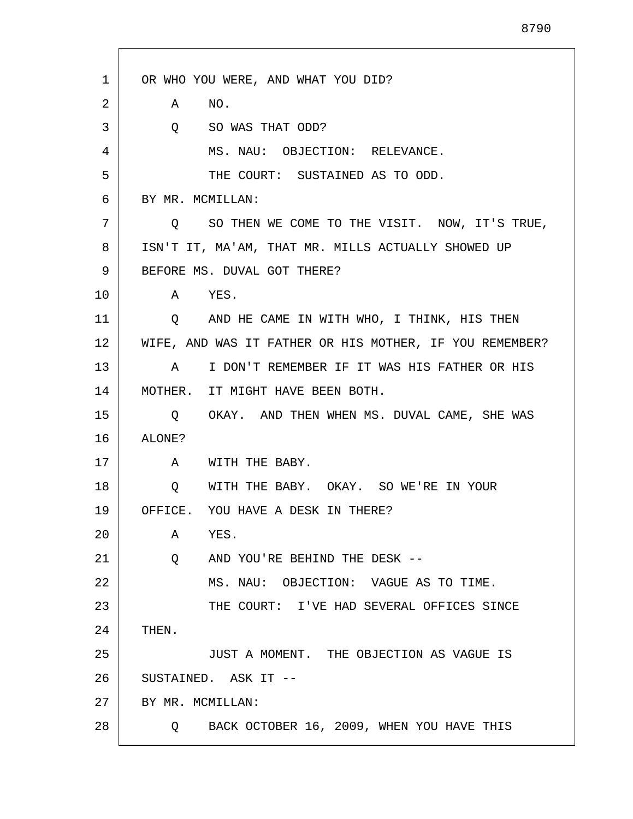| 1  | OR WHO YOU WERE, AND WHAT YOU DID?                      |
|----|---------------------------------------------------------|
| 2  | NO.<br>Α                                                |
| 3  | SO WAS THAT ODD?<br>Q                                   |
| 4  | MS. NAU: OBJECTION: RELEVANCE.                          |
| 5  | THE COURT: SUSTAINED AS TO ODD.                         |
| 6  | BY MR. MCMILLAN:                                        |
| 7  | Q SO THEN WE COME TO THE VISIT. NOW, IT'S TRUE,         |
| 8  | ISN'T IT, MA'AM, THAT MR. MILLS ACTUALLY SHOWED UP      |
| 9  | BEFORE MS. DUVAL GOT THERE?                             |
| 10 | YES.<br>A                                               |
| 11 | Q AND HE CAME IN WITH WHO, I THINK, HIS THEN            |
| 12 | WIFE, AND WAS IT FATHER OR HIS MOTHER, IF YOU REMEMBER? |
| 13 | I DON'T REMEMBER IF IT WAS HIS FATHER OR HIS<br>A       |
| 14 | MOTHER. IT MIGHT HAVE BEEN BOTH.                        |
| 15 | Q OKAY. AND THEN WHEN MS. DUVAL CAME, SHE WAS           |
| 16 | ALONE?                                                  |
| 17 | WITH THE BABY.<br>A                                     |
| 18 | WITH THE BABY. OKAY. SO WE'RE IN YOUR<br>Q              |
| 19 | OFFICE. YOU HAVE A DESK IN THERE?                       |
| 20 | YES.<br>Α                                               |
| 21 | AND YOU'RE BEHIND THE DESK --<br>Q                      |
| 22 | MS. NAU: OBJECTION: VAGUE AS TO TIME.                   |
| 23 | THE COURT: I'VE HAD SEVERAL OFFICES SINCE               |
| 24 | THEN.                                                   |
| 25 | JUST A MOMENT. THE OBJECTION AS VAGUE IS                |
| 26 | SUSTAINED. ASK IT --                                    |
| 27 | BY MR. MCMILLAN:                                        |
| 28 | Q BACK OCTOBER 16, 2009, WHEN YOU HAVE THIS             |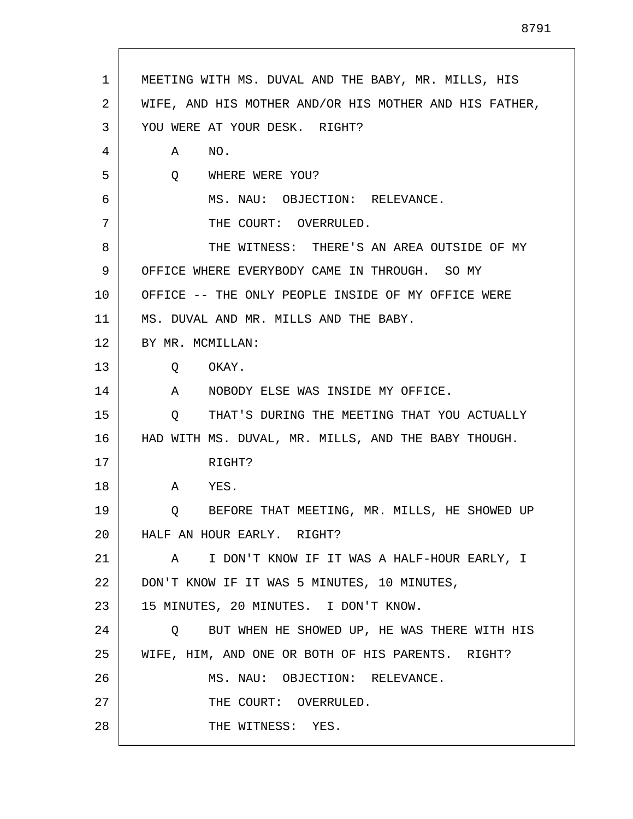|    | MEETING WITH MS. DUVAL AND THE BABY, MR. MILLS, HIS    |
|----|--------------------------------------------------------|
| 2  | WIFE, AND HIS MOTHER AND/OR HIS MOTHER AND HIS FATHER, |
| 3  | YOU WERE AT YOUR DESK. RIGHT?                          |
| 4  | NO.<br>Α                                               |
| 5  | Q<br>WHERE WERE YOU?                                   |
| 6  | MS. NAU: OBJECTION: RELEVANCE.                         |
| 7  | THE COURT: OVERRULED.                                  |
| 8  | THE WITNESS: THERE'S AN AREA OUTSIDE OF MY             |
| 9  | OFFICE WHERE EVERYBODY CAME IN THROUGH. SO MY          |
| 10 | OFFICE -- THE ONLY PEOPLE INSIDE OF MY OFFICE WERE     |
| 11 | MS. DUVAL AND MR. MILLS AND THE BABY.                  |
| 12 | BY MR. MCMILLAN:                                       |
| 13 | OKAY.<br>Q                                             |
| 14 | NOBODY ELSE WAS INSIDE MY OFFICE.<br>A                 |
| 15 | THAT'S DURING THE MEETING THAT YOU ACTUALLY<br>$\circ$ |
| 16 | HAD WITH MS. DUVAL, MR. MILLS, AND THE BABY THOUGH.    |
| 17 | RIGHT?                                                 |
| 18 | A<br>YES.                                              |
| 19 | BEFORE THAT MEETING, MR. MILLS, HE SHOWED UP<br>Q      |
| 20 | HALF AN HOUR EARLY. RIGHT?                             |
| 21 | A I DON'T KNOW IF IT WAS A HALF-HOUR EARLY, I          |
| 22 | DON'T KNOW IF IT WAS 5 MINUTES, 10 MINUTES,            |
| 23 | 15 MINUTES, 20 MINUTES. I DON'T KNOW.                  |
| 24 | BUT WHEN HE SHOWED UP, HE WAS THERE WITH HIS<br>Q      |
| 25 | WIFE, HIM, AND ONE OR BOTH OF HIS PARENTS. RIGHT?      |
|    | MS. NAU: OBJECTION: RELEVANCE.                         |
| 26 |                                                        |
| 27 | THE COURT: OVERRULED.                                  |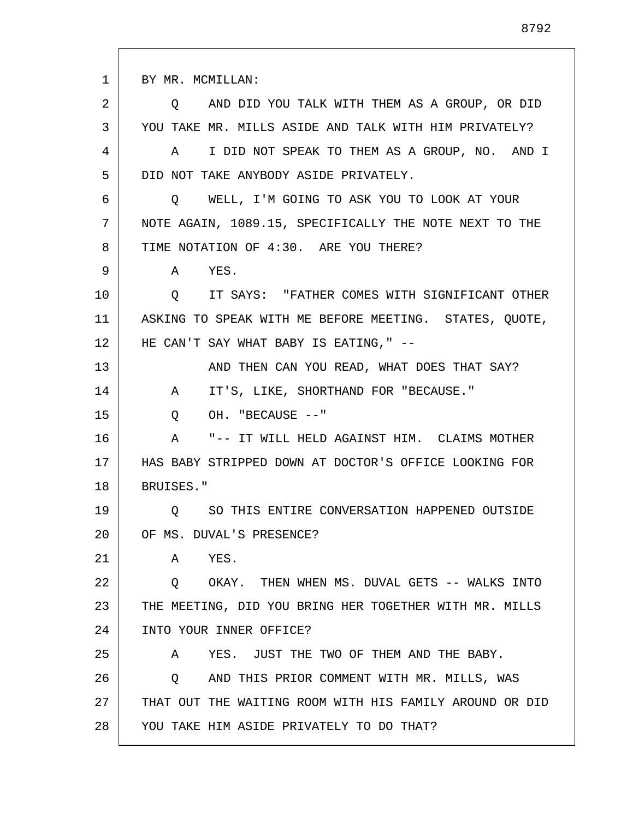1 2 3 4 5 6 7 8 9 10 11 12 13 14 15 16 17 18 19 20 21 22 23 24 25 26 27 28 BY MR. MCMILLAN: Q AND DID YOU TALK WITH THEM AS A GROUP, OR DID YOU TAKE MR. MILLS ASIDE AND TALK WITH HIM PRIVATELY? A I DID NOT SPEAK TO THEM AS A GROUP, NO. AND I DID NOT TAKE ANYBODY ASIDE PRIVATELY. Q WELL, I'M GOING TO ASK YOU TO LOOK AT YOUR NOTE AGAIN, 1089.15, SPECIFICALLY THE NOTE NEXT TO THE TIME NOTATION OF 4:30. ARE YOU THERE? A YES. Q IT SAYS: "FATHER COMES WITH SIGNIFICANT OTHER ASKING TO SPEAK WITH ME BEFORE MEETING. STATES, QUOTE, HE CAN'T SAY WHAT BABY IS EATING, " --AND THEN CAN YOU READ, WHAT DOES THAT SAY? A IT'S, LIKE, SHORTHAND FOR "BECAUSE." Q OH. "BECAUSE --" A "-- IT WILL HELD AGAINST HIM. CLAIMS MOTHER HAS BABY STRIPPED DOWN AT DOCTOR'S OFFICE LOOKING FOR BRUISES." Q SO THIS ENTIRE CONVERSATION HAPPENED OUTSIDE OF MS. DUVAL'S PRESENCE? A YES. Q OKAY. THEN WHEN MS. DUVAL GETS -- WALKS INTO THE MEETING, DID YOU BRING HER TOGETHER WITH MR. MILLS INTO YOUR INNER OFFICE? A YES. JUST THE TWO OF THEM AND THE BABY. Q AND THIS PRIOR COMMENT WITH MR. MILLS, WAS THAT OUT THE WAITING ROOM WITH HIS FAMILY AROUND OR DID YOU TAKE HIM ASIDE PRIVATELY TO DO THAT?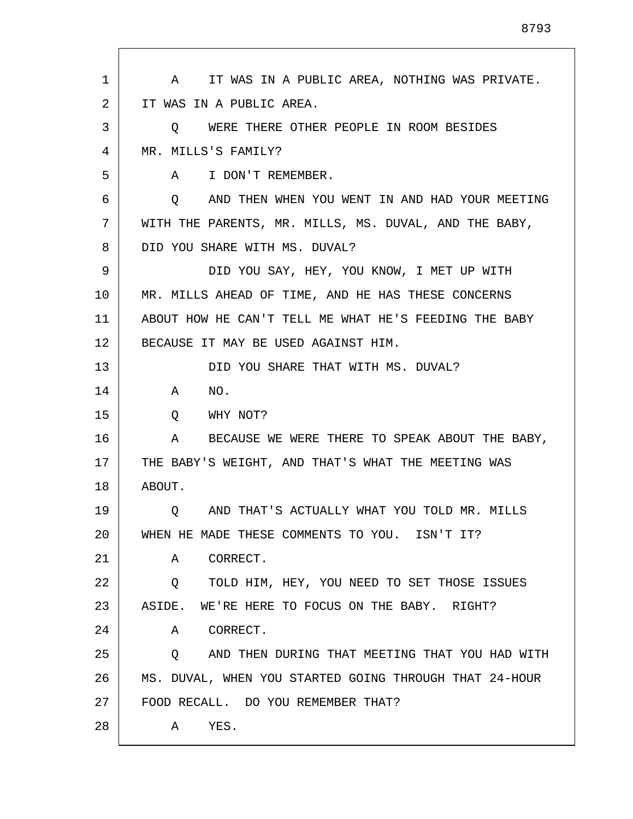1 2 3 4 5 6 7 8 9 10 11 12 13 14 15 16 17 18 19 20 21 22 23 24 25 26 27 28 A IT WAS IN A PUBLIC AREA, NOTHING WAS PRIVATE. IT WAS IN A PUBLIC AREA. Q WERE THERE OTHER PEOPLE IN ROOM BESIDES MR. MILLS'S FAMILY? A I DON'T REMEMBER. Q AND THEN WHEN YOU WENT IN AND HAD YOUR MEETING WITH THE PARENTS, MR. MILLS, MS. DUVAL, AND THE BABY, DID YOU SHARE WITH MS. DUVAL? DID YOU SAY, HEY, YOU KNOW, I MET UP WITH MR. MILLS AHEAD OF TIME, AND HE HAS THESE CONCERNS ABOUT HOW HE CAN'T TELL ME WHAT HE'S FEEDING THE BABY BECAUSE IT MAY BE USED AGAINST HIM. DID YOU SHARE THAT WITH MS. DUVAL? A NO. Q WHY NOT? A BECAUSE WE WERE THERE TO SPEAK ABOUT THE BABY, THE BABY'S WEIGHT, AND THAT'S WHAT THE MEETING WAS ABOUT. Q AND THAT'S ACTUALLY WHAT YOU TOLD MR. MILLS WHEN HE MADE THESE COMMENTS TO YOU. ISN'T IT? A CORRECT. Q TOLD HIM, HEY, YOU NEED TO SET THOSE ISSUES ASIDE. WE'RE HERE TO FOCUS ON THE BABY. RIGHT? A CORRECT. Q AND THEN DURING THAT MEETING THAT YOU HAD WITH MS. DUVAL, WHEN YOU STARTED GOING THROUGH THAT 24-HOUR FOOD RECALL. DO YOU REMEMBER THAT? A YES.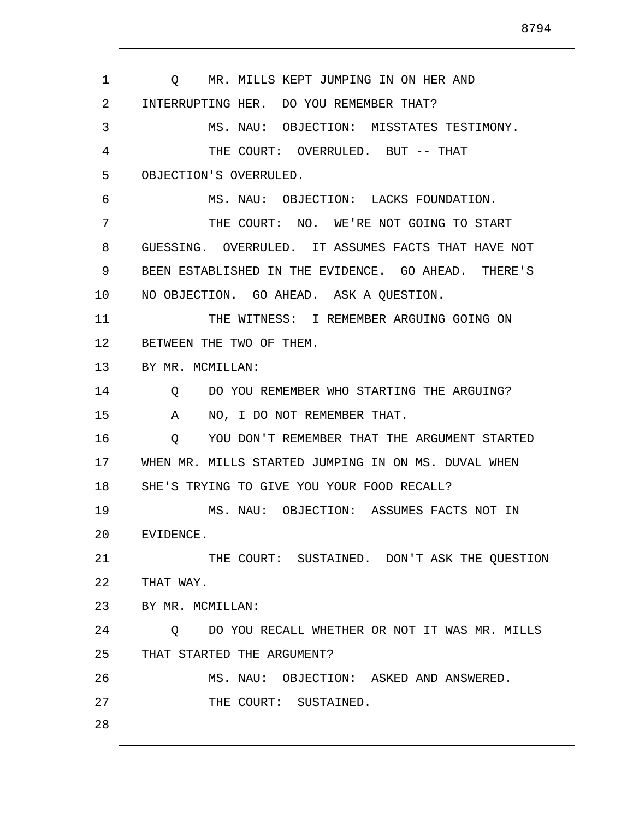1 2 3 4 5 6 7 8 9 10 11 12 13 14 15 16 17 18 19 20 21 22 23 24 25 26 27 28 Q MR. MILLS KEPT JUMPING IN ON HER AND INTERRUPTING HER. DO YOU REMEMBER THAT? MS. NAU: OBJECTION: MISSTATES TESTIMONY. THE COURT: OVERRULED. BUT -- THAT OBJECTION'S OVERRULED. MS. NAU: OBJECTION: LACKS FOUNDATION. THE COURT: NO. WE'RE NOT GOING TO START GUESSING. OVERRULED. IT ASSUMES FACTS THAT HAVE NOT BEEN ESTABLISHED IN THE EVIDENCE. GO AHEAD. THERE'S NO OBJECTION. GO AHEAD. ASK A QUESTION. THE WITNESS: I REMEMBER ARGUING GOING ON BETWEEN THE TWO OF THEM. BY MR. MCMILLAN: Q DO YOU REMEMBER WHO STARTING THE ARGUING? A NO, I DO NOT REMEMBER THAT. Q YOU DON'T REMEMBER THAT THE ARGUMENT STARTED WHEN MR. MILLS STARTED JUMPING IN ON MS. DUVAL WHEN SHE'S TRYING TO GIVE YOU YOUR FOOD RECALL? MS. NAU: OBJECTION: ASSUMES FACTS NOT IN EVIDENCE. THE COURT: SUSTAINED. DON'T ASK THE QUESTION THAT WAY. BY MR. MCMILLAN: Q DO YOU RECALL WHETHER OR NOT IT WAS MR. MILLS THAT STARTED THE ARGUMENT? MS. NAU: OBJECTION: ASKED AND ANSWERED. THE COURT: SUSTAINED.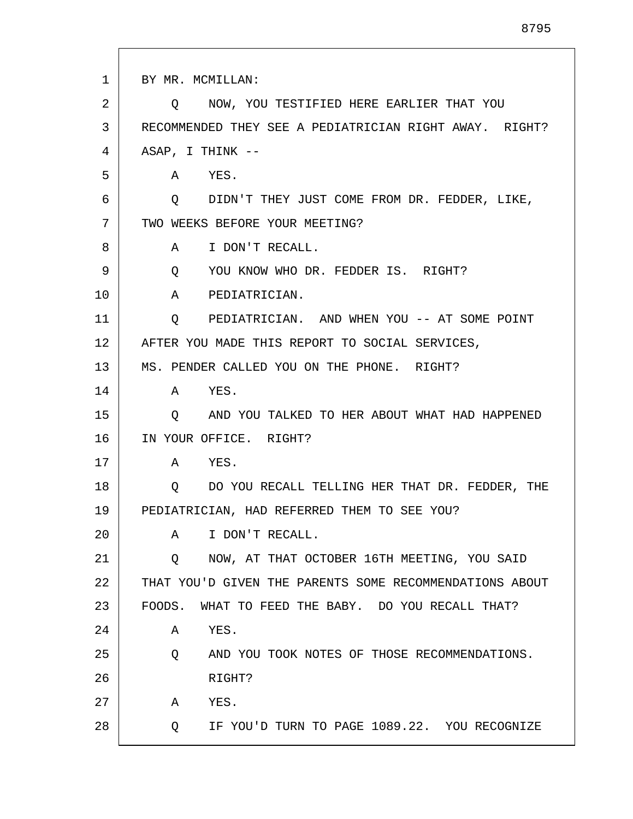1 2 3 4 5 6 7 8 9 10 11 12 13 14 15 16 17 18 19 20 21 22 23 24 25 26 27 28 BY MR. MCMILLAN: Q NOW, YOU TESTIFIED HERE EARLIER THAT YOU RECOMMENDED THEY SEE A PEDIATRICIAN RIGHT AWAY. RIGHT? ASAP, I THINK -- A YES. Q DIDN'T THEY JUST COME FROM DR. FEDDER, LIKE, TWO WEEKS BEFORE YOUR MEETING? A I DON'T RECALL. Q YOU KNOW WHO DR. FEDDER IS. RIGHT? A PEDIATRICIAN. Q PEDIATRICIAN. AND WHEN YOU -- AT SOME POINT AFTER YOU MADE THIS REPORT TO SOCIAL SERVICES, MS. PENDER CALLED YOU ON THE PHONE. RIGHT? A YES. Q AND YOU TALKED TO HER ABOUT WHAT HAD HAPPENED IN YOUR OFFICE. RIGHT? A YES. Q DO YOU RECALL TELLING HER THAT DR. FEDDER, THE PEDIATRICIAN, HAD REFERRED THEM TO SEE YOU? A I DON'T RECALL. Q NOW, AT THAT OCTOBER 16TH MEETING, YOU SAID THAT YOU'D GIVEN THE PARENTS SOME RECOMMENDATIONS ABOUT FOODS. WHAT TO FEED THE BABY. DO YOU RECALL THAT? A YES. Q AND YOU TOOK NOTES OF THOSE RECOMMENDATIONS. RIGHT? A YES. Q IF YOU'D TURN TO PAGE 1089.22. YOU RECOGNIZE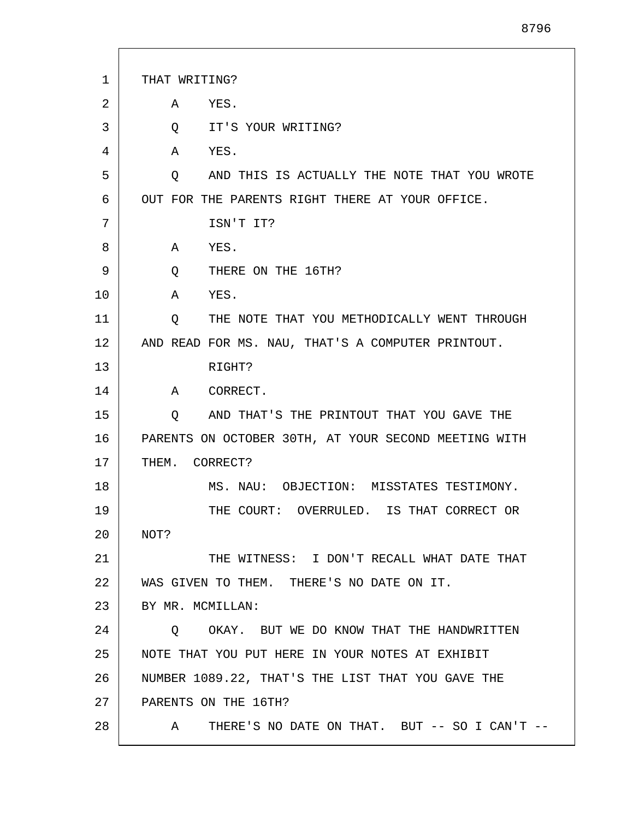| 1  | THAT WRITING?                                        |
|----|------------------------------------------------------|
| 2  | YES.<br>Α                                            |
| 3  | IT'S YOUR WRITING?<br>Q                              |
| 4  | Α<br>YES.                                            |
| 5  | AND THIS IS ACTUALLY THE NOTE THAT YOU WROTE<br>O    |
| 6  | OUT FOR THE PARENTS RIGHT THERE AT YOUR OFFICE.      |
| 7  | ISN'T IT?                                            |
| 8  | YES.<br>A                                            |
| 9  | THERE ON THE 16TH?<br>$Q \qquad \qquad$              |
| 10 | YES.<br>A                                            |
| 11 | THE NOTE THAT YOU METHODICALLY WENT THROUGH<br>Q     |
| 12 | AND READ FOR MS. NAU, THAT'S A COMPUTER PRINTOUT.    |
| 13 | RIGHT?                                               |
| 14 | A CORRECT.                                           |
| 15 | AND THAT'S THE PRINTOUT THAT YOU GAVE THE<br>Q       |
| 16 | PARENTS ON OCTOBER 30TH, AT YOUR SECOND MEETING WITH |
| 17 | THEM. CORRECT?                                       |
| 18 | MS. NAU: OBJECTION: MISSTATES TESTIMONY.             |
| 19 | THE COURT: OVERRULED. IS THAT CORRECT OR             |
| 20 | NOT?                                                 |
| 21 | THE WITNESS: I DON'T RECALL WHAT DATE THAT           |
| 22 | WAS GIVEN TO THEM. THERE'S NO DATE ON IT.            |
| 23 | BY MR. MCMILLAN:                                     |
| 24 | Q OKAY. BUT WE DO KNOW THAT THE HANDWRITTEN          |
| 25 | NOTE THAT YOU PUT HERE IN YOUR NOTES AT EXHIBIT      |
| 26 | NUMBER 1089.22, THAT'S THE LIST THAT YOU GAVE THE    |
| 27 | PARENTS ON THE 16TH?                                 |
| 28 | THERE'S NO DATE ON THAT. BUT -- SO I CAN'T --<br>A   |

I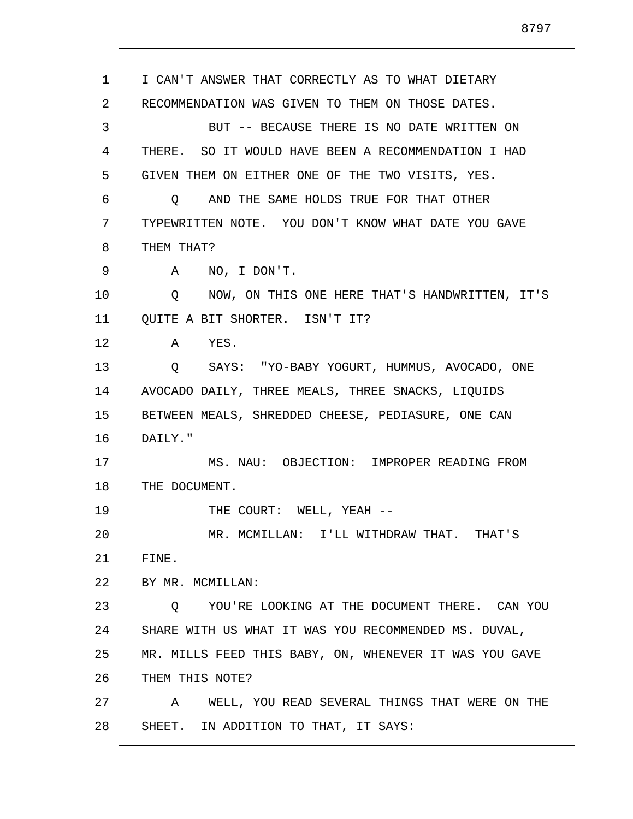1 2 3 4 5 6 7 8 9 10 11 12 13 14 15 16 17 18 19 20 21 22 23 24 25 26 27 28 I CAN'T ANSWER THAT CORRECTLY AS TO WHAT DIETARY RECOMMENDATION WAS GIVEN TO THEM ON THOSE DATES. BUT -- BECAUSE THERE IS NO DATE WRITTEN ON THERE. SO IT WOULD HAVE BEEN A RECOMMENDATION I HAD GIVEN THEM ON EITHER ONE OF THE TWO VISITS, YES. Q AND THE SAME HOLDS TRUE FOR THAT OTHER TYPEWRITTEN NOTE. YOU DON'T KNOW WHAT DATE YOU GAVE THEM THAT? A NO, I DON'T. Q NOW, ON THIS ONE HERE THAT'S HANDWRITTEN, IT'S QUITE A BIT SHORTER. ISN'T IT? A YES. Q SAYS: "YO-BABY YOGURT, HUMMUS, AVOCADO, ONE AVOCADO DAILY, THREE MEALS, THREE SNACKS, LIQUIDS BETWEEN MEALS, SHREDDED CHEESE, PEDIASURE, ONE CAN DAILY." MS. NAU: OBJECTION: IMPROPER READING FROM THE DOCUMENT. THE COURT: WELL, YEAH --MR. MCMILLAN: I'LL WITHDRAW THAT. THAT'S FINE. BY MR. MCMILLAN: Q YOU'RE LOOKING AT THE DOCUMENT THERE. CAN YOU SHARE WITH US WHAT IT WAS YOU RECOMMENDED MS. DUVAL, MR. MILLS FEED THIS BABY, ON, WHENEVER IT WAS YOU GAVE THEM THIS NOTE? A WELL, YOU READ SEVERAL THINGS THAT WERE ON THE SHEET. IN ADDITION TO THAT, IT SAYS: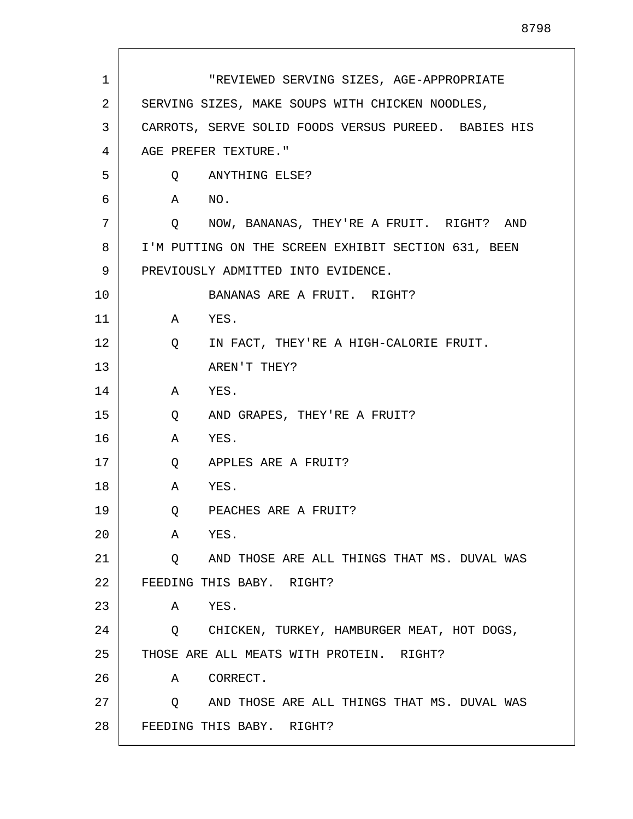| 1  | "REVIEWED SERVING SIZES, AGE-APPROPRIATE               |
|----|--------------------------------------------------------|
| 2  | SERVING SIZES, MAKE SOUPS WITH CHICKEN NOODLES,        |
| 3  | CARROTS, SERVE SOLID FOODS VERSUS PUREED. BABIES HIS   |
| 4  | AGE PREFER TEXTURE."                                   |
| 5  | Q ANYTHING ELSE?                                       |
| 6  | A NO.                                                  |
| 7  | Q NOW, BANANAS, THEY'RE A FRUIT. RIGHT? AND            |
| 8  | I'M PUTTING ON THE SCREEN EXHIBIT SECTION 631, BEEN    |
| 9  | PREVIOUSLY ADMITTED INTO EVIDENCE.                     |
| 10 | BANANAS ARE A FRUIT. RIGHT?                            |
| 11 | A YES.                                                 |
| 12 | IN FACT, THEY'RE A HIGH-CALORIE FRUIT.<br>Q            |
| 13 | AREN'T THEY?                                           |
| 14 | A YES.                                                 |
| 15 | AND GRAPES, THEY'RE A FRUIT?<br>Q                      |
| 16 | YES.<br>A                                              |
| 17 | $\mathsf{Q}$<br>APPLES ARE A FRUIT?                    |
| 18 | A<br>YES.                                              |
| 19 | Q PEACHES ARE A FRUIT?                                 |
| 20 | YES.<br>A                                              |
| 21 | Q AND THOSE ARE ALL THINGS THAT MS. DUVAL WAS          |
| 22 | FEEDING THIS BABY. RIGHT?                              |
| 23 | A YES.                                                 |
| 24 | Q CHICKEN, TURKEY, HAMBURGER MEAT, HOT DOGS,           |
| 25 | THOSE ARE ALL MEATS WITH PROTEIN. RIGHT?               |
| 26 | CORRECT.<br>A                                          |
| 27 | $\circ$<br>AND THOSE ARE ALL THINGS THAT MS. DUVAL WAS |
| 28 | FEEDING THIS BABY. RIGHT?                              |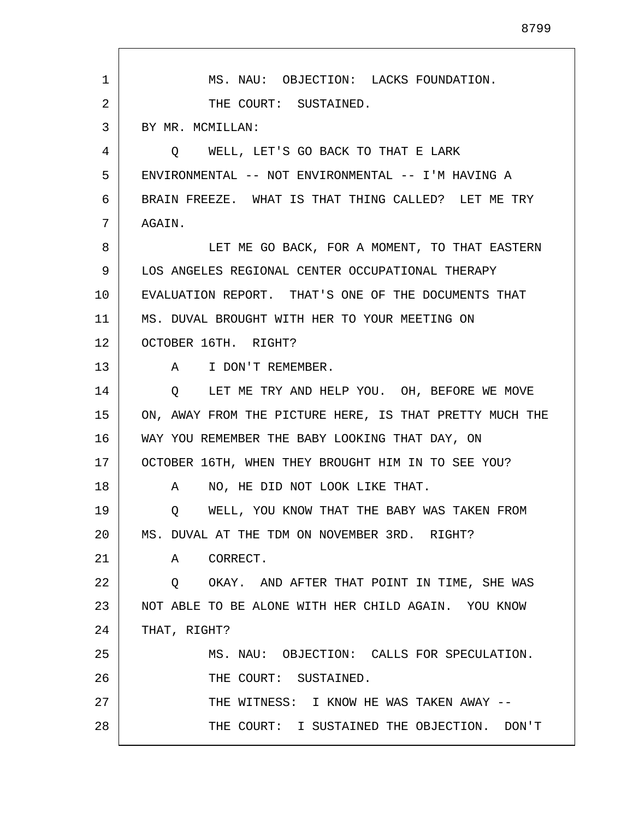| $\mathbf 1$ | MS. NAU: OBJECTION: LACKS FOUNDATION.<br>THE COURT: SUSTAINED. |
|-------------|----------------------------------------------------------------|
|             |                                                                |
| 2           |                                                                |
| 3           | BY MR. MCMILLAN:                                               |
| 4           | O WELL, LET'S GO BACK TO THAT E LARK                           |
| 5           | ENVIRONMENTAL -- NOT ENVIRONMENTAL -- I'M HAVING A             |
| 6           | BRAIN FREEZE. WHAT IS THAT THING CALLED? LET ME TRY            |
| 7           | AGAIN.                                                         |
| 8           | LET ME GO BACK, FOR A MOMENT, TO THAT EASTERN                  |
| 9           | LOS ANGELES REGIONAL CENTER OCCUPATIONAL THERAPY               |
| 10          | EVALUATION REPORT. THAT'S ONE OF THE DOCUMENTS THAT            |
| 11          | MS. DUVAL BROUGHT WITH HER TO YOUR MEETING ON                  |
| 12          | OCTOBER 16TH. RIGHT?                                           |
| 13          | A I DON'T REMEMBER.                                            |
| 14          | LET ME TRY AND HELP YOU. OH, BEFORE WE MOVE<br>$\circ$         |
| 15          | ON, AWAY FROM THE PICTURE HERE, IS THAT PRETTY MUCH THE        |
| 16          | WAY YOU REMEMBER THE BABY LOOKING THAT DAY, ON                 |
| 17          | OCTOBER 16TH, WHEN THEY BROUGHT HIM IN TO SEE YOU?             |
| 18          | NO, HE DID NOT LOOK LIKE THAT.<br>A                            |
| 19          | WELL, YOU KNOW THAT THE BABY WAS TAKEN FROM<br>Q               |
| 20          | MS. DUVAL AT THE TDM ON NOVEMBER 3RD. RIGHT?                   |
| 21          | A CORRECT.                                                     |
| 22          | OKAY. AND AFTER THAT POINT IN TIME, SHE WAS<br>$\circ$         |
| 23          | NOT ABLE TO BE ALONE WITH HER CHILD AGAIN. YOU KNOW            |
| 24          | THAT, RIGHT?                                                   |
| 25          | MS. NAU: OBJECTION: CALLS FOR SPECULATION.                     |
| 26          | THE COURT: SUSTAINED.                                          |
| 27          | THE WITNESS: I KNOW HE WAS TAKEN AWAY --                       |
| 28          | THE COURT: I SUSTAINED THE OBJECTION. DON'T                    |

Г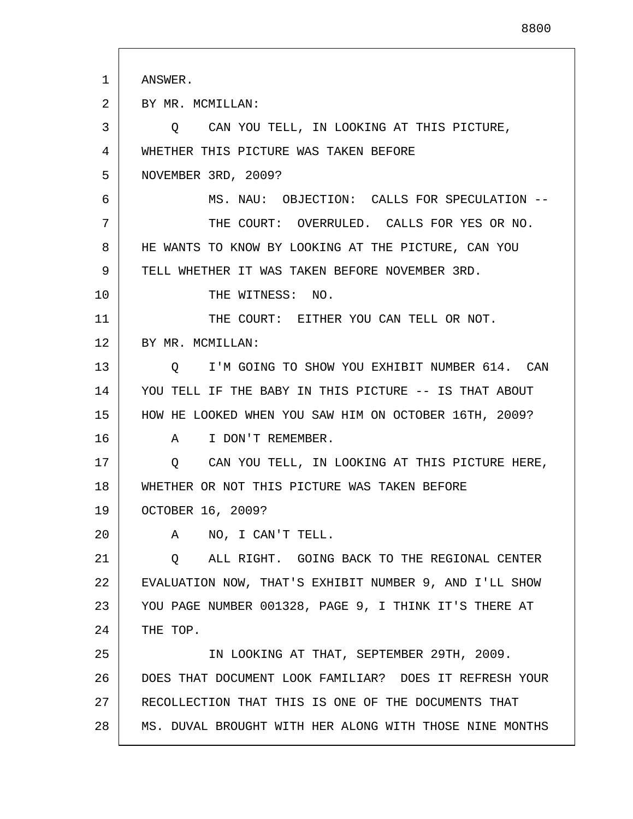| 1  | ANSWER.                                                  |
|----|----------------------------------------------------------|
| 2  | BY MR. MCMILLAN:                                         |
| 3  | CAN YOU TELL, IN LOOKING AT THIS PICTURE,<br>Q.          |
| 4  | WHETHER THIS PICTURE WAS TAKEN BEFORE                    |
| 5  | NOVEMBER 3RD, 2009?                                      |
| 6  | MS. NAU: OBJECTION: CALLS FOR SPECULATION --             |
| 7  | THE COURT: OVERRULED. CALLS FOR YES OR NO.               |
| 8  | HE WANTS TO KNOW BY LOOKING AT THE PICTURE, CAN YOU      |
| 9  | TELL WHETHER IT WAS TAKEN BEFORE NOVEMBER 3RD.           |
| 10 | THE WITNESS: NO.                                         |
| 11 | THE COURT: EITHER YOU CAN TELL OR NOT.                   |
| 12 | BY MR. MCMILLAN:                                         |
| 13 | I'M GOING TO SHOW YOU EXHIBIT NUMBER 614. CAN<br>$\circ$ |
| 14 | YOU TELL IF THE BABY IN THIS PICTURE -- IS THAT ABOUT    |
| 15 | HOW HE LOOKED WHEN YOU SAW HIM ON OCTOBER 16TH, 2009?    |
| 16 | I DON'T REMEMBER.<br>A                                   |
| 17 | CAN YOU TELL, IN LOOKING AT THIS PICTURE HERE,<br>Q      |
| 18 | WHETHER OR NOT THIS PICTURE WAS TAKEN BEFORE             |
| 19 | OCTOBER 16, 2009?                                        |
| 20 | NO, I CAN'T TELL.<br>A                                   |
| 21 | ALL RIGHT. GOING BACK TO THE REGIONAL CENTER<br>Q        |
| 22 | EVALUATION NOW, THAT'S EXHIBIT NUMBER 9, AND I'LL SHOW   |
| 23 | YOU PAGE NUMBER 001328, PAGE 9, I THINK IT'S THERE AT    |
| 24 | THE TOP.                                                 |
| 25 | IN LOOKING AT THAT, SEPTEMBER 29TH, 2009.                |
| 26 | DOES THAT DOCUMENT LOOK FAMILIAR? DOES IT REFRESH YOUR   |
| 27 | RECOLLECTION THAT THIS IS ONE OF THE DOCUMENTS THAT      |
| 28 | MS. DUVAL BROUGHT WITH HER ALONG WITH THOSE NINE MONTHS  |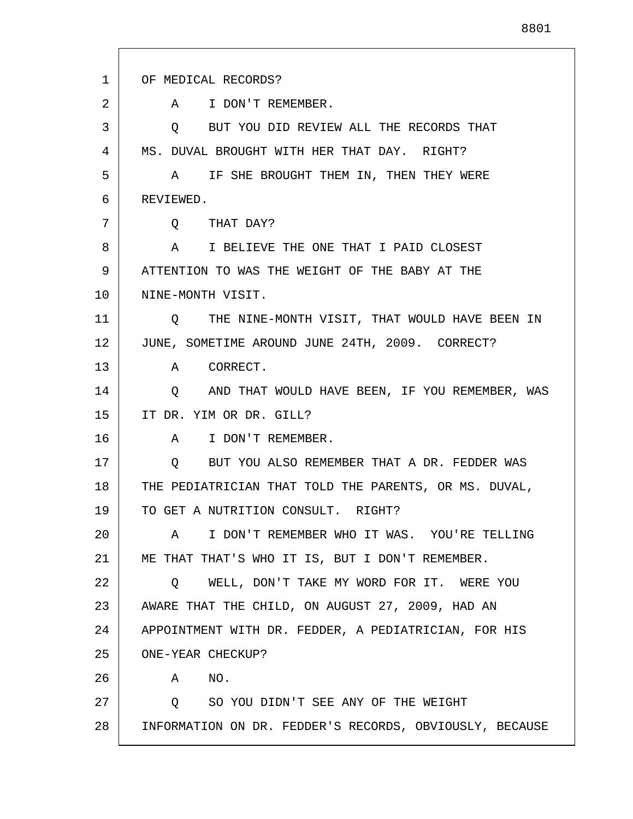1 2 3 4 5 6 7 8 9 10 11 12 13 14 15 16 17 18 19 20 21 22 23 24 25 26 27 28 OF MEDICAL RECORDS? A I DON'T REMEMBER. Q BUT YOU DID REVIEW ALL THE RECORDS THAT MS. DUVAL BROUGHT WITH HER THAT DAY. RIGHT? A IF SHE BROUGHT THEM IN, THEN THEY WERE REVIEWED. Q THAT DAY? A I BELIEVE THE ONE THAT I PAID CLOSEST ATTENTION TO WAS THE WEIGHT OF THE BABY AT THE NINE-MONTH VISIT. Q THE NINE-MONTH VISIT, THAT WOULD HAVE BEEN IN JUNE, SOMETIME AROUND JUNE 24TH, 2009. CORRECT? A CORRECT. Q AND THAT WOULD HAVE BEEN, IF YOU REMEMBER, WAS IT DR. YIM OR DR. GILL? A I DON'T REMEMBER. Q BUT YOU ALSO REMEMBER THAT A DR. FEDDER WAS THE PEDIATRICIAN THAT TOLD THE PARENTS, OR MS. DUVAL, TO GET A NUTRITION CONSULT. RIGHT? A I DON'T REMEMBER WHO IT WAS. YOU'RE TELLING ME THAT THAT'S WHO IT IS, BUT I DON'T REMEMBER. Q WELL, DON'T TAKE MY WORD FOR IT. WERE YOU AWARE THAT THE CHILD, ON AUGUST 27, 2009, HAD AN APPOINTMENT WITH DR. FEDDER, A PEDIATRICIAN, FOR HIS ONE-YEAR CHECKUP? A NO. Q SO YOU DIDN'T SEE ANY OF THE WEIGHT INFORMATION ON DR. FEDDER'S RECORDS, OBVIOUSLY, BECAUSE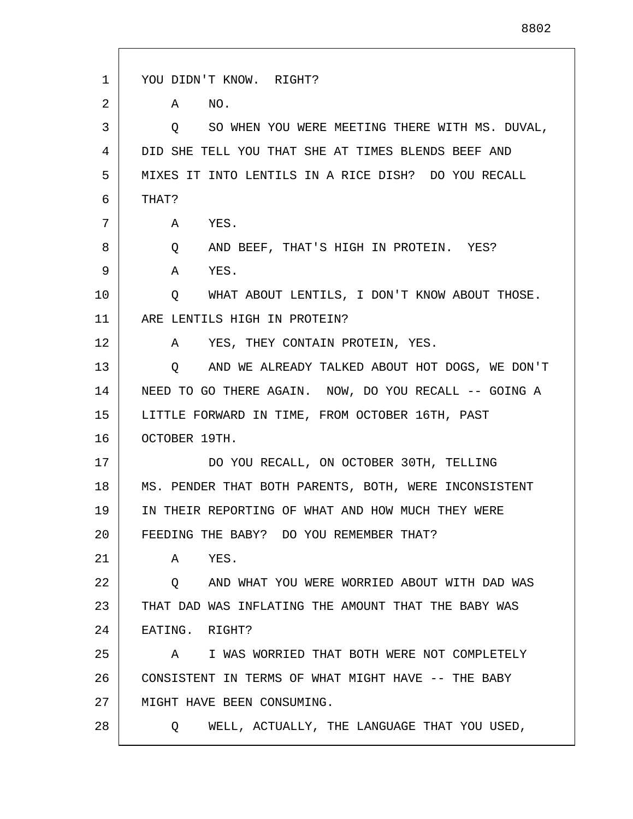| 1  | YOU DIDN'T KNOW. RIGHT?                                 |
|----|---------------------------------------------------------|
| 2  | NO.<br>A                                                |
| 3  | SO WHEN YOU WERE MEETING THERE WITH MS. DUVAL,<br>Q     |
| 4  | DID SHE TELL YOU THAT SHE AT TIMES BLENDS BEEF AND      |
| 5  | MIXES IT INTO LENTILS IN A RICE DISH? DO YOU RECALL     |
| 6  | THAT?                                                   |
| 7  | YES.<br>A                                               |
| 8  | AND BEEF, THAT'S HIGH IN PROTEIN. YES?<br>Q             |
| 9  | YES.<br>A                                               |
| 10 | WHAT ABOUT LENTILS, I DON'T KNOW ABOUT THOSE.<br>Q      |
| 11 | ARE LENTILS HIGH IN PROTEIN?                            |
| 12 | YES, THEY CONTAIN PROTEIN, YES.<br>A                    |
| 13 | AND WE ALREADY TALKED ABOUT HOT DOGS, WE DON'T<br>Q     |
| 14 | NEED TO GO THERE AGAIN. NOW, DO YOU RECALL -- GOING A   |
| 15 | LITTLE FORWARD IN TIME, FROM OCTOBER 16TH, PAST         |
| 16 | OCTOBER 19TH.                                           |
| 17 | DO YOU RECALL, ON OCTOBER 30TH, TELLING                 |
| 18 | MS. PENDER THAT BOTH PARENTS, BOTH, WERE INCONSISTENT   |
| 19 | IN THEIR REPORTING OF WHAT AND HOW MUCH THEY WERE       |
| 20 | FEEDING THE BABY? DO YOU REMEMBER THAT?                 |
| 21 | YES.<br>A                                               |
| 22 | AND WHAT YOU WERE WORRIED ABOUT WITH DAD WAS<br>$\circ$ |
| 23 | THAT DAD WAS INFLATING THE AMOUNT THAT THE BABY WAS     |
| 24 | EATING. RIGHT?                                          |
| 25 | I WAS WORRIED THAT BOTH WERE NOT COMPLETELY<br>A        |
| 26 | CONSISTENT IN TERMS OF WHAT MIGHT HAVE -- THE BABY      |
| 27 | MIGHT HAVE BEEN CONSUMING.                              |
| 28 | WELL, ACTUALLY, THE LANGUAGE THAT YOU USED,<br>O.       |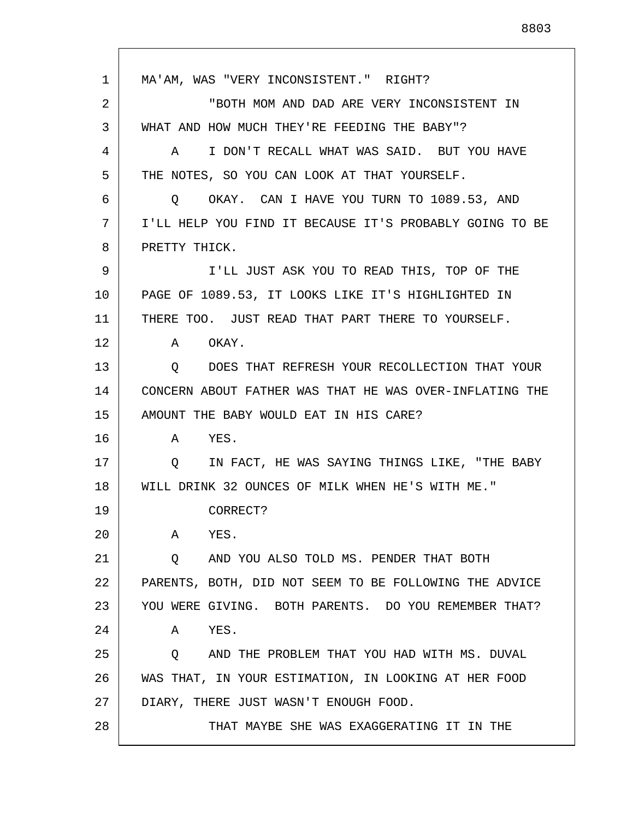1 2 3 4 5 6 7 8 9 10 11 12 13 14 15 16 17 18 19 20 21 22 23 24 25 26 27 28 MA'AM, WAS "VERY INCONSISTENT." RIGHT? "BOTH MOM AND DAD ARE VERY INCONSISTENT IN WHAT AND HOW MUCH THEY'RE FEEDING THE BABY"? A I DON'T RECALL WHAT WAS SAID. BUT YOU HAVE THE NOTES, SO YOU CAN LOOK AT THAT YOURSELF. Q OKAY. CAN I HAVE YOU TURN TO 1089.53, AND I'LL HELP YOU FIND IT BECAUSE IT'S PROBABLY GOING TO BE PRETTY THICK. I'LL JUST ASK YOU TO READ THIS, TOP OF THE PAGE OF 1089.53, IT LOOKS LIKE IT'S HIGHLIGHTED IN THERE TOO. JUST READ THAT PART THERE TO YOURSELF. A OKAY. Q DOES THAT REFRESH YOUR RECOLLECTION THAT YOUR CONCERN ABOUT FATHER WAS THAT HE WAS OVER-INFLATING THE AMOUNT THE BABY WOULD EAT IN HIS CARE? A YES. Q IN FACT, HE WAS SAYING THINGS LIKE, "THE BABY WILL DRINK 32 OUNCES OF MILK WHEN HE'S WITH ME." CORRECT? A YES. Q AND YOU ALSO TOLD MS. PENDER THAT BOTH PARENTS, BOTH, DID NOT SEEM TO BE FOLLOWING THE ADVICE YOU WERE GIVING. BOTH PARENTS. DO YOU REMEMBER THAT? A YES. Q AND THE PROBLEM THAT YOU HAD WITH MS. DUVAL WAS THAT, IN YOUR ESTIMATION, IN LOOKING AT HER FOOD DIARY, THERE JUST WASN'T ENOUGH FOOD. THAT MAYBE SHE WAS EXAGGERATING IT IN THE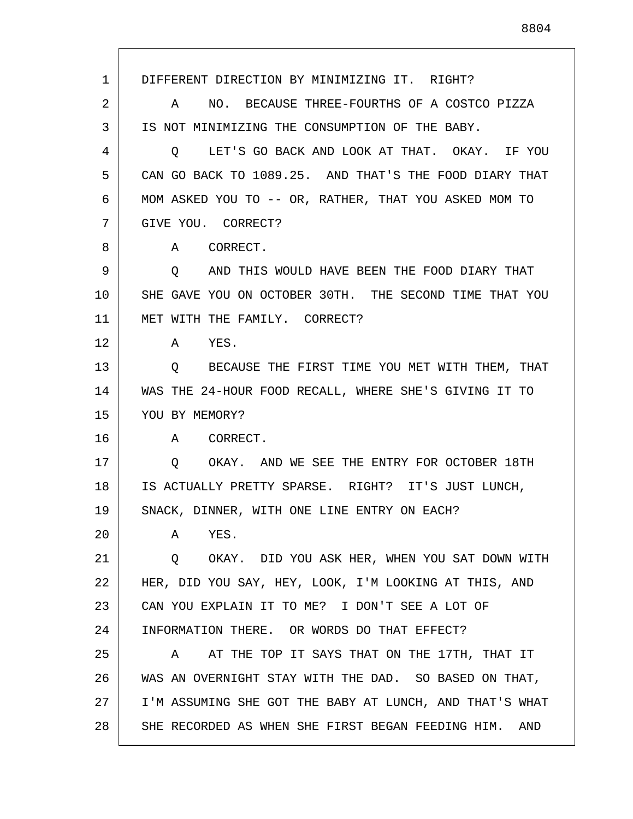1 2 3 4 5 6 7 8 9 10 11 12 13 14 15 16 17 18 19 20 21 22 23 24 25 26 27 28 DIFFERENT DIRECTION BY MINIMIZING IT. RIGHT? A NO. BECAUSE THREE-FOURTHS OF A COSTCO PIZZA IS NOT MINIMIZING THE CONSUMPTION OF THE BABY. Q LET'S GO BACK AND LOOK AT THAT. OKAY. IF YOU CAN GO BACK TO 1089.25. AND THAT'S THE FOOD DIARY THAT MOM ASKED YOU TO -- OR, RATHER, THAT YOU ASKED MOM TO GIVE YOU. CORRECT? A CORRECT. Q AND THIS WOULD HAVE BEEN THE FOOD DIARY THAT SHE GAVE YOU ON OCTOBER 30TH. THE SECOND TIME THAT YOU MET WITH THE FAMILY. CORRECT? A YES. Q BECAUSE THE FIRST TIME YOU MET WITH THEM, THAT WAS THE 24-HOUR FOOD RECALL, WHERE SHE'S GIVING IT TO YOU BY MEMORY? A CORRECT. Q OKAY. AND WE SEE THE ENTRY FOR OCTOBER 18TH IS ACTUALLY PRETTY SPARSE. RIGHT? IT'S JUST LUNCH, SNACK, DINNER, WITH ONE LINE ENTRY ON EACH? A YES. Q OKAY. DID YOU ASK HER, WHEN YOU SAT DOWN WITH HER, DID YOU SAY, HEY, LOOK, I'M LOOKING AT THIS, AND CAN YOU EXPLAIN IT TO ME? I DON'T SEE A LOT OF INFORMATION THERE. OR WORDS DO THAT EFFECT? A AT THE TOP IT SAYS THAT ON THE 17TH, THAT IT WAS AN OVERNIGHT STAY WITH THE DAD. SO BASED ON THAT, I'M ASSUMING SHE GOT THE BABY AT LUNCH, AND THAT'S WHAT SHE RECORDED AS WHEN SHE FIRST BEGAN FEEDING HIM. AND